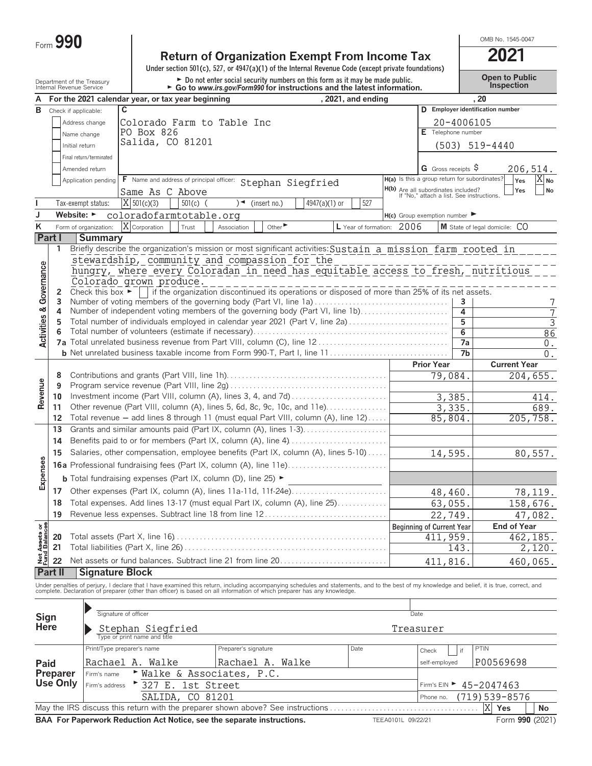| Form $\boldsymbol{\omega}$ | 990 |
|----------------------------|-----|
|----------------------------|-----|

## **Return of Organization Exempt From Income Tax 2021**

**Under section 501(c), 527, or 4947(a)(1) of the Internal Revenue Code (except private foundations)**

Department of the Treasury **and Community of the Treasury Community of the Community of the Community of the Domin<br>Internal Revenue Service <b>Community Frank Community Community Community** Community Community Community Com

OMB No. 1545-0047

|                                        |                                                                                                                                                                      |                                      | For the 2021 calendar year, or tax year beginning                                                                                                                                                                                 | as to minimagem enneed for motives |                                                                                                 | , 2021, and ending        |                                                                                         |                                | .20                              |
|----------------------------------------|----------------------------------------------------------------------------------------------------------------------------------------------------------------------|--------------------------------------|-----------------------------------------------------------------------------------------------------------------------------------------------------------------------------------------------------------------------------------|------------------------------------|-------------------------------------------------------------------------------------------------|---------------------------|-----------------------------------------------------------------------------------------|--------------------------------|----------------------------------|
| в                                      |                                                                                                                                                                      | Check if applicable:                 | C                                                                                                                                                                                                                                 |                                    |                                                                                                 |                           |                                                                                         |                                | D Employer identification number |
|                                        |                                                                                                                                                                      | Address change                       | Colorado Farm to Table Inc                                                                                                                                                                                                        | 20-4006105                         |                                                                                                 |                           |                                                                                         |                                |                                  |
|                                        |                                                                                                                                                                      | Name change                          | PO Box 826                                                                                                                                                                                                                        |                                    |                                                                                                 |                           |                                                                                         | E Telephone number             |                                  |
|                                        |                                                                                                                                                                      | Initial return                       | Salida, CO 81201                                                                                                                                                                                                                  |                                    |                                                                                                 |                           | $(503)$ 519-4440                                                                        |                                |                                  |
|                                        |                                                                                                                                                                      | Final return/terminated              |                                                                                                                                                                                                                                   |                                    |                                                                                                 |                           |                                                                                         |                                |                                  |
|                                        |                                                                                                                                                                      | Amended return                       |                                                                                                                                                                                                                                   |                                    |                                                                                                 |                           |                                                                                         | G Gross receipts $\frac{1}{2}$ | 206,514.                         |
|                                        |                                                                                                                                                                      | Application pending                  | F Name and address of principal officer: Stephan Siegfried                                                                                                                                                                        |                                    |                                                                                                 |                           | H(a) Is this a group return for subordinates?                                           |                                | $X_{N0}$<br>Yes                  |
|                                        |                                                                                                                                                                      |                                      | Same As C Above                                                                                                                                                                                                                   |                                    |                                                                                                 |                           | <b>H(b)</b> Are all subordinates included?<br>If "No," attach a list. See instructions. |                                | Yes<br>No                        |
|                                        |                                                                                                                                                                      | Tax-exempt status:                   | $X$ 501(c)(3)<br>$501(c)$ (                                                                                                                                                                                                       |                                    | $\rightarrow$ (insert no.)<br>$4947(a)(1)$ or                                                   | 527                       |                                                                                         |                                |                                  |
| J                                      |                                                                                                                                                                      | Website: $\blacktriangleright$       | coloradofarmtotable.org                                                                                                                                                                                                           |                                    |                                                                                                 |                           | $H(c)$ Group exemption number                                                           |                                |                                  |
| ĸ                                      |                                                                                                                                                                      | Form of organization:                | X Corporation<br>Trust                                                                                                                                                                                                            | Association                        | Other $\blacktriangleright$                                                                     | L Year of formation: 2006 |                                                                                         |                                | M State of legal domicile: CO    |
|                                        | Part I                                                                                                                                                               | <b>Summary</b>                       |                                                                                                                                                                                                                                   |                                    |                                                                                                 |                           |                                                                                         |                                |                                  |
|                                        | 1                                                                                                                                                                    |                                      | Briefly describe the organization's mission or most significant activities: Sustain a mission farm rooted in                                                                                                                      |                                    |                                                                                                 |                           |                                                                                         |                                |                                  |
|                                        |                                                                                                                                                                      |                                      | stewardship, community and compassion for the                                                                                                                                                                                     |                                    |                                                                                                 |                           |                                                                                         |                                |                                  |
| <b>Activities &amp; Governance</b>     |                                                                                                                                                                      |                                      | hungry, where every Coloradan in need has equitable access to fresh, nutritious                                                                                                                                                   |                                    |                                                                                                 |                           |                                                                                         |                                |                                  |
|                                        |                                                                                                                                                                      |                                      | Colorado grown produce.                                                                                                                                                                                                           |                                    |                                                                                                 |                           |                                                                                         |                                |                                  |
|                                        | 2                                                                                                                                                                    | Check this box $\blacktriangleright$ |                                                                                                                                                                                                                                   |                                    | if the organization discontinued its operations or disposed of more than 25% of its net assets. |                           |                                                                                         |                                |                                  |
|                                        | 3<br>4                                                                                                                                                               |                                      | Number of voting members of the governing body (Part VI, line 1a)<br>Number of independent voting members of the governing body (Part VI, line 1b)                                                                                |                                    |                                                                                                 |                           |                                                                                         | 3<br>4                         | 7                                |
|                                        | 5                                                                                                                                                                    |                                      | Total number of individuals employed in calendar year 2021 (Part V, line 2a)                                                                                                                                                      |                                    |                                                                                                 |                           |                                                                                         | 5                              | $\overline{7}$<br>$\overline{3}$ |
|                                        | 6                                                                                                                                                                    |                                      |                                                                                                                                                                                                                                   |                                    |                                                                                                 |                           |                                                                                         | 6                              | 86                               |
|                                        |                                                                                                                                                                      |                                      |                                                                                                                                                                                                                                   |                                    |                                                                                                 |                           |                                                                                         | 7a                             | 0.                               |
|                                        |                                                                                                                                                                      |                                      |                                                                                                                                                                                                                                   |                                    |                                                                                                 |                           |                                                                                         |                                | 7b<br>$0$ .                      |
|                                        |                                                                                                                                                                      |                                      |                                                                                                                                                                                                                                   |                                    |                                                                                                 |                           | <b>Prior Year</b>                                                                       |                                | <b>Current Year</b>              |
|                                        | 8                                                                                                                                                                    |                                      |                                                                                                                                                                                                                                   |                                    |                                                                                                 |                           |                                                                                         | 79,084.                        | 204,655.                         |
|                                        | 9                                                                                                                                                                    |                                      |                                                                                                                                                                                                                                   |                                    |                                                                                                 |                           |                                                                                         |                                |                                  |
| Revenue                                | 10                                                                                                                                                                   |                                      |                                                                                                                                                                                                                                   |                                    |                                                                                                 |                           |                                                                                         | 3,385.                         | 414.                             |
|                                        | Other revenue (Part VIII, column (A), lines 5, 6d, 8c, 9c, 10c, and 11e)<br>11<br>Total revenue - add lines 8 through 11 (must equal Part VIII, column (A), line 12) |                                      |                                                                                                                                                                                                                                   |                                    |                                                                                                 |                           |                                                                                         | 3,335.                         | 689.                             |
|                                        | 12                                                                                                                                                                   |                                      | Grants and similar amounts paid (Part IX, column (A), lines 1-3)                                                                                                                                                                  |                                    |                                                                                                 |                           |                                                                                         | 85,804.                        | 205, 758.                        |
|                                        | 13<br>14                                                                                                                                                             |                                      | Benefits paid to or for members (Part IX, column (A), line 4)                                                                                                                                                                     |                                    |                                                                                                 |                           |                                                                                         |                                |                                  |
|                                        | 15                                                                                                                                                                   |                                      | Salaries, other compensation, employee benefits (Part IX, column (A), lines 5-10)                                                                                                                                                 |                                    |                                                                                                 | 14,595.                   | 80,557.                                                                                 |                                |                                  |
|                                        |                                                                                                                                                                      |                                      |                                                                                                                                                                                                                                   |                                    |                                                                                                 |                           |                                                                                         |                                |                                  |
| Expenses                               |                                                                                                                                                                      |                                      |                                                                                                                                                                                                                                   |                                    |                                                                                                 |                           |                                                                                         |                                |                                  |
|                                        |                                                                                                                                                                      |                                      | <b>b</b> Total fundraising expenses (Part IX, column (D), line 25) $\blacktriangleright$                                                                                                                                          |                                    |                                                                                                 |                           |                                                                                         |                                |                                  |
|                                        | 17                                                                                                                                                                   |                                      |                                                                                                                                                                                                                                   |                                    |                                                                                                 |                           |                                                                                         | 48,460.                        | 78,119.                          |
|                                        | 18                                                                                                                                                                   |                                      | Total expenses. Add lines 13-17 (must equal Part IX, column (A), line 25)                                                                                                                                                         |                                    |                                                                                                 |                           |                                                                                         | 63,055.                        | 158,676.                         |
|                                        | 19                                                                                                                                                                   |                                      | Revenue less expenses. Subtract line 18 from line 12                                                                                                                                                                              |                                    |                                                                                                 |                           |                                                                                         | 22,749.                        | 47,082.                          |
|                                        |                                                                                                                                                                      |                                      |                                                                                                                                                                                                                                   |                                    |                                                                                                 |                           | <b>Beginning of Current Year</b>                                                        |                                | End of Year                      |
|                                        | 20<br>21                                                                                                                                                             |                                      |                                                                                                                                                                                                                                   |                                    |                                                                                                 |                           |                                                                                         | 411,959.<br>143.               | $\overline{4}62, 185.$<br>2,120. |
| <b>Net Assets or<br/>Fund Balances</b> |                                                                                                                                                                      |                                      | Net assets or fund balances. Subtract line 21 from line 20                                                                                                                                                                        |                                    |                                                                                                 |                           |                                                                                         |                                |                                  |
|                                        | 22<br>Part II                                                                                                                                                        |                                      | <b>Signature Block</b>                                                                                                                                                                                                            |                                    |                                                                                                 |                           |                                                                                         | 411,816.                       | 460,065.                         |
|                                        |                                                                                                                                                                      |                                      |                                                                                                                                                                                                                                   |                                    |                                                                                                 |                           |                                                                                         |                                |                                  |
|                                        |                                                                                                                                                                      |                                      | Under penalties of perjury, I declare that I have examined this return, including accompanying schedules and statements, and to the best of my knowledge and belief, it is true, correct, and<br>complete. Declaration of prepare |                                    |                                                                                                 |                           |                                                                                         |                                |                                  |
|                                        |                                                                                                                                                                      |                                      |                                                                                                                                                                                                                                   |                                    |                                                                                                 |                           |                                                                                         |                                |                                  |
|                                        |                                                                                                                                                                      |                                      | Signature of officer                                                                                                                                                                                                              |                                    |                                                                                                 |                           | Date                                                                                    |                                |                                  |
| Sign<br>Here                           |                                                                                                                                                                      |                                      | Stephan Siegfried                                                                                                                                                                                                                 |                                    |                                                                                                 |                           | Treasurer                                                                               |                                |                                  |
|                                        |                                                                                                                                                                      |                                      | Type or print name and title                                                                                                                                                                                                      |                                    |                                                                                                 |                           |                                                                                         |                                |                                  |
|                                        |                                                                                                                                                                      |                                      | Print/Type preparer's name                                                                                                                                                                                                        | Preparer's signature               |                                                                                                 | Date                      | Check                                                                                   | if                             | PTIN                             |
| Paid                                   |                                                                                                                                                                      |                                      | Rachael A. Walke                                                                                                                                                                                                                  |                                    | Rachael A. Walke                                                                                |                           |                                                                                         | self-employed                  | P00569698                        |
|                                        | Preparer                                                                                                                                                             | Firm's name                          | Valke & Associates, P.C.                                                                                                                                                                                                          |                                    |                                                                                                 |                           |                                                                                         |                                |                                  |
|                                        | Use Only                                                                                                                                                             | Firm's address                       | 327 E.                                                                                                                                                                                                                            | 1st Street                         |                                                                                                 |                           |                                                                                         |                                | Firm's EIN > 45-2047463          |
|                                        |                                                                                                                                                                      |                                      | SALIDA,                                                                                                                                                                                                                           | CO 81201                           |                                                                                                 |                           |                                                                                         | Phone no.                      | (719) 539-8576                   |
|                                        |                                                                                                                                                                      |                                      | May the IRS discuss this return with the preparer shown above? See instructions                                                                                                                                                   |                                    |                                                                                                 |                           |                                                                                         |                                | $\overline{X}$ Yes<br>No         |
|                                        |                                                                                                                                                                      |                                      | BAA For Paperwork Reduction Act Notice, see the separate instructions.                                                                                                                                                            |                                    |                                                                                                 |                           | TEEA0101L 09/22/21                                                                      |                                | Form 990 (2021)                  |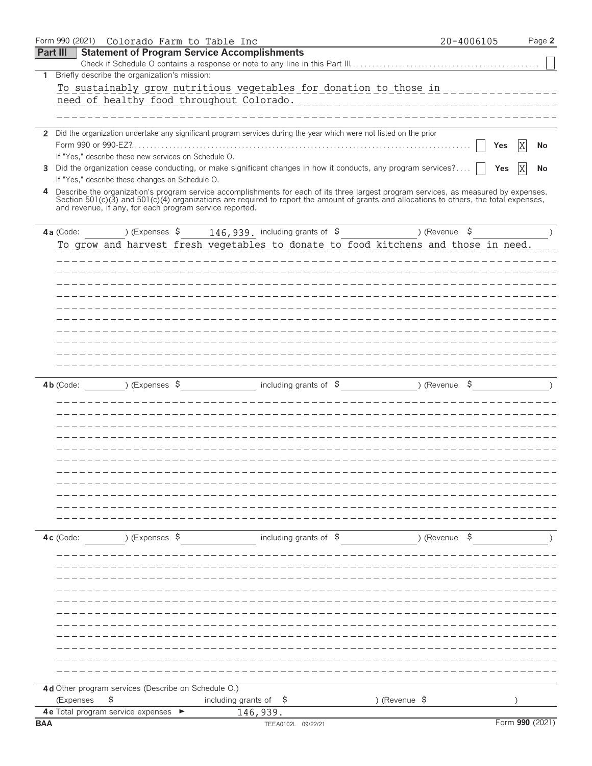|                 |             | Form 990 (2021)<br>Colorado Farm to Table Inc                                                                                                                                                                                                                                                                                                 | 20-4006105               | Page 2 |
|-----------------|-------------|-----------------------------------------------------------------------------------------------------------------------------------------------------------------------------------------------------------------------------------------------------------------------------------------------------------------------------------------------|--------------------------|--------|
| <b>Part III</b> |             | <b>Statement of Program Service Accomplishments</b>                                                                                                                                                                                                                                                                                           |                          |        |
|                 |             | Check if Schedule O contains a response or note to any line in this Part III                                                                                                                                                                                                                                                                  |                          |        |
| 1               |             | Briefly describe the organization's mission:                                                                                                                                                                                                                                                                                                  |                          |        |
|                 |             | To sustainably grow nutritious vegetables for donation to those in                                                                                                                                                                                                                                                                            |                          |        |
|                 |             | need of healthy food throughout Colorado.                                                                                                                                                                                                                                                                                                     |                          |        |
|                 |             |                                                                                                                                                                                                                                                                                                                                               |                          |        |
|                 |             | 2 Did the organization undertake any significant program services during the year which were not listed on the prior                                                                                                                                                                                                                          |                          |        |
|                 |             | Form 990 or 990-EZ?                                                                                                                                                                                                                                                                                                                           | X<br>Yes                 | No     |
|                 |             | If "Yes," describe these new services on Schedule O.                                                                                                                                                                                                                                                                                          |                          |        |
| 3               |             | Did the organization cease conducting, or make significant changes in how it conducts, any program services?                                                                                                                                                                                                                                  | Yes<br>ΙX                | No     |
|                 |             | If "Yes," describe these changes on Schedule O.                                                                                                                                                                                                                                                                                               |                          |        |
|                 |             | 4 Describe the organization's program service accomplishments for each of its three largest program services, as measured by expenses.<br>Section 501(c)(3) and 501(c)(4) organizations are required to report the amount of grants and allocations to others, the total expenses,<br>and revenue, if any, for each program service reported. |                          |        |
|                 | 4a (Code:   | ) (Expenses $\frac{146}{939}$ , including grants of $\frac{126}{9}$                                                                                                                                                                                                                                                                           | ) (Revenue \$            |        |
|                 |             | To grow and harvest fresh vegetables to donate to food kitchens and those in need.                                                                                                                                                                                                                                                            |                          |        |
|                 |             |                                                                                                                                                                                                                                                                                                                                               |                          |        |
|                 |             |                                                                                                                                                                                                                                                                                                                                               |                          |        |
|                 |             |                                                                                                                                                                                                                                                                                                                                               |                          |        |
|                 |             |                                                                                                                                                                                                                                                                                                                                               |                          |        |
|                 |             |                                                                                                                                                                                                                                                                                                                                               |                          |        |
|                 |             |                                                                                                                                                                                                                                                                                                                                               |                          |        |
|                 |             |                                                                                                                                                                                                                                                                                                                                               |                          |        |
|                 |             |                                                                                                                                                                                                                                                                                                                                               |                          |        |
|                 |             |                                                                                                                                                                                                                                                                                                                                               |                          |        |
|                 |             |                                                                                                                                                                                                                                                                                                                                               |                          |        |
|                 | $4b$ (Code: | $(1, 5)$ (Expenses $\frac{5}{7}$ including grants of $\frac{5}{7}$ ) (Revenue $\frac{5}{7}$                                                                                                                                                                                                                                                   |                          |        |
|                 |             |                                                                                                                                                                                                                                                                                                                                               |                          |        |
|                 |             |                                                                                                                                                                                                                                                                                                                                               |                          |        |
|                 |             |                                                                                                                                                                                                                                                                                                                                               |                          |        |
|                 |             |                                                                                                                                                                                                                                                                                                                                               |                          |        |
|                 |             |                                                                                                                                                                                                                                                                                                                                               |                          |        |
|                 |             |                                                                                                                                                                                                                                                                                                                                               |                          |        |
|                 |             |                                                                                                                                                                                                                                                                                                                                               |                          |        |
|                 |             |                                                                                                                                                                                                                                                                                                                                               |                          |        |
|                 |             |                                                                                                                                                                                                                                                                                                                                               |                          |        |
|                 |             |                                                                                                                                                                                                                                                                                                                                               |                          |        |
|                 |             |                                                                                                                                                                                                                                                                                                                                               |                          |        |
|                 | $4c$ (Code: | including grants of \$<br>) (Expenses \$                                                                                                                                                                                                                                                                                                      | )(Revenue \$             |        |
|                 |             |                                                                                                                                                                                                                                                                                                                                               |                          |        |
|                 |             |                                                                                                                                                                                                                                                                                                                                               |                          |        |
|                 |             |                                                                                                                                                                                                                                                                                                                                               |                          |        |
|                 |             |                                                                                                                                                                                                                                                                                                                                               |                          |        |
|                 |             |                                                                                                                                                                                                                                                                                                                                               |                          |        |
|                 |             |                                                                                                                                                                                                                                                                                                                                               |                          |        |
|                 |             |                                                                                                                                                                                                                                                                                                                                               |                          |        |
|                 |             |                                                                                                                                                                                                                                                                                                                                               |                          |        |
|                 |             |                                                                                                                                                                                                                                                                                                                                               |                          |        |
|                 |             |                                                                                                                                                                                                                                                                                                                                               |                          |        |
|                 |             |                                                                                                                                                                                                                                                                                                                                               |                          |        |
|                 |             | 4d Other program services (Describe on Schedule O.)                                                                                                                                                                                                                                                                                           |                          |        |
|                 |             | \$<br>including grants of<br>(Expenses<br>- Ş                                                                                                                                                                                                                                                                                                 | ) (Revenue $\frac{1}{2}$ |        |
|                 |             | 4e Total program service expenses<br>146,939.                                                                                                                                                                                                                                                                                                 |                          |        |
| <b>BAA</b>      |             | TEEA0102L 09/22/21                                                                                                                                                                                                                                                                                                                            | Form 990 (2021)          |        |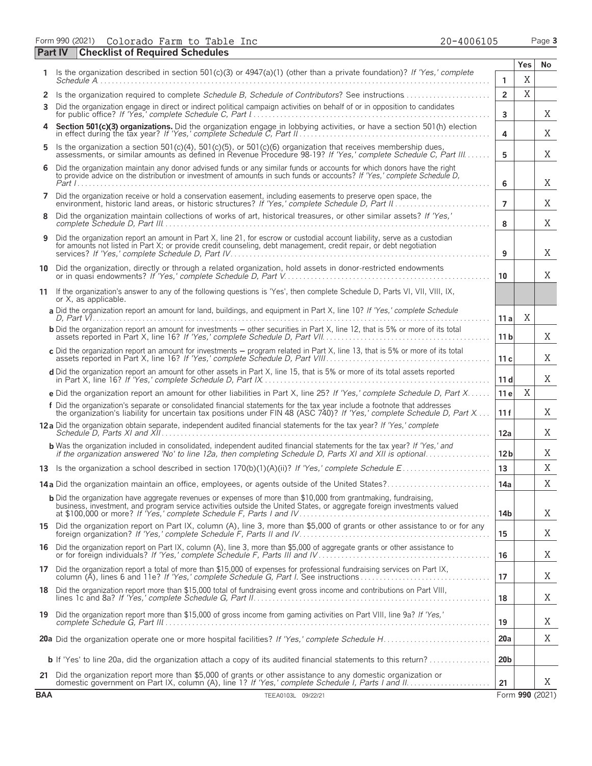Form 990 (2021) Page **3**

|            | <b>Checklist of Required Schedules</b><br><b>Part IV</b>                                                                                                                                                                                                                                                                  |                 |     |                 |
|------------|---------------------------------------------------------------------------------------------------------------------------------------------------------------------------------------------------------------------------------------------------------------------------------------------------------------------------|-----------------|-----|-----------------|
|            | Is the organization described in section 501(c)(3) or 4947(a)(1) (other than a private foundation)? If 'Yes,' complete                                                                                                                                                                                                    |                 | Yes | No              |
|            |                                                                                                                                                                                                                                                                                                                           | 1               | X   |                 |
| 2          |                                                                                                                                                                                                                                                                                                                           | $\overline{2}$  | X   |                 |
| 3          | Did the organization engage in direct or indirect political campaign activities on behalf of or in opposition to candidates                                                                                                                                                                                               | 3               |     | Χ               |
|            | Section 501(c)(3) organizations. Did the organization engage in lobbying activities, or have a section 501(h) election in effect during the tax year? If 'Yes,' complete Schedule C, Part II                                                                                                                              | 4               |     | Χ               |
| 5          | Is the organization a section 501(c)(4), 501(c)(5), or 501(c)(6) organization that receives membership dues, assessments, or similar amounts as defined in Revenue Procedure 98-19? If 'Yes,' complete Schedule C, Part III                                                                                               | 5               |     | Χ               |
| 6          | Did the organization maintain any donor advised funds or any similar funds or accounts for which donors have the right<br>to provide advice on the distribution or investment of amounts in such funds or accounts? If 'Yes,' complete Schedule D,                                                                        | 6               |     | Χ               |
| 7          | Did the organization receive or hold a conservation easement, including easements to preserve open space, the                                                                                                                                                                                                             | $\overline{7}$  |     | Χ               |
| 8          | Did the organization maintain collections of works of art, historical treasures, or other similar assets? If 'Yes,'                                                                                                                                                                                                       | 8               |     | X               |
| 9          | Did the organization report an amount in Part X, line 21, for escrow or custodial account liability, serve as a custodian<br>for amounts not listed in Part X; or provide credit counseling, debt management, credit repair, or debt negotiation                                                                          | 9               |     | X               |
| 10         | Did the organization, directly or through a related organization, hold assets in donor-restricted endowments                                                                                                                                                                                                              |                 |     |                 |
|            | If the organization's answer to any of the following questions is 'Yes', then complete Schedule D, Parts VI, VII, VIII, IX,                                                                                                                                                                                               | 10              |     | X               |
| 11         | or X, as applicable.                                                                                                                                                                                                                                                                                                      |                 |     |                 |
|            | a Did the organization report an amount for land, buildings, and equipment in Part X, line 10? If 'Yes,' complete Schedule                                                                                                                                                                                                | 11a             | Χ   |                 |
|            | <b>b</b> Did the organization report an amount for investments - other securities in Part X, line 12, that is 5% or more of its total                                                                                                                                                                                     | 11 <sub>b</sub> |     | Χ               |
|            | c Did the organization report an amount for investments - program related in Part X, line 13, that is 5% or more of its total                                                                                                                                                                                             | 11c             |     | X               |
|            | d Did the organization report an amount for other assets in Part X, line 15, that is 5% or more of its total assets reported                                                                                                                                                                                              | 11 <sub>d</sub> |     | Χ               |
|            | e Did the organization report an amount for other liabilities in Part X, line 25? If 'Yes,' complete Schedule D, Part X                                                                                                                                                                                                   | 11 e            | X   |                 |
|            | f Did the organization's separate or consolidated financial statements for the tax year include a footnote that addresses<br>the organization's liability for uncertain tax positions under FIN 48 (ASC 740)? If 'Yes,' complete Schedule D, Part X                                                                       | 11f             |     | Χ               |
|            | 12 a Did the organization obtain separate, independent audited financial statements for the tax year? If 'Yes,' complete                                                                                                                                                                                                  | 12a             |     | Χ               |
|            | <b>b</b> Was the organization included in consolidated, independent audited financial statements for the tax year? If 'Yes,' and                                                                                                                                                                                          | 12 <sub>b</sub> |     | Χ               |
|            |                                                                                                                                                                                                                                                                                                                           | 13              |     | X               |
|            |                                                                                                                                                                                                                                                                                                                           | 14a             |     | X               |
|            | <b>b</b> Did the organization have aggregate revenues or expenses of more than \$10,000 from grantmaking, fundraising,<br>business, investment, and program service activities outside the United States, or aggregate foreign investments valued<br>at \$100,000 or more? If 'Yes,' complete Schedule F, Parts I and IV. | 14b             |     | X               |
|            | 15 Did the organization report on Part IX, column (A), line 3, more than \$5,000 of grants or other assistance to or for any foreign organization? If 'Yes,' complete Schedule F, Parts II and IV                                                                                                                         | 15              |     | X               |
|            | 16 Did the organization report on Part IX, column (A), line 3, more than \$5,000 of aggregate grants or other assistance to<br>or for foreign individuals? If 'Yes,' complete Schedule F, Parts III and IV                                                                                                                | 16              |     | Χ               |
|            | 17 Did the organization report a total of more than \$15,000 of expenses for professional fundraising services on Part IX,<br>column (A), lines 6 and 11e? If 'Yes,' complete Schedule G, Part I. See instructions                                                                                                        | 17              |     | X               |
|            | 18 Did the organization report more than \$15,000 total of fundraising event gross income and contributions on Part VIII,                                                                                                                                                                                                 | 18              |     | X               |
|            | 19 Did the organization report more than \$15,000 of gross income from gaming activities on Part VIII, line 9a? If 'Yes,'                                                                                                                                                                                                 | 19              |     | X               |
|            |                                                                                                                                                                                                                                                                                                                           | 20a             |     | Χ               |
|            | <b>b</b> If 'Yes' to line 20a, did the organization attach a copy of its audited financial statements to this return?                                                                                                                                                                                                     | 20 <sub>b</sub> |     |                 |
| 21         | Did the organization report more than \$5,000 of grants or other assistance to any domestic organization or                                                                                                                                                                                                               | 21              |     | X               |
| <b>BAA</b> | TEEA0103L 09/22/21                                                                                                                                                                                                                                                                                                        |                 |     | Form 990 (2021) |

|  | Form 990 (2021) Colorado Farm to Table Inc | 20-4006105 |
|--|--------------------------------------------|------------|
|--|--------------------------------------------|------------|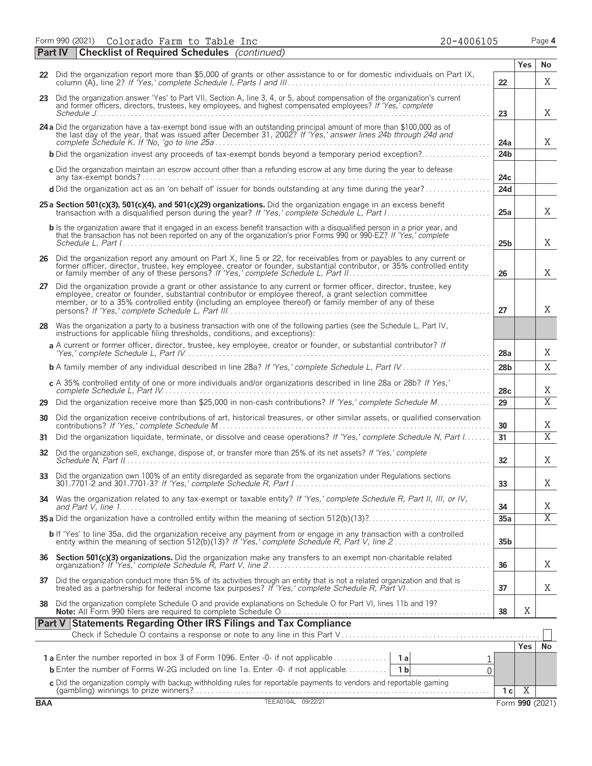Form 990 (2021) Page **4** Colorado Farm to Table Inc 20-4006105

|            | <b>Checklist of Required Schedules</b> (continued)<br>Part IV                                                                                                                                                                                                                                                                            |                 |                 |                |
|------------|------------------------------------------------------------------------------------------------------------------------------------------------------------------------------------------------------------------------------------------------------------------------------------------------------------------------------------------|-----------------|-----------------|----------------|
|            | 22 Did the organization report more than \$5,000 of grants or other assistance to or for domestic individuals on Part IX,                                                                                                                                                                                                                |                 | <b>Yes</b>      | No             |
|            | 23 Did the organization answer 'Yes' to Part VII, Section A, line 3, 4, or 5, about compensation of the organization's current                                                                                                                                                                                                           | 22              |                 | X              |
|            | and former officers, directors, trustees, key employees, and highest compensated employees? If 'Yes,' complete                                                                                                                                                                                                                           | 23              |                 | X              |
|            | 24 a Did the organization have a tax-exempt bond issue with an outstanding principal amount of more than \$100,000 as of the last day of the year, that was issued after December 31, 2002? If 'Yes,' answer lines 24b through                                                                                                           | 24a             |                 | X              |
|            | <b>b</b> Did the organization invest any proceeds of tax-exempt bonds beyond a temporary period exception?                                                                                                                                                                                                                               | 24 <sub>b</sub> |                 |                |
|            | c Did the organization maintain an escrow account other than a refunding escrow at any time during the year to defease                                                                                                                                                                                                                   | 24 <sub>c</sub> |                 |                |
|            |                                                                                                                                                                                                                                                                                                                                          | 24d             |                 |                |
|            | 25 a Section 501(c)(3), 501(c)(4), and 501(c)(29) organizations. Did the organization engage in an excess benefit                                                                                                                                                                                                                        | 25a             |                 | X              |
|            | <b>b</b> Is the organization aware that it engaged in an excess benefit transaction with a disqualified person in a prior year, and<br>that the transaction has not been reported on any of the organization's prior Forms 990 or 990-EZ? If 'Yes,' complete                                                                             | 25 <sub>b</sub> |                 | X              |
|            | 26 Did the organization report any amount on Part X, line 5 or 22, for receivables from or payables to any current or former officer, director, trustee, key employee, creator or founder, substantial contributor, or 35% con                                                                                                           | 26              |                 | X              |
|            | 27 Did the organization provide a grant or other assistance to any current or former officer, director, trustee, key<br>employee, creator or founder, substantial contributor or employee thereof, a grant selection committee<br>member, or to a 35% controlled entity (including an employee thereof) or family member of any of these | 27              |                 | Χ              |
|            | 28 Was the organization a party to a business transaction with one of the following parties (see the Schedule L, Part IV,<br>instructions for applicable filing thresholds, conditions, and exceptions):                                                                                                                                 |                 |                 |                |
|            | a A current or former officer, director, trustee, key employee, creator or founder, or substantial contributor? If                                                                                                                                                                                                                       | 28a             |                 | X              |
|            | <b>b</b> A family member of any individual described in line 28a? If 'Yes,' complete Schedule L, Part IV                                                                                                                                                                                                                                 | 28 <sub>b</sub> |                 | X              |
|            | c A 35% controlled entity of one or more individuals and/or organizations described in line 28a or 28b? If Yes,'                                                                                                                                                                                                                         | 28c             |                 | Χ              |
| 29         | Did the organization receive more than \$25,000 in non-cash contributions? If 'Yes,' complete Schedule M                                                                                                                                                                                                                                 | 29              |                 | $\overline{X}$ |
| 30         | Did the organization receive contributions of art, historical treasures, or other similar assets, or qualified conservation                                                                                                                                                                                                              | 30              |                 | Χ              |
| 31         | Did the organization liquidate, terminate, or dissolve and cease operations? If 'Yes,' complete Schedule N, Part I                                                                                                                                                                                                                       | 31              |                 | $\overline{X}$ |
| 32         | Did the organization sell, exchange, dispose of, or transfer more than 25% of its net assets? If 'Yes,' complete                                                                                                                                                                                                                         | 32              |                 | X              |
| 33         | Did the organization own 100% of an entity disregarded as separate from the organization under Regulations sections                                                                                                                                                                                                                      | 33              |                 | Χ              |
|            | 34 Was the organization related to any tax-exempt or taxable entity? If 'Yes,' complete Schedule R, Part II, III, or IV,                                                                                                                                                                                                                 | 34              |                 | Χ              |
|            |                                                                                                                                                                                                                                                                                                                                          | 35a             |                 | $\overline{X}$ |
|            | b If 'Yes' to line 35a, did the organization receive any payment from or engage in any transaction with a controlled<br>entity within the meaning of section 512(b)(13)? If 'Yes,' complete Schedule R, Part V, line 2                                                                                                                   | 35 <sub>b</sub> |                 |                |
|            |                                                                                                                                                                                                                                                                                                                                          | 36              |                 | Χ              |
|            | 37 Did the organization conduct more than 5% of its activities through an entity that is not a related organization and that is treated as a partnership for federal income tax purposes? If 'Yes,' complete Schedule R, Part                                                                                                            | 37              |                 | Χ              |
|            | 38 Did the organization complete Schedule O and provide explanations on Schedule O for Part VI, lines 11b and 19?                                                                                                                                                                                                                        | 38              | X               |                |
|            | Part V Statements Regarding Other IRS Filings and Tax Compliance                                                                                                                                                                                                                                                                         |                 |                 |                |
|            |                                                                                                                                                                                                                                                                                                                                          |                 | Yes             | No             |
|            |                                                                                                                                                                                                                                                                                                                                          |                 |                 |                |
|            | <b>b</b> Enter the number of Forms W-2G included on line 1a. Enter $-0$ - if not applicable<br>1 <sub>b</sub><br>0                                                                                                                                                                                                                       |                 |                 |                |
|            |                                                                                                                                                                                                                                                                                                                                          | 1 <sub>c</sub>  | $\overline{X}$  |                |
| <b>BAA</b> | C Did the organization comply with backup withholding rules for reportable payments to vendors and reportable gaming<br>(gambling) winnings to prize winners?<br>TEEA0104L 09/22/21                                                                                                                                                      |                 | Form 990 (2021) |                |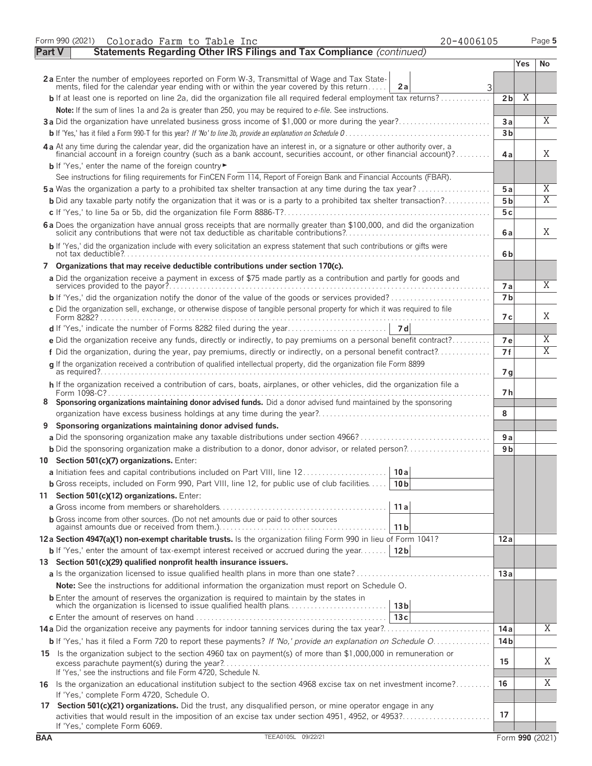| Form 990 (2021)<br>Colorado Farm to Table Inc                                                                                                                                                                                  | 20-4006105      |     | Page 5                  |
|--------------------------------------------------------------------------------------------------------------------------------------------------------------------------------------------------------------------------------|-----------------|-----|-------------------------|
| Statements Regarding Other IRS Filings and Tax Compliance (continued)<br><b>Part V</b>                                                                                                                                         |                 |     |                         |
|                                                                                                                                                                                                                                |                 | Yes | No                      |
| 2a Enter the number of employees reported on Form W-3, Transmittal of Wage and Tax Statements, filed for the calendar year ending with or within the year covered by this return<br>2a                                         | 3               |     |                         |
| <b>b</b> If at least one is reported on line 2a, did the organization file all required federal employment tax returns?                                                                                                        | 2 <sub>b</sub>  | Χ   |                         |
| Note: If the sum of lines 1a and 2a is greater than 250, you may be required to e-file. See instructions.                                                                                                                      |                 |     |                         |
| 3a Did the organization have unrelated business gross income of \$1,000 or more during the year?                                                                                                                               | Зa              |     | Χ                       |
|                                                                                                                                                                                                                                | 3 <sub>b</sub>  |     |                         |
| 4 a At any time during the calendar year, did the organization have an interest in, or a signature or other authority over, a financial account in a foreign country (such as a bank account, securities account, or other fin | 4a              |     | X                       |
| <b>b</b> If 'Yes,' enter the name of the foreign country                                                                                                                                                                       |                 |     |                         |
| See instructions for filing requirements for FinCEN Form 114, Report of Foreign Bank and Financial Accounts (FBAR).                                                                                                            |                 |     |                         |
| <b>5a</b> Was the organization a party to a prohibited tax shelter transaction at any time during the tax year?                                                                                                                | 5a              |     | Χ                       |
| <b>b</b> Did any taxable party notify the organization that it was or is a party to a prohibited tax shelter transaction?                                                                                                      | 5 <sub>b</sub>  |     | $\overline{\mathrm{X}}$ |
|                                                                                                                                                                                                                                | 5c              |     |                         |
| 6 a Does the organization have annual gross receipts that are normally greater than \$100,000, and did the organization solicit any contributions that were not tax deductible as charitable contributions?                    | 6 a             |     | Χ                       |
| b If 'Yes,' did the organization include with every solicitation an express statement that such contributions or gifts were                                                                                                    |                 |     |                         |
|                                                                                                                                                                                                                                | 6b              |     |                         |
| 7 Organizations that may receive deductible contributions under section 170(c).<br>a Did the organization receive a payment in excess of \$75 made partly as a contribution and partly for goods and                           |                 |     |                         |
|                                                                                                                                                                                                                                | 7a              |     | Χ                       |
|                                                                                                                                                                                                                                | 7 <sub>b</sub>  |     |                         |
| c Did the organization sell, exchange, or otherwise dispose of tangible personal property for which it was required to file                                                                                                    |                 |     |                         |
|                                                                                                                                                                                                                                | 7 с             |     | Χ                       |
| e Did the organization receive any funds, directly or indirectly, to pay premiums on a personal benefit contract?                                                                                                              | 7e              |     | Χ                       |
| f Did the organization, during the year, pay premiums, directly or indirectly, on a personal benefit contract?                                                                                                                 | 7f              |     | X                       |
| q If the organization received a contribution of qualified intellectual property, did the organization file Form 8899                                                                                                          | 7 g             |     |                         |
| h If the organization received a contribution of cars, boats, airplanes, or other vehicles, did the organization file a                                                                                                        |                 |     |                         |
| 8 Sponsoring organizations maintaining donor advised funds. Did a donor advised fund maintained by the sponsoring                                                                                                              | 7 <sub>h</sub>  |     |                         |
|                                                                                                                                                                                                                                | 8               |     |                         |
| Sponsoring organizations maintaining donor advised funds.                                                                                                                                                                      |                 |     |                         |
|                                                                                                                                                                                                                                | 9a              |     |                         |
|                                                                                                                                                                                                                                | 9 <sub>b</sub>  |     |                         |
| 10 Section 501(c)(7) organizations. Enter:                                                                                                                                                                                     |                 |     |                         |
| 10a<br>a Initiation fees and capital contributions included on Part VIII, line 12                                                                                                                                              |                 |     |                         |
| <b>b</b> Gross receipts, included on Form 990, Part VIII, line 12, for public use of club facilities<br>10 <sub>b</sub>                                                                                                        |                 |     |                         |
| 11 Section 501(c)(12) organizations. Enter:                                                                                                                                                                                    |                 |     |                         |
| 11a                                                                                                                                                                                                                            |                 |     |                         |
| <b>b</b> Gross income from other sources. (Do not net amounts due or paid to other sources                                                                                                                                     |                 |     |                         |
| 11 <sub>b</sub>                                                                                                                                                                                                                |                 |     |                         |
| 12a Section 4947(a)(1) non-exempt charitable trusts. Is the organization filing Form 990 in lieu of Form 1041?                                                                                                                 | 12a             |     |                         |
| <b>b</b> If 'Yes,' enter the amount of tax-exempt interest received or accrued during the year <b>12b</b>                                                                                                                      |                 |     |                         |
| 13 Section 501(c)(29) qualified nonprofit health insurance issuers.                                                                                                                                                            |                 |     |                         |
| a Is the organization licensed to issue qualified health plans in more than one state?                                                                                                                                         | 13a             |     |                         |
| Note: See the instructions for additional information the organization must report on Schedule O.                                                                                                                              |                 |     |                         |
| 13 <sub>b</sub>                                                                                                                                                                                                                |                 |     |                         |
| 13c                                                                                                                                                                                                                            |                 |     |                         |
| 14a Did the organization receive any payments for indoor tanning services during the tax year?                                                                                                                                 | 14a             |     | Χ                       |
| <b>b</b> If 'Yes,' has it filed a Form 720 to report these payments? If 'No,' provide an explanation on Schedule O                                                                                                             | 14 <sub>b</sub> |     |                         |
| 15 Is the organization subject to the section 4960 tax on payment(s) of more than \$1,000,000 in remuneration or                                                                                                               | 15              |     | Χ                       |
| If 'Yes,' see the instructions and file Form 4720, Schedule N.                                                                                                                                                                 |                 |     |                         |
| 16 Is the organization an educational institution subject to the section 4968 excise tax on net investment income?<br>If 'Yes,' complete Form 4720, Schedule O.                                                                | 16              |     | Χ                       |
| 17 Section 501(c)(21) organizations. Did the trust, any disqualified person, or mine operator engage in any<br>activities that would result in the imposition of an excise tax under section 4951, 4952, or 4953?              | 17              |     |                         |
| If 'Yes,' complete Form 6069.                                                                                                                                                                                                  |                 |     |                         |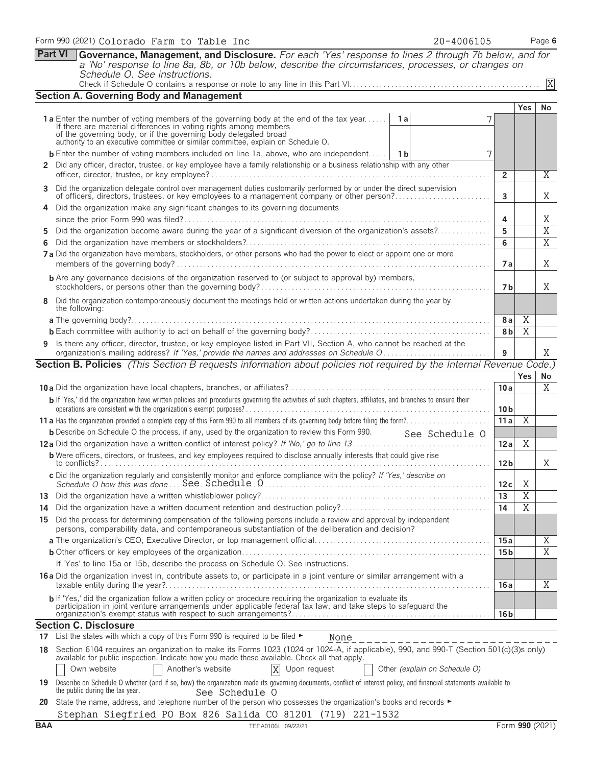|            |                                                                                                                                                                                                                                                                                                                                 |                 | 153            |                         |  |  |  |  |  |  |
|------------|---------------------------------------------------------------------------------------------------------------------------------------------------------------------------------------------------------------------------------------------------------------------------------------------------------------------------------|-----------------|----------------|-------------------------|--|--|--|--|--|--|
|            | <b>1a</b> Enter the number of voting members of the governing body at the end of the tax year<br>1 a<br>If there are material differences in voting rights among members<br>of the governing body, or if the governing body delegated broad<br>authority to an executive committee or similar committee, explain on Schedule O. |                 |                |                         |  |  |  |  |  |  |
|            | <b>b</b> Enter the number of voting members included on line 1a, above, who are independent<br>1 <sub>b</sub>                                                                                                                                                                                                                   |                 |                |                         |  |  |  |  |  |  |
| 2          | Did any officer, director, trustee, or key employee have a family relationship or a business relationship with any other                                                                                                                                                                                                        |                 |                |                         |  |  |  |  |  |  |
|            |                                                                                                                                                                                                                                                                                                                                 |                 |                |                         |  |  |  |  |  |  |
| 3          | Did the organization delegate control over management duties customarily performed by or under the direct supervision<br>of officers, directors, trustees, or key employees to a management company or other person?                                                                                                            |                 |                |                         |  |  |  |  |  |  |
| 4          | Did the organization make any significant changes to its governing documents                                                                                                                                                                                                                                                    |                 |                |                         |  |  |  |  |  |  |
|            |                                                                                                                                                                                                                                                                                                                                 | 4               |                | Χ                       |  |  |  |  |  |  |
| 5          | Did the organization become aware during the year of a significant diversion of the organization's assets?                                                                                                                                                                                                                      | 5               |                | $\overline{X}$          |  |  |  |  |  |  |
| 6          |                                                                                                                                                                                                                                                                                                                                 | 6               |                | $\overline{X}$          |  |  |  |  |  |  |
|            | 7a Did the organization have members, stockholders, or other persons who had the power to elect or appoint one or more                                                                                                                                                                                                          | 7a              |                | Χ                       |  |  |  |  |  |  |
|            | <b>b</b> Are any governance decisions of the organization reserved to (or subject to approval by) members,                                                                                                                                                                                                                      | 7 b             |                | Χ                       |  |  |  |  |  |  |
| 8          | Did the organization contemporaneously document the meetings held or written actions undertaken during the year by<br>the following:                                                                                                                                                                                            |                 |                |                         |  |  |  |  |  |  |
|            |                                                                                                                                                                                                                                                                                                                                 | 8a              | Χ              |                         |  |  |  |  |  |  |
|            |                                                                                                                                                                                                                                                                                                                                 | 8 <sub>b</sub>  | $\overline{X}$ |                         |  |  |  |  |  |  |
| 9          | Is there any officer, director, trustee, or key employee listed in Part VII, Section A, who cannot be reached at the<br>organization's mailing address? If 'Yes,' provide the names and addresses on Schedule Q                                                                                                                 | 9               |                | Χ                       |  |  |  |  |  |  |
|            | Section B. Policies (This Section B requests information about policies not required by the Internal Revenue Code.)                                                                                                                                                                                                             |                 |                |                         |  |  |  |  |  |  |
|            |                                                                                                                                                                                                                                                                                                                                 |                 | <b>Yes</b>     | No                      |  |  |  |  |  |  |
|            |                                                                                                                                                                                                                                                                                                                                 | 10a             |                | X                       |  |  |  |  |  |  |
|            | b If 'Yes,' did the organization have written policies and procedures governing the activities of such chapters, affiliates, and branches to ensure their                                                                                                                                                                       | 10 <sub>b</sub> |                |                         |  |  |  |  |  |  |
|            |                                                                                                                                                                                                                                                                                                                                 | 11a             | $\overline{X}$ |                         |  |  |  |  |  |  |
|            | <b>b</b> Describe on Schedule O the process, if any, used by the organization to review this Form 990.<br>See Schedule O                                                                                                                                                                                                        |                 |                |                         |  |  |  |  |  |  |
|            |                                                                                                                                                                                                                                                                                                                                 | 12a             | $\mathbf X$    |                         |  |  |  |  |  |  |
|            | <b>b</b> Were officers, directors, or trustees, and key employees required to disclose annually interests that could give rise<br>.                                                                                                                                                                                             | 12 <sub>b</sub> |                | Χ                       |  |  |  |  |  |  |
|            | c Did the organization regularly and consistently monitor and enforce compliance with the policy? If 'Yes,' describe on                                                                                                                                                                                                         | 12c             | Χ              |                         |  |  |  |  |  |  |
|            |                                                                                                                                                                                                                                                                                                                                 | 13              | $\overline{X}$ |                         |  |  |  |  |  |  |
| 14         | Did the organization have a written document retention and destruction policy?                                                                                                                                                                                                                                                  | 14              | $\overline{X}$ |                         |  |  |  |  |  |  |
| 15         | Did the process for determining compensation of the following persons include a review and approval by independent<br>persons, comparability data, and contemporaneous substantiation of the deliberation and decision?                                                                                                         |                 |                |                         |  |  |  |  |  |  |
|            |                                                                                                                                                                                                                                                                                                                                 | 15a             |                |                         |  |  |  |  |  |  |
|            |                                                                                                                                                                                                                                                                                                                                 | 15 <sub>b</sub> |                | $\overline{\mathrm{X}}$ |  |  |  |  |  |  |
|            | If 'Yes' to line 15a or 15b, describe the process on Schedule O. See instructions.                                                                                                                                                                                                                                              |                 |                |                         |  |  |  |  |  |  |
|            | <b>16a</b> Did the organization invest in, contribute assets to, or participate in a joint venture or similar arrangement with a                                                                                                                                                                                                | 16 a            |                | Χ                       |  |  |  |  |  |  |
|            | <b>b</b> If 'Yes,' did the organization follow a written policy or procedure requiring the organization to evaluate its<br>participation in joint venture arrangements under applicable federal tax law, and take steps to safeguard the                                                                                        | 16 <sub>b</sub> |                |                         |  |  |  |  |  |  |
|            | <b>Section C. Disclosure</b>                                                                                                                                                                                                                                                                                                    |                 |                |                         |  |  |  |  |  |  |
| 17         | List the states with which a copy of this Form 990 is required to be filed ►<br>None                                                                                                                                                                                                                                            |                 |                |                         |  |  |  |  |  |  |
| 18         | __________________<br>Section 6104 requires an organization to make its Forms 1023 (1024 or 1024-A, if applicable), 990, and 990-T (Section 501(c)(3)s only)<br>available for public inspection. Indicate how you made these available. Check all that apply.                                                                   |                 |                |                         |  |  |  |  |  |  |
|            | Another's website<br>X Upon request<br>Own website<br>Other (explain on Schedule O)                                                                                                                                                                                                                                             |                 |                |                         |  |  |  |  |  |  |
| 19         | Describe on Schedule O whether (and if so, how) the organization made its governing documents, conflict of interest policy, and financial statements available to<br>the public during the tax year.<br>See Schedule O                                                                                                          |                 |                |                         |  |  |  |  |  |  |
| 20         | State the name, address, and telephone number of the person who possesses the organization's books and records ►                                                                                                                                                                                                                |                 |                |                         |  |  |  |  |  |  |
|            | Stephan Siegfried PO Box 826 Salida CO 81201 (719) 221-1532                                                                                                                                                                                                                                                                     |                 |                |                         |  |  |  |  |  |  |
| <b>BAA</b> | TEEA0106L 09/22/21                                                                                                                                                                                                                                                                                                              |                 |                | Form 990 (2021)         |  |  |  |  |  |  |

**Part VI Governance, Management, and Disclosure.** *For each 'Yes' response to lines 2 through 7b below, and for a 'No' response to line 8a, 8b, or 10b below, describe the circumstances, processes, or changes on*

Check if Schedule O contains a response or note to any line in this Part VI. . . . . . . . . . . . . . . . . . . . . . . . . . . . . . . . . . . . . . . . . . . . . . . . . .

*Schedule O. See instructions.*

**Section A. Governing Body and Management**

X

**Yes No**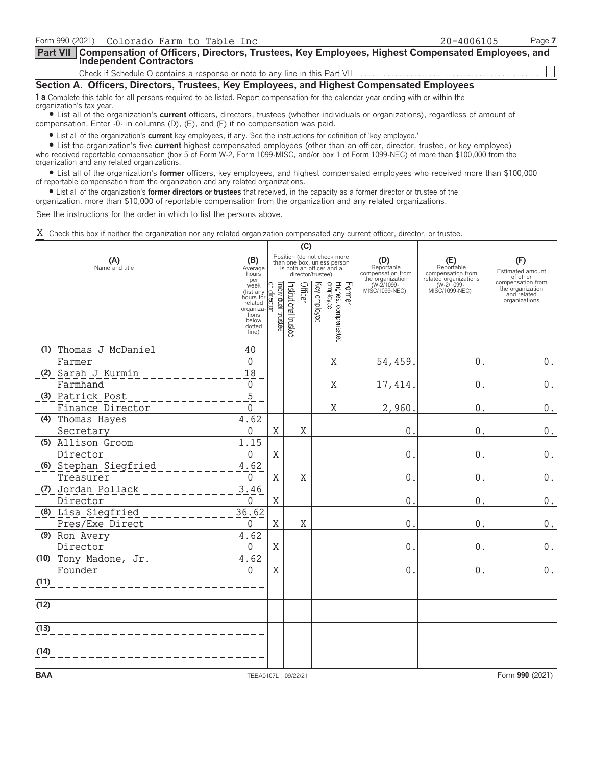| Form 990 (2021) Colorado Farm to Table Inc                                                                                                                            | 20-4006105 | Page 7 |  |  |  |  |  |  |  |
|-----------------------------------------------------------------------------------------------------------------------------------------------------------------------|------------|--------|--|--|--|--|--|--|--|
| Part VII Compensation of Officers, Directors, Trustees, Key Employees, Highest Compensated Employees, and<br>Independent Contractors                                  |            |        |  |  |  |  |  |  |  |
|                                                                                                                                                                       |            |        |  |  |  |  |  |  |  |
| Section A. Officers, Directors, Trustees, Key Employees, and Highest Compensated Employees                                                                            |            |        |  |  |  |  |  |  |  |
| <b>1 a</b> Complete this table for all persons required to be listed. Report compensation for the calendar year ending with or within the<br>organization's tax year. |            |        |  |  |  |  |  |  |  |

? List all of the organization's **current** officers, directors, trustees (whether individuals or organizations), regardless of amount of compensation. Enter -0- in columns (D), (E), and (F) if no compensation was paid.

? List all of the organization's **current** key employees, if any. See the instructions for definition of 'key employee.'

? List the organization's five **current** highest compensated employees (other than an officer, director, trustee, or key employee) who received reportable compensation (box 5 of Form W-2, Form 1099-MISC, and/or box 1 of Form 1099-NEC) of more than \$100,000 from the organization and any related organizations.

? List all of the organization's **former** officers, key employees, and highest compensated employees who received more than \$100,000 of reportable compensation from the organization and any related organizations.

? List all of the organization's **former directors or trustees** that received, in the capacity as a former director or trustee of the

organization, more than \$10,000 of reportable compensation from the organization and any related organizations.

See the instructions for the order in which to list the persons above.

Check this box if neither the organization nor any related organization compensated any current officer, director, or trustee. X

|                                       |                                                                                             |                                                                                                             |                       | (C)         |              |                                 |        |                                                  |                                                       |                                                                       |
|---------------------------------------|---------------------------------------------------------------------------------------------|-------------------------------------------------------------------------------------------------------------|-----------------------|-------------|--------------|---------------------------------|--------|--------------------------------------------------|-------------------------------------------------------|-----------------------------------------------------------------------|
| (A)<br>Name and title                 | (B)<br>Average<br>hours<br>per                                                              | Position (do not check more<br>than one box, unless person<br>is both an officer and a<br>director/trustee) |                       |             |              |                                 |        | (D)<br>Reportable<br>compensation from           | (E)<br>Reportable<br>compensation from                | (F)<br>Estimated amount<br>of other                                   |
|                                       | week<br>(list any<br>hours for<br>related<br>organiza-<br>tions<br>below<br>dotted<br>line) | Individual trustee<br>direct<br>হি                                                                          | Institutional trustee | Officer     | Key employee | Highest compensated<br>employee | Former | the organization<br>(W-2/1099-<br>MISC/1099-NEC) | related organizations<br>(W-2/1099-<br>MISC/1099-NEC) | compensation from<br>the organization<br>and related<br>organizations |
| (1) Thomas J McDaniel                 | $40\,$                                                                                      |                                                                                                             |                       |             |              |                                 |        |                                                  |                                                       |                                                                       |
| Farmer                                | $\overline{0}$                                                                              |                                                                                                             |                       |             |              | X                               |        | 54,459.                                          | 0.                                                    | $0$ .                                                                 |
| (2) Sarah J Kurmin                    | 18                                                                                          |                                                                                                             |                       |             |              |                                 |        |                                                  |                                                       |                                                                       |
| Farmhand                              | $\Omega$                                                                                    |                                                                                                             |                       |             |              | X                               |        | 17, 414.                                         | $\mathbf 0$ .                                         | 0.                                                                    |
| (3) Patrick Post<br>Finance Director  | $\overline{5}$<br>$\Omega$                                                                  |                                                                                                             |                       |             |              | X                               |        | 2,960.                                           | $\mathbf{0}$                                          | $0$ .                                                                 |
| (4) Thomas Hayes                      | 4.62                                                                                        |                                                                                                             |                       |             |              |                                 |        |                                                  |                                                       |                                                                       |
| Secretary                             | 0                                                                                           | $\mathbf X$                                                                                                 |                       | $\mathbf X$ |              |                                 |        | $\mathbf{0}$                                     | $\mathbf{0}$ .                                        | $0$ .                                                                 |
| (5) Allison Groom                     | 1.15                                                                                        |                                                                                                             |                       |             |              |                                 |        |                                                  |                                                       |                                                                       |
| Director                              | $\overline{0}$                                                                              | X                                                                                                           |                       |             |              |                                 |        | 0.                                               | 0.                                                    | 0.                                                                    |
| (6) Stephan Siegfried                 | 4.62                                                                                        |                                                                                                             |                       |             |              |                                 |        |                                                  |                                                       |                                                                       |
| Treasurer                             | $\Omega$                                                                                    | X                                                                                                           |                       | $\rm X$     |              |                                 |        | $\mathbf{0}$ .                                   | $\mathbf{0}$ .                                        | $0$ .                                                                 |
| (7) Jordan Pollack                    | 3.46                                                                                        |                                                                                                             |                       |             |              |                                 |        |                                                  |                                                       |                                                                       |
| Director                              | $\overline{0}$<br>36.62                                                                     | X                                                                                                           |                       |             |              |                                 |        | $\mathsf{O}$                                     | $\mathbf 0$ .                                         | $\boldsymbol{0}$ .                                                    |
| (8) Lisa Siegfried<br>Pres/Exe Direct | $\Omega$                                                                                    | X                                                                                                           |                       | $\rm X$     |              |                                 |        | $\mathbf{0}$ .                                   | $\mathbf{0}$                                          | $0$ .                                                                 |
| (9) Ron Avery                         | 4.62                                                                                        |                                                                                                             |                       |             |              |                                 |        |                                                  |                                                       |                                                                       |
| Director                              | $\mathbf 0$                                                                                 | X                                                                                                           |                       |             |              |                                 |        | $\mathbf{0}$                                     | $\mathbf{0}$                                          | $0$ .                                                                 |
| (10) Tony Madone, Jr.                 | 4.62                                                                                        |                                                                                                             |                       |             |              |                                 |        |                                                  |                                                       |                                                                       |
| Founder                               | $\mathbf{0}$                                                                                | X                                                                                                           |                       |             |              |                                 |        | 0.                                               | 0.                                                    | $0$ .                                                                 |
| (11)                                  |                                                                                             |                                                                                                             |                       |             |              |                                 |        |                                                  |                                                       |                                                                       |
| (12)                                  |                                                                                             |                                                                                                             |                       |             |              |                                 |        |                                                  |                                                       |                                                                       |
|                                       |                                                                                             |                                                                                                             |                       |             |              |                                 |        |                                                  |                                                       |                                                                       |
| (13)                                  |                                                                                             |                                                                                                             |                       |             |              |                                 |        |                                                  |                                                       |                                                                       |
| (14)                                  |                                                                                             |                                                                                                             |                       |             |              |                                 |        |                                                  |                                                       |                                                                       |
| <b>BAA</b>                            | TEEA0107L 09/22/21                                                                          |                                                                                                             |                       |             |              |                                 |        |                                                  |                                                       | Form 990 (2021)                                                       |
|                                       |                                                                                             |                                                                                                             |                       |             |              |                                 |        |                                                  |                                                       |                                                                       |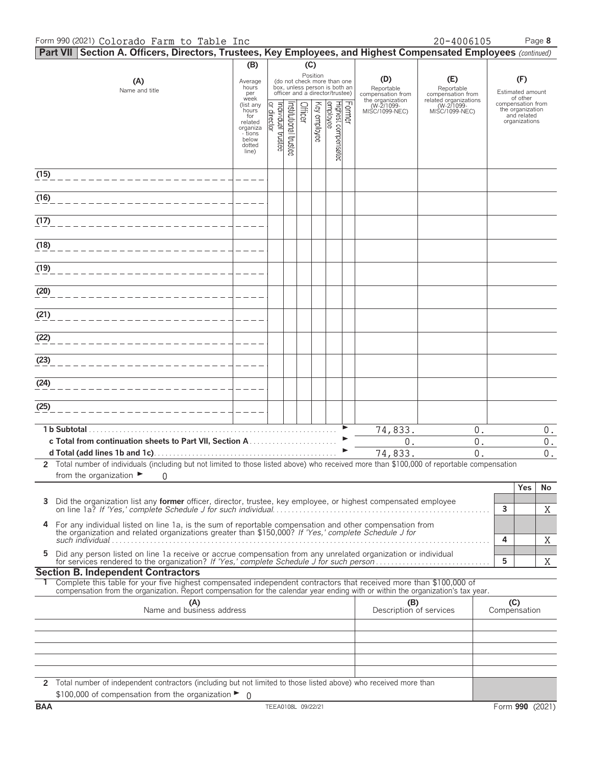| 20-4006105 |
|------------|
|            |

|                                             | Form 990 (2021) Colorado Farm to Table Inc                                                                                                                                                                                                               |                                                                                         |                                  |                      |         |                 |                                                                                                 |        |                                                  | 20-4006105                                            |                     | Page 8                                                                |                |
|---------------------------------------------|----------------------------------------------------------------------------------------------------------------------------------------------------------------------------------------------------------------------------------------------------------|-----------------------------------------------------------------------------------------|----------------------------------|----------------------|---------|-----------------|-------------------------------------------------------------------------------------------------|--------|--------------------------------------------------|-------------------------------------------------------|---------------------|-----------------------------------------------------------------------|----------------|
|                                             | Part VII Section A. Officers, Directors, Trustees, Key Employees, and Highest Compensated Employees (continued)                                                                                                                                          |                                                                                         |                                  |                      |         |                 |                                                                                                 |        |                                                  |                                                       |                     |                                                                       |                |
|                                             | (A)<br>Name and title                                                                                                                                                                                                                                    | (B)<br>Average<br>hours<br>per<br>week                                                  |                                  |                      |         | (C)<br>Position | (do not check more than one<br>box, unless person is both an<br>officer and a director/trustee) |        | (D)<br>Reportable<br>compensation from           | (E)<br>Reportable<br>compensation from                |                     | (F)<br>Estimated amount<br>of other                                   |                |
|                                             |                                                                                                                                                                                                                                                          | (list any<br>hours<br>for<br>related<br>organiza<br>- tions<br>below<br>dotted<br>line) | or director<br>ndividual trustee | nstitutional trustee | Officer | Key employee    | Highest compensated<br>employee                                                                 | Former | the organization<br>(W-2/1099-<br>MISC/1099-NEC) | related organizations<br>(W-2/1099-<br>MISC/1099-NEC) |                     | compensation from<br>the organization<br>and related<br>organizations |                |
| (15)                                        |                                                                                                                                                                                                                                                          |                                                                                         |                                  |                      |         |                 |                                                                                                 |        |                                                  |                                                       |                     |                                                                       |                |
|                                             |                                                                                                                                                                                                                                                          |                                                                                         |                                  |                      |         |                 |                                                                                                 |        |                                                  |                                                       |                     |                                                                       |                |
| (17)                                        |                                                                                                                                                                                                                                                          |                                                                                         |                                  |                      |         |                 |                                                                                                 |        |                                                  |                                                       |                     |                                                                       |                |
| (18)                                        |                                                                                                                                                                                                                                                          |                                                                                         |                                  |                      |         |                 |                                                                                                 |        |                                                  |                                                       |                     |                                                                       |                |
| (19)                                        |                                                                                                                                                                                                                                                          |                                                                                         |                                  |                      |         |                 |                                                                                                 |        |                                                  |                                                       |                     |                                                                       |                |
| (20)                                        |                                                                                                                                                                                                                                                          |                                                                                         |                                  |                      |         |                 |                                                                                                 |        |                                                  |                                                       |                     |                                                                       |                |
| (21)                                        |                                                                                                                                                                                                                                                          |                                                                                         |                                  |                      |         |                 |                                                                                                 |        |                                                  |                                                       |                     |                                                                       |                |
| (22)                                        |                                                                                                                                                                                                                                                          |                                                                                         |                                  |                      |         |                 |                                                                                                 |        |                                                  |                                                       |                     |                                                                       |                |
| $\overline{(23)}$                           |                                                                                                                                                                                                                                                          |                                                                                         |                                  |                      |         |                 |                                                                                                 |        |                                                  |                                                       |                     |                                                                       |                |
|                                             | (2 <u>4)</u><br>—————————————————————————                                                                                                                                                                                                                |                                                                                         |                                  |                      |         |                 |                                                                                                 |        |                                                  |                                                       |                     |                                                                       |                |
| (25)                                        |                                                                                                                                                                                                                                                          |                                                                                         |                                  |                      |         |                 |                                                                                                 |        |                                                  |                                                       |                     |                                                                       |                |
|                                             |                                                                                                                                                                                                                                                          |                                                                                         |                                  |                      |         |                 |                                                                                                 |        | 74,833.<br>$0$ .                                 | $0$ .<br>0.                                           |                     |                                                                       | $0$ .<br>$0$ . |
|                                             |                                                                                                                                                                                                                                                          |                                                                                         |                                  |                      |         |                 |                                                                                                 |        | 74,833.                                          | 0.                                                    |                     |                                                                       | $\mathbf 0$ .  |
| from the organization $\blacktriangleright$ | 2 Total number of individuals (including but not limited to those listed above) who received more than \$100,000 of reportable compensation<br>0                                                                                                         |                                                                                         |                                  |                      |         |                 |                                                                                                 |        |                                                  |                                                       |                     |                                                                       |                |
| 3                                           | Did the organization list any former officer, director, trustee, key employee, or highest compensated employee                                                                                                                                           |                                                                                         |                                  |                      |         |                 |                                                                                                 |        |                                                  |                                                       |                     | Yes                                                                   | No             |
|                                             |                                                                                                                                                                                                                                                          |                                                                                         |                                  |                      |         |                 |                                                                                                 |        |                                                  |                                                       | 3                   |                                                                       | Χ              |
| 4                                           | For any individual listed on line 1a, is the sum of reportable compensation and other compensation from the organization and related organizations greater than \$150,000? If 'Yes,' complete Schedule J for                                             |                                                                                         |                                  |                      |         |                 |                                                                                                 |        |                                                  |                                                       | 4                   |                                                                       | X              |
| 5.                                          | Did any person listed on line 1a receive or accrue compensation from any unrelated organization or individual                                                                                                                                            |                                                                                         |                                  |                      |         |                 |                                                                                                 |        |                                                  |                                                       | 5                   |                                                                       | Χ              |
|                                             | <b>Section B. Independent Contractors</b>                                                                                                                                                                                                                |                                                                                         |                                  |                      |         |                 |                                                                                                 |        |                                                  |                                                       |                     |                                                                       |                |
|                                             | 1 Complete this table for your five highest compensated independent contractors that received more than \$100,000 of<br>compensation from the organization. Report compensation for the calendar year ending with or within the organization's tax year. |                                                                                         |                                  |                      |         |                 |                                                                                                 |        |                                                  |                                                       |                     |                                                                       |                |
|                                             | (A)<br>Name and business address                                                                                                                                                                                                                         |                                                                                         |                                  |                      |         |                 |                                                                                                 |        | (B)<br>Description of services                   |                                                       | (C)<br>Compensation |                                                                       |                |
|                                             |                                                                                                                                                                                                                                                          |                                                                                         |                                  |                      |         |                 |                                                                                                 |        |                                                  |                                                       |                     |                                                                       |                |
|                                             |                                                                                                                                                                                                                                                          |                                                                                         |                                  |                      |         |                 |                                                                                                 |        |                                                  |                                                       |                     |                                                                       |                |
|                                             |                                                                                                                                                                                                                                                          |                                                                                         |                                  |                      |         |                 |                                                                                                 |        |                                                  |                                                       |                     |                                                                       |                |
|                                             | 2 Total number of independent contractors (including but not limited to those listed above) who received more than<br>\$100,000 of compensation from the organization $\blacktriangleright$ 0                                                            |                                                                                         |                                  |                      |         |                 |                                                                                                 |        |                                                  |                                                       |                     |                                                                       |                |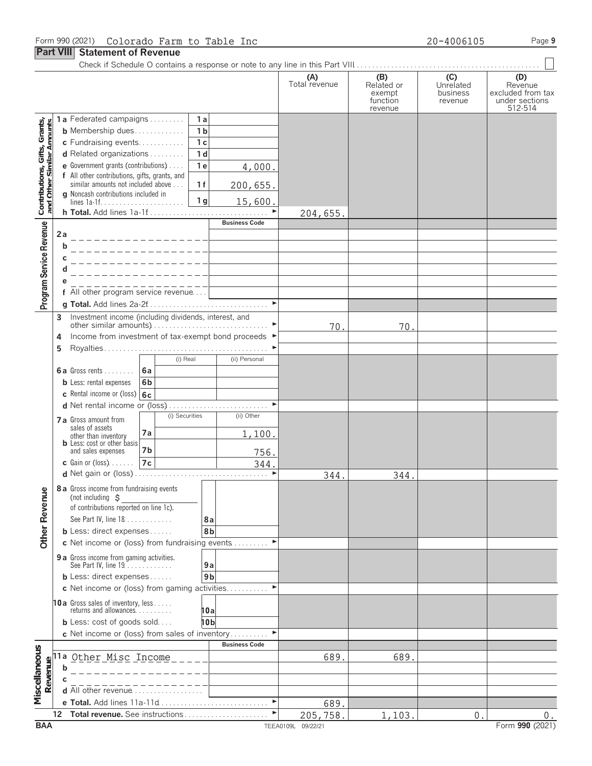#### Form 990 (2021) Page **9** Colorado Farm to Table Inc 20-4006105

#### **Part VIII Statement of Revenue**

|                                                    |     |                                                                                      |                |                |                |                      | (A)<br>Total revenue | (B)<br>Related or<br>exempt<br>function<br>revenue | (C)<br>Unrelated<br>business<br>revenue | (D)<br>Revenue<br>excluded from tax<br>under sections<br>512-514 |
|----------------------------------------------------|-----|--------------------------------------------------------------------------------------|----------------|----------------|----------------|----------------------|----------------------|----------------------------------------------------|-----------------------------------------|------------------------------------------------------------------|
|                                                    |     | 1a Federated campaigns                                                               |                |                | 1a             |                      |                      |                                                    |                                         |                                                                  |
| Grants <sub>/</sub>                                |     | <b>b</b> Membership dues                                                             |                |                | 1 <sub>b</sub> |                      |                      |                                                    |                                         |                                                                  |
|                                                    |     | c Fundraising events                                                                 |                |                | 1 <sub>c</sub> |                      |                      |                                                    |                                         |                                                                  |
|                                                    |     | <b>d</b> Related organizations $\ldots$                                              |                |                | 1 <sub>d</sub> |                      |                      |                                                    |                                         |                                                                  |
|                                                    |     | e Government grants (contributions)<br>f All other contributions, gifts, grants, and |                |                | 1 <sub>e</sub> | 4,000.               |                      |                                                    |                                         |                                                                  |
| and Other Similar Amounts<br>Contributions, Gifts, |     | similar amounts not included above                                                   |                |                | 1 f            | 200,655.             |                      |                                                    |                                         |                                                                  |
|                                                    |     | g Noncash contributions included in                                                  |                |                | 1 <sub>g</sub> | 15,600.              |                      |                                                    |                                         |                                                                  |
|                                                    |     |                                                                                      |                |                |                |                      | 204,655              |                                                    |                                         |                                                                  |
|                                                    |     |                                                                                      |                |                |                | <b>Business Code</b> |                      |                                                    |                                         |                                                                  |
| Program Service Revenue                            | 2a  |                                                                                      |                |                |                |                      |                      |                                                    |                                         |                                                                  |
|                                                    | b   |                                                                                      |                |                |                |                      |                      |                                                    |                                         |                                                                  |
|                                                    |     |                                                                                      |                |                |                |                      |                      |                                                    |                                         |                                                                  |
|                                                    |     |                                                                                      |                |                |                |                      |                      |                                                    |                                         |                                                                  |
|                                                    |     | f All other program service revenue                                                  |                |                |                |                      |                      |                                                    |                                         |                                                                  |
|                                                    |     |                                                                                      |                |                |                |                      |                      |                                                    |                                         |                                                                  |
|                                                    | 3   | Investment income (including dividends, interest, and                                |                |                |                |                      |                      |                                                    |                                         |                                                                  |
|                                                    |     |                                                                                      |                |                |                |                      | 70.                  | 70                                                 |                                         |                                                                  |
|                                                    | 4   | Income from investment of tax-exempt bond proceeds ▶                                 |                |                |                |                      |                      |                                                    |                                         |                                                                  |
|                                                    | 5   |                                                                                      |                | (i) Real       |                | (ii) Personal        |                      |                                                    |                                         |                                                                  |
|                                                    |     | 6a Gross rents                                                                       | <b>6a</b>      |                |                |                      |                      |                                                    |                                         |                                                                  |
|                                                    |     | <b>b</b> Less: rental expenses                                                       | 6 <sub>b</sub> |                |                |                      |                      |                                                    |                                         |                                                                  |
|                                                    |     | c Rental income or (loss) $6c$                                                       |                |                |                |                      |                      |                                                    |                                         |                                                                  |
|                                                    |     |                                                                                      |                |                |                |                      |                      |                                                    |                                         |                                                                  |
|                                                    |     | 7 a Gross amount from                                                                |                | (i) Securities |                | (ii) Other           |                      |                                                    |                                         |                                                                  |
|                                                    |     | sales of assets<br>other than inventory                                              | 7a             |                |                | 1,100.               |                      |                                                    |                                         |                                                                  |
|                                                    |     | <b>b</b> Less: cost or other basis                                                   | 7b             |                |                |                      |                      |                                                    |                                         |                                                                  |
|                                                    |     | and sales expenses<br>$c$ Gain or (loss)                                             | 7c             |                |                | 756.<br>344.         |                      |                                                    |                                         |                                                                  |
|                                                    |     | <b>d</b> Net gain or (loss).                                                         |                |                |                |                      | 344.                 | 344.                                               |                                         |                                                                  |
|                                                    |     | <b>8a</b> Gross income from fundraising events                                       |                |                |                |                      |                      |                                                    |                                         |                                                                  |
| <b>Other Revenue</b>                               |     | (not including $\zeta$                                                               |                |                |                |                      |                      |                                                    |                                         |                                                                  |
|                                                    |     | of contributions reported on line 1c).                                               |                |                |                |                      |                      |                                                    |                                         |                                                                  |
|                                                    |     | See Part IV, line 18                                                                 |                |                | 8a             |                      |                      |                                                    |                                         |                                                                  |
|                                                    |     | <b>b</b> Less: direct expenses<br>c Net income or (loss) from fundraising events     |                |                | 8b             |                      |                      |                                                    |                                         |                                                                  |
|                                                    |     |                                                                                      |                |                |                |                      |                      |                                                    |                                         |                                                                  |
|                                                    |     | 9 a Gross income from gaming activities.<br>See Part IV, line 19.                    |                |                | 9a             |                      |                      |                                                    |                                         |                                                                  |
|                                                    |     | <b>b</b> Less: direct expenses                                                       |                |                | 9 <sub>b</sub> |                      |                      |                                                    |                                         |                                                                  |
|                                                    |     | c Net income or (loss) from gaming activities                                        |                |                |                |                      |                      |                                                    |                                         |                                                                  |
|                                                    |     | 10a Gross sales of inventory, less<br>returns and allowances                         |                |                |                |                      |                      |                                                    |                                         |                                                                  |
|                                                    |     | <b>b</b> Less: $cost$ of goods sold                                                  |                |                | 10a<br>10b     |                      |                      |                                                    |                                         |                                                                  |
|                                                    |     | c Net income or (loss) from sales of inventory                                       |                |                |                |                      |                      |                                                    |                                         |                                                                  |
|                                                    |     |                                                                                      |                |                |                | <b>Business Code</b> |                      |                                                    |                                         |                                                                  |
| Miscellaneous                                      | 1 a | Other Misc Income                                                                    |                |                |                |                      | 689.                 | 689.                                               |                                         |                                                                  |
| Revenue                                            | b   |                                                                                      |                |                |                |                      |                      |                                                    |                                         |                                                                  |
|                                                    |     |                                                                                      |                |                |                |                      |                      |                                                    |                                         |                                                                  |
|                                                    |     | d All other revenue                                                                  |                |                |                |                      |                      |                                                    |                                         |                                                                  |
|                                                    |     | e Total. Add lines 11a-11d                                                           |                |                |                |                      | 689                  |                                                    |                                         |                                                                  |
|                                                    | 12  | Total revenue. See instructions                                                      |                |                |                |                      | 205,758.             | 1,103                                              | 0.                                      | 0.                                                               |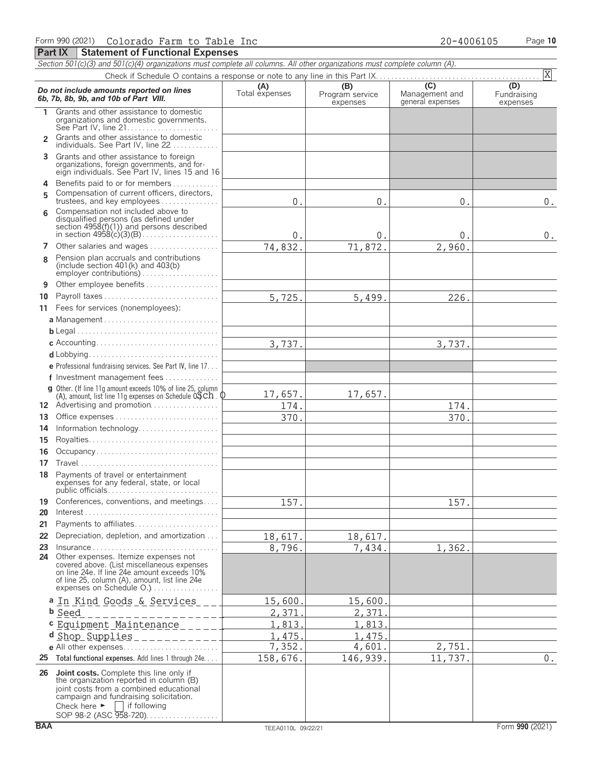|   | Form 990 (2021) Colorado Farm to Table Inc                                                                                               |                       |                                    | 20-4006105                                | Page 10                        |
|---|------------------------------------------------------------------------------------------------------------------------------------------|-----------------------|------------------------------------|-------------------------------------------|--------------------------------|
|   | <b>Statement of Functional Expenses</b><br>Part IX                                                                                       |                       |                                    |                                           |                                |
|   | Section 501(c)(3) and 501(c)(4) organizations must complete all columns. All other organizations must complete column (A).               |                       |                                    |                                           |                                |
|   | Check if Schedule O contains a response or note to any line in this Part IX                                                              |                       |                                    |                                           |                                |
|   | Do not include amounts reported on lines<br>6b, 7b, 8b, 9b, and 10b of Part VIII.                                                        | (A)<br>Total expenses | (B)<br>Program service<br>expenses | (C)<br>Management and<br>general expenses | (D)<br>Fundraising<br>expenses |
|   | Grants and other assistance to domestic<br>organizations and domestic governments.<br>See Part IV, line 21                               |                       |                                    |                                           |                                |
|   | Grants and other assistance to domestic<br>individuals. See Part IV, line 22.<br>.                                                       |                       |                                    |                                           |                                |
|   | Grants and other assistance to foreign<br>organizations, foreign governments, and for-<br>eign individuals. See Part IV, lines 15 and 16 |                       |                                    |                                           |                                |
| 4 | Benefits paid to or for members                                                                                                          |                       |                                    |                                           |                                |
|   | Compensation of current officers, directors,<br>trustees, and key employees                                                              | 0.                    | 0                                  |                                           | 0.                             |
|   | Compensation not included above to<br>disqualified persons (as defined under<br>section $4958(f)(1)$ and persons described               |                       |                                    |                                           |                                |

| 5            | Compensation of current officers, directors,<br>trustees, and key employees                                                                                                                                                                              | 0.                 | 0.                    | 0.      | $0$ .           |
|--------------|----------------------------------------------------------------------------------------------------------------------------------------------------------------------------------------------------------------------------------------------------------|--------------------|-----------------------|---------|-----------------|
| 6            | Compensation not included above to<br>disqualified persons (as defined under<br>section 4958(f)(1)) and persons described                                                                                                                                | 0.                 | 0.                    | 0.      | $0$ .           |
| 7            | Other salaries and wages                                                                                                                                                                                                                                 | 74,832.            | 71,872.               | 2,960.  |                 |
| $\mathbf{R}$ | Pension plan accruals and contributions<br>(include section $401(k)$ and $403(b)$                                                                                                                                                                        |                    |                       |         |                 |
| 9            | Other employee benefits                                                                                                                                                                                                                                  |                    |                       |         |                 |
| 10           | Payroll taxes                                                                                                                                                                                                                                            | 5,725.             | 5,499.                | 226.    |                 |
| 11           | Fees for services (nonemployees):                                                                                                                                                                                                                        |                    |                       |         |                 |
|              |                                                                                                                                                                                                                                                          |                    |                       |         |                 |
|              |                                                                                                                                                                                                                                                          |                    |                       |         |                 |
|              |                                                                                                                                                                                                                                                          | 3,737.             |                       | 3,737.  |                 |
|              |                                                                                                                                                                                                                                                          |                    |                       |         |                 |
|              | e Professional fundraising services. See Part IV, line 17                                                                                                                                                                                                |                    |                       |         |                 |
|              | f Investment management fees                                                                                                                                                                                                                             |                    |                       |         |                 |
|              | g Other. (If line 11g amount exceeds 10% of line 25, column<br>(A), amount, list line 11g expenses on Schedule $0\text{Sch}$ . $\mathbb{Q}$                                                                                                              | 17,657.            | 17,657.               |         |                 |
|              | 12 Advertising and promotion                                                                                                                                                                                                                             | 174.               |                       | 174.    |                 |
| 13           |                                                                                                                                                                                                                                                          | 370.               |                       | 370.    |                 |
| 14           |                                                                                                                                                                                                                                                          |                    |                       |         |                 |
| 15           |                                                                                                                                                                                                                                                          |                    |                       |         |                 |
| 16           |                                                                                                                                                                                                                                                          |                    |                       |         |                 |
| 17           |                                                                                                                                                                                                                                                          |                    |                       |         |                 |
| 18           | Payments of travel or entertainment<br>expenses for any federal, state, or local                                                                                                                                                                         |                    |                       |         |                 |
|              | 19 Conferences, conventions, and meetings                                                                                                                                                                                                                | 157.               |                       | 157.    |                 |
| 20           |                                                                                                                                                                                                                                                          |                    |                       |         |                 |
| 21           | Payments to affiliates                                                                                                                                                                                                                                   |                    |                       |         |                 |
| 22           | Depreciation, depletion, and amortization                                                                                                                                                                                                                | 18,617.            | 18,617.               |         |                 |
| 23           | Insurance                                                                                                                                                                                                                                                | 8,796.             | $\overline{7}$ , 434. | 1,362.  |                 |
| 24           | Other expenses. Itemize expenses not<br>covered above. (List miscellaneous expenses<br>on line 24e. If line 24e amount exceeds 10%<br>of line 25, column (A), amount, list line 24e<br>expenses on Schedule O.)                                          |                    |                       |         |                 |
|              | <sup>a</sup> In Kind Goods & Services                                                                                                                                                                                                                    | 15,600.            | 15,600.               |         |                 |
|              |                                                                                                                                                                                                                                                          | 2,371              | 2,371                 |         |                 |
|              |                                                                                                                                                                                                                                                          | 1,813.             | 1,813.                |         |                 |
|              | d Shop Supplies                                                                                                                                                                                                                                          | 1,475              | 1,475                 |         |                 |
|              | e All other expenses                                                                                                                                                                                                                                     | 7,352.             | 4,601.                | 2,751.  |                 |
| 25           | Total functional expenses. Add lines 1 through 24e                                                                                                                                                                                                       | 158,676.           | 146,939.              | 11,737. | $0$ .           |
|              | 26 Joint costs. Complete this line only if<br>the organization reported in column (B)<br>joint costs from a combined educational<br>campaign and fundraising solicitation.<br>if following<br>Check here $\blacktriangleright$<br>SOP 98-2 (ASC 958-720) |                    |                       |         |                 |
| <b>BAA</b>   |                                                                                                                                                                                                                                                          | TEEA0110L 09/22/21 |                       |         | Form 990 (2021) |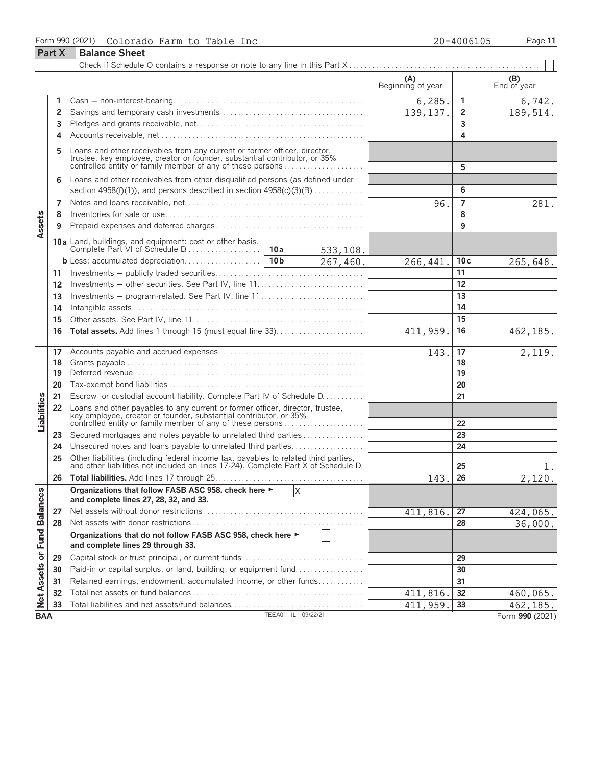#### Form 990 (2021) Page **11** Colorado Farm to Table Inc 20-4006105

|                             | <b>Part X</b> | <b>Balance Sheet</b>                                                                                                                                                                                                  |                          |                |                    |
|-----------------------------|---------------|-----------------------------------------------------------------------------------------------------------------------------------------------------------------------------------------------------------------------|--------------------------|----------------|--------------------|
|                             |               |                                                                                                                                                                                                                       |                          |                |                    |
|                             |               |                                                                                                                                                                                                                       | (A)<br>Beginning of year |                | (B)<br>End of year |
|                             | 1             |                                                                                                                                                                                                                       | 6, 285.                  | $\mathbf{1}$   | 6,742.             |
|                             | 2             |                                                                                                                                                                                                                       | 139, 137.                | $\overline{2}$ | 189,514.           |
|                             | 3             |                                                                                                                                                                                                                       |                          | 3              |                    |
|                             | 4             |                                                                                                                                                                                                                       |                          | 4              |                    |
|                             | 5             | Loans and other receivables from any current or former officer, director,<br>trustee, key employee, creator or founder, substantial contributor, or 35%<br>controlled entity or family member of any of these persons |                          | 5              |                    |
|                             | 6             | Loans and other receivables from other disqualified persons (as defined under<br>section $4958(f)(1)$ , and persons described in section $4958(c)(3)(B)$                                                              |                          | 6              |                    |
|                             | 7             |                                                                                                                                                                                                                       | 96.                      | 7              | 281.               |
|                             | 8             |                                                                                                                                                                                                                       |                          | 8              |                    |
| Assets                      | 9             |                                                                                                                                                                                                                       |                          | 9              |                    |
|                             |               | 533,108.                                                                                                                                                                                                              |                          |                |                    |
|                             |               | 267,460.                                                                                                                                                                                                              | 266,441                  | 10c            | 265,648.           |
|                             | 11            |                                                                                                                                                                                                                       |                          | 11             |                    |
|                             | 12            |                                                                                                                                                                                                                       |                          | 12             |                    |
|                             | 13            | Investments - program-related. See Part IV, line 11                                                                                                                                                                   |                          | 13             |                    |
|                             | 14            |                                                                                                                                                                                                                       |                          | 14             |                    |
|                             | 15            |                                                                                                                                                                                                                       |                          | 15             |                    |
|                             | 16            | <b>Total assets.</b> Add lines 1 through 15 (must equal line 33)                                                                                                                                                      | 411,959.                 | 16             | 462,185.           |
|                             | 17            |                                                                                                                                                                                                                       | 143.                     | 17             | 2,119.             |
|                             | 18            |                                                                                                                                                                                                                       |                          | 18             |                    |
|                             | 19<br>20      |                                                                                                                                                                                                                       |                          | 19<br>20       |                    |
|                             | 21            | Escrow or custodial account liability. Complete Part IV of Schedule D.                                                                                                                                                |                          | 21             |                    |
|                             | 22            | Loans and other payables to any current or former officer, director, trustee,                                                                                                                                         |                          |                |                    |
| Liabilities                 |               | key employee, creator or founder, substantial contributor, or 35%<br>controlled entity or family member of any of these persons                                                                                       |                          | 22             |                    |
|                             | 23            | Secured mortgages and notes payable to unrelated third parties                                                                                                                                                        |                          | 23             |                    |
|                             | 24            | Unsecured notes and loans payable to unrelated third parties                                                                                                                                                          |                          | 24             |                    |
|                             | 25            | Other liabilities (including federal income tax, payables to related third parties, and other liabilities not included on lines 17-24). Complete Part X of Schedule D.                                                |                          | 25             | l.                 |
|                             | 26            |                                                                                                                                                                                                                       | 143.                     | 26             | 2,120.             |
|                             |               | X<br>Organizations that follow FASB ASC 958, check here ►<br>and complete lines 27, 28, 32, and 33.                                                                                                                   |                          |                |                    |
|                             | 27            |                                                                                                                                                                                                                       | 411,816.                 | 27             | 424,065.           |
|                             | 28            |                                                                                                                                                                                                                       |                          | 28             | 36,000.            |
| Net Assets or Fund Balances |               | Organizations that do not follow FASB ASC 958, check here ►<br>and complete lines 29 through 33.                                                                                                                      |                          |                |                    |
|                             | 29            | Capital stock or trust principal, or current funds                                                                                                                                                                    |                          | 29             |                    |
|                             | 30            | Paid-in or capital surplus, or land, building, or equipment fund                                                                                                                                                      |                          | 30             |                    |
|                             | 31            | Retained earnings, endowment, accumulated income, or other funds                                                                                                                                                      |                          | 31             |                    |
|                             | 32            |                                                                                                                                                                                                                       | 411,816.                 | 32             | 460,065.           |
|                             | 33            | Total liabilities and net assets/fund balances                                                                                                                                                                        | 411,959.                 | 33             | 462,185.           |
| <b>BAA</b>                  |               | TEEA0111L 09/22/21                                                                                                                                                                                                    |                          |                | Form 990 (2021)    |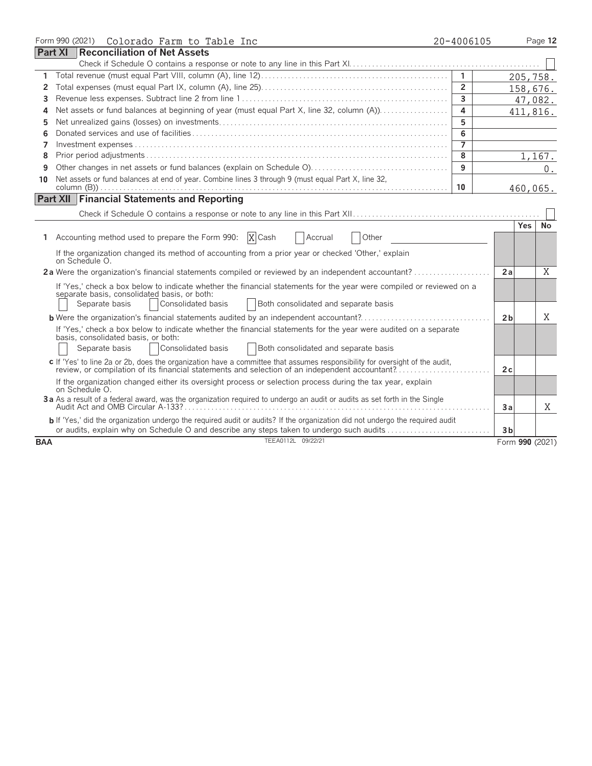|            |                |                | Form 990 (2021) Colorado Farm to Table Inc                                                                                                                                                                                    | 20-4006105     |                 | Page 12  |
|------------|----------------|----------------|-------------------------------------------------------------------------------------------------------------------------------------------------------------------------------------------------------------------------------|----------------|-----------------|----------|
|            | <b>Part XI</b> |                | <b>Reconciliation of Net Assets</b>                                                                                                                                                                                           |                |                 |          |
|            |                |                |                                                                                                                                                                                                                               |                |                 |          |
| 1          |                |                |                                                                                                                                                                                                                               | $\mathbf{1}$   |                 | 205,758. |
| 2          |                |                |                                                                                                                                                                                                                               | $\overline{2}$ |                 | 158,676. |
| 3          |                |                |                                                                                                                                                                                                                               | 3              |                 | 47,082.  |
| 4          |                |                | Net assets or fund balances at beginning of year (must equal Part X, line 32, column (A))                                                                                                                                     | 4              |                 | 411,816. |
| 5          |                |                |                                                                                                                                                                                                                               | $\overline{5}$ |                 |          |
| 6          |                |                |                                                                                                                                                                                                                               | 6              |                 |          |
| 7          |                |                |                                                                                                                                                                                                                               | $\overline{7}$ |                 |          |
| 8          |                |                |                                                                                                                                                                                                                               | 8              |                 | 1,167.   |
| 9          |                |                |                                                                                                                                                                                                                               | 9              |                 | 0.       |
| 10         |                |                | Net assets or fund balances at end of year. Combine lines 3 through 9 (must equal Part X, line 32,                                                                                                                            |                |                 |          |
|            |                |                | column (B) $\ldots$ $\ldots$ $\ldots$ $\ldots$ $\ldots$ $\ldots$ $\ldots$ $\ldots$ $\ldots$ $\ldots$ $\ldots$ $\ldots$ $\ldots$ $\ldots$ $\ldots$                                                                             | 10             |                 | 460,065. |
|            |                |                | <b>Part XII Financial Statements and Reporting</b>                                                                                                                                                                            |                |                 |          |
|            |                |                |                                                                                                                                                                                                                               |                |                 |          |
|            |                |                |                                                                                                                                                                                                                               |                | <b>Yes</b>      | No       |
| 1          |                |                | X Cash<br>Accounting method used to prepare the Form 990:<br>Other<br>Accrual                                                                                                                                                 |                |                 |          |
|            |                | on Schedule O. | If the organization changed its method of accounting from a prior year or checked 'Other,' explain                                                                                                                            |                |                 |          |
|            |                |                | 2a Were the organization's financial statements compiled or reviewed by an independent accountant?                                                                                                                            |                | 2a              | X        |
|            |                |                | If 'Yes,' check a box below to indicate whether the financial statements for the year were compiled or reviewed on a                                                                                                          |                |                 |          |
|            |                |                | separate basis, consolidated basis, or both:                                                                                                                                                                                  |                |                 |          |
|            |                |                | Consolidated basis<br>Both consolidated and separate basis<br>Separate basis                                                                                                                                                  |                |                 |          |
|            |                |                | <b>b</b> Were the organization's financial statements audited by an independent accountant?                                                                                                                                   |                | 2 <sub>b</sub>  | X        |
|            |                |                | If 'Yes,' check a box below to indicate whether the financial statements for the year were audited on a separate                                                                                                              |                |                 |          |
|            |                |                | basis, consolidated basis, or both:                                                                                                                                                                                           |                |                 |          |
|            |                |                | Consolidated basis<br>Separate basis<br><b>Both consolidated and separate basis</b>                                                                                                                                           |                |                 |          |
|            |                |                | c If 'Yes' to line 2a or 2b, does the organization have a committee that assumes responsibility for oversight of the audit,<br>review, or compilation of its financial statements and selection of an independent accountant? |                | 2c              |          |
|            |                | on Schedule O. | If the organization changed either its oversight process or selection process during the tax year, explain                                                                                                                    |                |                 |          |
|            |                |                | 3a As a result of a federal award, was the organization required to undergo an audit or audits as set forth in the Single                                                                                                     |                | 3a              | X        |
|            |                |                | b If 'Yes,' did the organization undergo the required audit or audits? If the organization did not undergo the required audit                                                                                                 |                |                 |          |
|            |                |                | or audits, explain why on Schedule O and describe any steps taken to undergo such audits                                                                                                                                      |                | 3 <sub>b</sub>  |          |
| <b>BAA</b> |                |                | TEEA0112L 09/22/21                                                                                                                                                                                                            |                | Form 990 (2021) |          |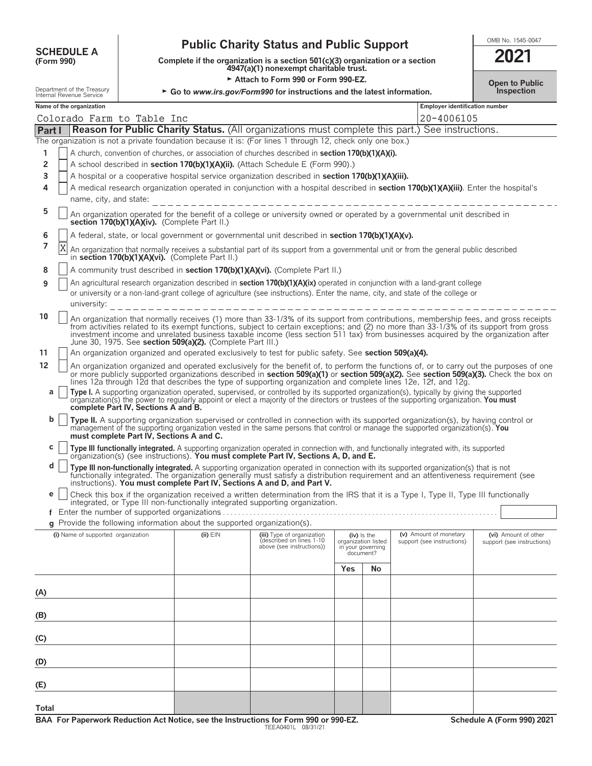| <b>SCHEDULE A</b>    |  |
|----------------------|--|
| $(F_{\alpha r}$ 990) |  |

**Total**

# **Public Charity Status and Public Support**<br> **SCHEDUARE A** lete if the organization is a section 501(c)(3) organization or a section

**COMPOSCHEDULE A**<br> **Complete if the organization is a section 501(c)(3) organization or a section**<br>
4947(a)(1) nonexempt charitable trust.

| Attach to Form 990 or Form 990-EZ.                                                                                                 |                                    |                                          |                                                                            |                                                                                                                                                                                                                                                                                                                                                                                                                    |                                |                                      |                                                      | Open to Public                                     |
|------------------------------------------------------------------------------------------------------------------------------------|------------------------------------|------------------------------------------|----------------------------------------------------------------------------|--------------------------------------------------------------------------------------------------------------------------------------------------------------------------------------------------------------------------------------------------------------------------------------------------------------------------------------------------------------------------------------------------------------------|--------------------------------|--------------------------------------|------------------------------------------------------|----------------------------------------------------|
| Department of the Treasury<br>Internal Revenue Service<br>► Go to www.irs.gov/Form990 for instructions and the latest information. |                                    |                                          |                                                                            |                                                                                                                                                                                                                                                                                                                                                                                                                    |                                |                                      |                                                      | Inspection                                         |
|                                                                                                                                    | Name of the organization           |                                          |                                                                            |                                                                                                                                                                                                                                                                                                                                                                                                                    |                                |                                      | Employer identification number                       |                                                    |
|                                                                                                                                    | Colorado Farm to Table Inc         |                                          |                                                                            |                                                                                                                                                                                                                                                                                                                                                                                                                    |                                |                                      | 20-4006105                                           |                                                    |
|                                                                                                                                    |                                    |                                          |                                                                            | <b>Part   Reason for Public Charity Status.</b> (All organizations must complete this part.) See instructions.                                                                                                                                                                                                                                                                                                     |                                |                                      |                                                      |                                                    |
|                                                                                                                                    |                                    |                                          |                                                                            | The organization is not a private foundation because it is: (For lines 1 through 12, check only one box.)                                                                                                                                                                                                                                                                                                          |                                |                                      |                                                      |                                                    |
| 1                                                                                                                                  |                                    |                                          |                                                                            | A church, convention of churches, or association of churches described in <b>section 170(b)(1)(A)(i).</b>                                                                                                                                                                                                                                                                                                          |                                |                                      |                                                      |                                                    |
| 2<br>3                                                                                                                             |                                    |                                          |                                                                            | A school described in section 170(b)(1)(A)(ii). (Attach Schedule E (Form 990).)                                                                                                                                                                                                                                                                                                                                    |                                |                                      |                                                      |                                                    |
| 4                                                                                                                                  |                                    |                                          |                                                                            | A hospital or a cooperative hospital service organization described in section 170(b)(1)(A)(iii).<br>A medical research organization operated in conjunction with a hospital described in section 170(b)(1)(A)(iii). Enter the hospital's                                                                                                                                                                          |                                |                                      |                                                      |                                                    |
|                                                                                                                                    | name, city, and state:             |                                          |                                                                            | ___________________________________                                                                                                                                                                                                                                                                                                                                                                                |                                |                                      |                                                      |                                                    |
| 5                                                                                                                                  |                                    |                                          | section 170(b)(1)(A)(iv). (Complete Part II.)                              | An organization operated for the benefit of a college or university owned or operated by a governmental unit described in                                                                                                                                                                                                                                                                                          |                                |                                      |                                                      |                                                    |
| 6                                                                                                                                  |                                    |                                          |                                                                            | A federal, state, or local government or governmental unit described in section 170(b)(1)(A)(v).                                                                                                                                                                                                                                                                                                                   |                                |                                      |                                                      |                                                    |
| 7                                                                                                                                  | Χ                                  |                                          | in section 170(b)(1)(A)(vi). (Complete Part II.)                           | An organization that normally receives a substantial part of its support from a governmental unit or from the general public described                                                                                                                                                                                                                                                                             |                                |                                      |                                                      |                                                    |
| 8                                                                                                                                  |                                    |                                          |                                                                            | A community trust described in section 170(b)(1)(A)(vi). (Complete Part II.)                                                                                                                                                                                                                                                                                                                                       |                                |                                      |                                                      |                                                    |
| 9                                                                                                                                  |                                    |                                          |                                                                            | An agricultural research organization described in section 170(b)(1)(A)(ix) operated in conjunction with a land-grant college<br>or university or a non-land-grant college of agriculture (see instructions). Enter the name, city, and state of the college or                                                                                                                                                    |                                |                                      |                                                      |                                                    |
| 10                                                                                                                                 |                                    |                                          | June 30, 1975. See section 509(a)(2). (Complete Part III.)                 | An organization that normally receives (1) more than 33-1/3% of its support from contributions, membership fees, and gross receipts<br>from activities related to its exempt functions, subject to certain exceptions; and (2) no more than 33-1/3% of its support from gross<br>investment income and unrelated business taxable income (less section 511 tax) from businesses acquired by the organization after |                                |                                      |                                                      |                                                    |
| 11                                                                                                                                 |                                    |                                          |                                                                            | An organization organized and operated exclusively to test for public safety. See section 509(a)(4).                                                                                                                                                                                                                                                                                                               |                                |                                      |                                                      |                                                    |
| 12                                                                                                                                 |                                    |                                          |                                                                            | An organization organized and operated exclusively for the benefit of, to perform the functions of, or to carry out the purposes of one<br>or more publicly supported organizations described in section 509(a)(1) or section 509(a)(2). See section 509(a)(3). Check the box on<br>lines 12a through 12d that describes the type of supporting organization and complete lines 12e, 12f, and 12g.                 |                                |                                      |                                                      |                                                    |
| a                                                                                                                                  |                                    | complete Part IV, Sections A and B.      |                                                                            | Type I. A supporting organization operated, supervised, or controlled by its supported organization(s), typically by giving the supported organization(s) the power to regularly appoint or elect a majority of the directors                                                                                                                                                                                      |                                |                                      |                                                      |                                                    |
| b                                                                                                                                  |                                    | must complete Part IV, Sections A and C. |                                                                            | Type II. A supporting organization supervised or controlled in connection with its supported organization(s), by having control or<br>management of the supporting organization vested in the same persons that control or manage the supported organization(s). You                                                                                                                                               |                                |                                      |                                                      |                                                    |
| С                                                                                                                                  |                                    |                                          |                                                                            | Type III functionally integrated. A supporting organization operated in connection with, and functionally integrated with, its supported organization(s) (see instructions). You must complete Part IV, Sections A, D, and E.                                                                                                                                                                                      |                                |                                      |                                                      |                                                    |
| d                                                                                                                                  |                                    |                                          |                                                                            | Type III non-functionally integrated. A supporting organization operated in connection with its supported organization(s) that is not<br>functionally integrated. The organization generally must satisfy a distribution requirement and an attentiveness requirement (see<br>instructions). You must complete Part IV, Sections A and D, and Part V.                                                              |                                |                                      |                                                      |                                                    |
| e                                                                                                                                  |                                    |                                          |                                                                            | Check this box if the organization received a written determination from the IRS that it is a Type I, Type II, Type III functionally<br>integrated, or Type III non-functionally integrated supporting organization.                                                                                                                                                                                               |                                |                                      |                                                      |                                                    |
|                                                                                                                                    |                                    |                                          |                                                                            |                                                                                                                                                                                                                                                                                                                                                                                                                    |                                |                                      |                                                      |                                                    |
|                                                                                                                                    |                                    |                                          | $q$ Provide the following information about the supported organization(s). |                                                                                                                                                                                                                                                                                                                                                                                                                    |                                |                                      |                                                      |                                                    |
|                                                                                                                                    | (i) Name of supported organization |                                          | (ii) EIN                                                                   | (iii) Type of organization<br>described on lines 1-10<br>above (see instructions))                                                                                                                                                                                                                                                                                                                                 | in your governing<br>document? | $(iv)$ is the<br>organization listed | (v) Amount of monetary<br>support (see instructions) | (vi) Amount of other<br>support (see instructions) |
|                                                                                                                                    |                                    |                                          |                                                                            |                                                                                                                                                                                                                                                                                                                                                                                                                    | Yes                            | No                                   |                                                      |                                                    |
| (A)                                                                                                                                |                                    |                                          |                                                                            |                                                                                                                                                                                                                                                                                                                                                                                                                    |                                |                                      |                                                      |                                                    |
| (B)                                                                                                                                |                                    |                                          |                                                                            |                                                                                                                                                                                                                                                                                                                                                                                                                    |                                |                                      |                                                      |                                                    |
| (C)                                                                                                                                |                                    |                                          |                                                                            |                                                                                                                                                                                                                                                                                                                                                                                                                    |                                |                                      |                                                      |                                                    |
| (D)                                                                                                                                |                                    |                                          |                                                                            |                                                                                                                                                                                                                                                                                                                                                                                                                    |                                |                                      |                                                      |                                                    |
| (E)                                                                                                                                |                                    |                                          |                                                                            |                                                                                                                                                                                                                                                                                                                                                                                                                    |                                |                                      |                                                      |                                                    |
|                                                                                                                                    |                                    |                                          |                                                                            |                                                                                                                                                                                                                                                                                                                                                                                                                    |                                |                                      |                                                      |                                                    |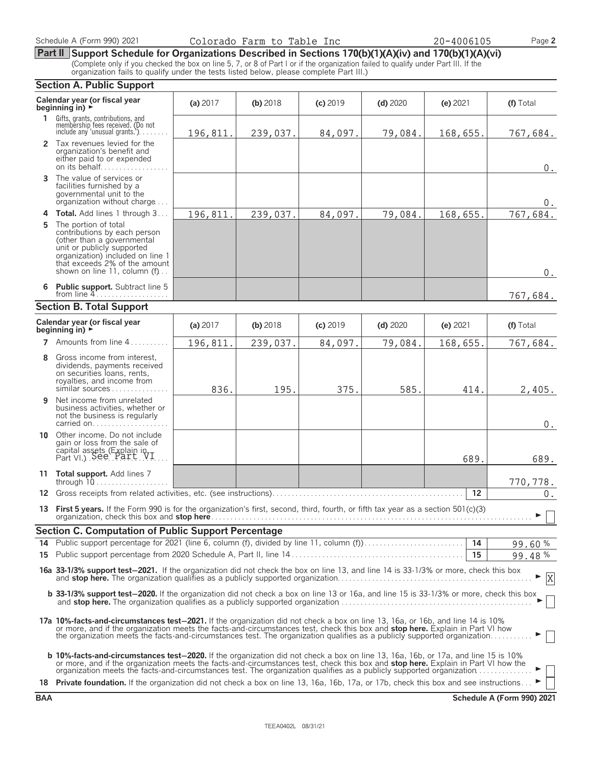## **Part II Support Schedule for Organizations Described in Sections 170(b)(1)(A)(iv) and 170(b)(1)(A)(vi)**

(Complete only if you checked the box on line 5, 7, or 8 of Part I or if the organization failed to qualify under Part III. If the organization fails to qualify under the tests listed below, please complete Part III.)

|    | <b>Section A. Public Support</b>                                                                                                                                                                                                                                                                                                                                                                      |          |          |            |                                                                            |            |           |  |  |
|----|-------------------------------------------------------------------------------------------------------------------------------------------------------------------------------------------------------------------------------------------------------------------------------------------------------------------------------------------------------------------------------------------------------|----------|----------|------------|----------------------------------------------------------------------------|------------|-----------|--|--|
|    | Calendar year (or fiscal year<br>beginning in) $\rightarrow$                                                                                                                                                                                                                                                                                                                                          | (a) 2017 | (b) 2018 | (c) 2019   | $(d)$ 2020                                                                 | $(e)$ 2021 | (f) Total |  |  |
|    | 1 Gifts, grants, contributions, and<br>membership fees received. (Do not<br>include any 'unusual grants.'). $\dots$                                                                                                                                                                                                                                                                                   | 196,811. | 239,037. | 84,097.    | 79,084.                                                                    | 168,655.   | 767,684.  |  |  |
|    | 2 Tax revenues levied for the<br>organization's benefit and<br>either paid to or expended<br>on its behalf                                                                                                                                                                                                                                                                                            |          |          |            |                                                                            |            | $0$ .     |  |  |
| 3  | The value of services or<br>facilities furnished by a<br>governmental unit to the<br>organization without charge                                                                                                                                                                                                                                                                                      |          |          |            |                                                                            |            | 0.        |  |  |
| 4  | Total. Add lines 1 through 3                                                                                                                                                                                                                                                                                                                                                                          | 196,811. | 239,037. | 84,097.    | 79,084.                                                                    | 168,655.   | 767,684.  |  |  |
| 5. | The portion of total<br>contributions by each person<br>(other than a governmental<br>unit or publicly supported<br>organization) included on line 1<br>that exceeds 2% of the amount<br>shown on line 11, column (f)                                                                                                                                                                                 |          |          |            |                                                                            |            | $0$ .     |  |  |
| 6  | <b>Public support.</b> Subtract line 5<br>from line $4$                                                                                                                                                                                                                                                                                                                                               |          |          |            |                                                                            |            | 767,684.  |  |  |
|    | <b>Section B. Total Support</b>                                                                                                                                                                                                                                                                                                                                                                       |          |          |            |                                                                            |            |           |  |  |
|    | Calendar year (or fiscal year<br>beginning in) $\blacktriangleright$                                                                                                                                                                                                                                                                                                                                  | (a) 2017 | (b) 2018 | $(c)$ 2019 | $(d)$ 2020                                                                 | (e) $2021$ | (f) Total |  |  |
|    | 7 Amounts from line 4                                                                                                                                                                                                                                                                                                                                                                                 | 196,811. | 239,037. | 84,097.    | 79,084.                                                                    | 168,655.   | 767,684.  |  |  |
| 8  | Gross income from interest,<br>dividends, payments received<br>on securities loans, rents,<br>royalties, and income from<br>similar sources                                                                                                                                                                                                                                                           | 836.     | 195.     | 375.       | 585.                                                                       | 414.       | 2,405.    |  |  |
| 9  | Net income from unrelated<br>business activities, whether or<br>not the business is regularly<br>carried on                                                                                                                                                                                                                                                                                           |          |          |            |                                                                            |            | $0$ .     |  |  |
| 10 | Other income. Do not include<br>gain or loss from the sale of<br>capital assets (Explain in Part VI.)                                                                                                                                                                                                                                                                                                 |          |          |            |                                                                            | 689.       | 689.      |  |  |
|    | 11 Total support. Add lines 7<br>through $10$                                                                                                                                                                                                                                                                                                                                                         |          |          |            |                                                                            |            | 770,778.  |  |  |
| 12 | Gross receipts from related activities, etc. (see instructions)                                                                                                                                                                                                                                                                                                                                       |          |          |            |                                                                            | 12         | $0$ .     |  |  |
|    | 13 First 5 years. If the Form 990 is for the organization's first, second, third, fourth, or fifth tax year as a section 501(c)(3)<br>organization, check this box and stop here <b>consider the construction</b> of the construction of the construction of the construction of the construction of the construction of the construction of the construction of the cons                             |          |          |            |                                                                            |            | ► □       |  |  |
|    | Section C. Computation of Public Support Percentage                                                                                                                                                                                                                                                                                                                                                   |          |          |            | the control of the control of the control of the control of the control of |            |           |  |  |
|    | 14 Public support percentage for 2021 (line 6, column (f), divided by line 11, column (f))                                                                                                                                                                                                                                                                                                            |          |          |            |                                                                            | 14         | 99.60%    |  |  |
|    |                                                                                                                                                                                                                                                                                                                                                                                                       |          |          |            |                                                                            | 15         | 99.48%    |  |  |
|    | 16a 33-1/3% support test-2021. If the organization did not check the box on line 13, and line 14 is 33-1/3% or more, check this box                                                                                                                                                                                                                                                                   |          |          |            |                                                                            |            | X         |  |  |
|    | <b>b 33-1/3% support test-2020.</b> If the organization did not check a box on line 13 or 16a, and line 15 is 33-1/3% or more, check this box                                                                                                                                                                                                                                                         |          |          |            |                                                                            |            |           |  |  |
|    | 17a 10%-facts-and-circumstances test-2021. If the organization did not check a box on line 13, 16a, or 16b, and line 14 is 10%<br>or more, and if the organization meets the facts-and-circumstances test, check this box and stop here. Explain in Part VI how<br>the organization meets the facts-and-circumstances test. The organization qualifies as a publicly supported organization           |          |          |            |                                                                            |            |           |  |  |
|    | <b>b 10%-facts-and-circumstances test-2020.</b> If the organization did not check a box on line 13, 16a, 16b, or 17a, and line 15 is 10%<br>or more, and if the organization meets the facts-and-circumstances test, check this box and stop here. Explain in Part VI how the<br>organization meets the facts-and-circumstances test. The organization qualifies as a publicly supported organization |          |          |            |                                                                            |            |           |  |  |
|    | 18 Private foundation. If the organization did not check a box on line 13, 16a, 16b, 17a, or 17b, check this box and see instructions                                                                                                                                                                                                                                                                 |          |          |            |                                                                            |            |           |  |  |

**BAA Schedule A (Form 990) 2021**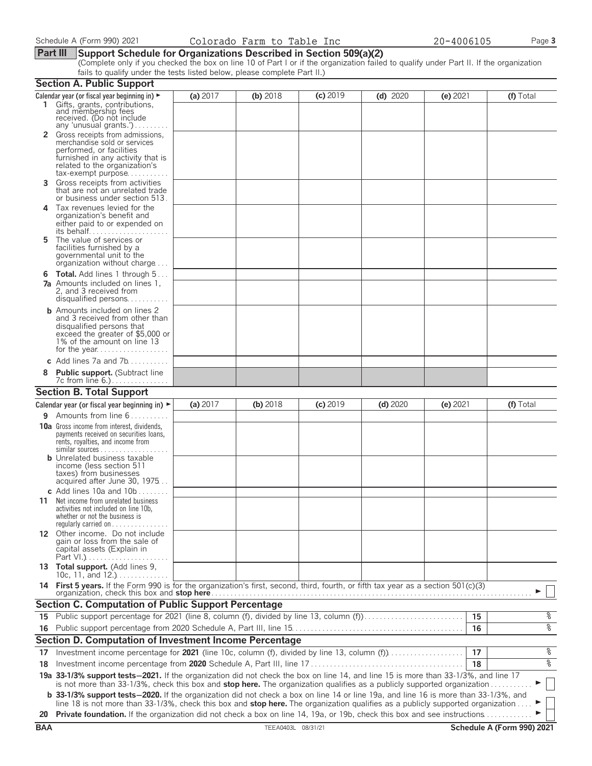#### **Part III Support Schedule for Organizations Described in Section 509(a)(2)**

(Complete only if you checked the box on line 10 of Part I or if the organization failed to qualify under Part II. If the organization fails to qualify under the tests listed below, please complete Part II.)

|            | <b>Section A. Public Support</b>                                                                                                                                                                                                                                              |          |                    |          |            |          |                            |
|------------|-------------------------------------------------------------------------------------------------------------------------------------------------------------------------------------------------------------------------------------------------------------------------------|----------|--------------------|----------|------------|----------|----------------------------|
|            | Calendar year (or fiscal year beginning in) $\blacktriangleright$<br>1 Gifts, grants, contributions,                                                                                                                                                                          | (a) 2017 | (b) 2018           | (c) 2019 | $(d)$ 2020 | (e) 2021 | (f) Total                  |
|            | and membership fees<br>received. (Do not include<br>any 'unusual grants.')                                                                                                                                                                                                    |          |                    |          |            |          |                            |
|            | Gross receipts from admissions,<br>merchandise sold or services<br>performed, or facilities<br>furnished in any activity that is<br>related to the organization's                                                                                                             |          |                    |          |            |          |                            |
| 3.         | $tax\text{-}exempt$ purpose<br>Gross receipts from activities<br>that are not an unrelated trade<br>or business under section 513.                                                                                                                                            |          |                    |          |            |          |                            |
| 4          | Tax revenues levied for the<br>organization's benefit and<br>either paid to or expended on                                                                                                                                                                                    |          |                    |          |            |          |                            |
| 5          | The value of services or<br>facilities furnished by a<br>governmental unit to the<br>organization without charge                                                                                                                                                              |          |                    |          |            |          |                            |
|            | <b>6 Total.</b> Add lines 1 through 5<br><b>7a</b> Amounts included on lines 1.<br>2, and 3 received from<br>disqualified persons                                                                                                                                             |          |                    |          |            |          |                            |
|            | <b>b</b> Amounts included on lines 2<br>and 3 received from other than<br>disqualified persons that<br>exceed the greater of \$5,000 or<br>1% of the amount on line 13<br>for the year                                                                                        |          |                    |          |            |          |                            |
|            | c Add lines $7a$ and $7b$                                                                                                                                                                                                                                                     |          |                    |          |            |          |                            |
|            | <b>Public support.</b> (Subtract line                                                                                                                                                                                                                                         |          |                    |          |            |          |                            |
|            | <b>Section B. Total Support</b>                                                                                                                                                                                                                                               |          |                    |          |            |          |                            |
|            | Calendar year (or fiscal year beginning in) $\blacktriangleright$                                                                                                                                                                                                             | (a) 2017 | (b) 2018           | (c) 2019 | $(d)$ 2020 | (e) 2021 | (f) Total                  |
| 9          | Amounts from line 6                                                                                                                                                                                                                                                           |          |                    |          |            |          |                            |
|            | <b>10a</b> Gross income from interest, dividends,<br>payments received on securities loans,<br>rents, royalties, and income from<br><b>b</b> Unrelated business taxable                                                                                                       |          |                    |          |            |          |                            |
|            | income (less section 511<br>taxes) from businesses<br>acquired after June 30, 1975<br>c Add lines 10a and $10b$                                                                                                                                                               |          |                    |          |            |          |                            |
|            | <b>11</b> Net income from unrelated business<br>activities not included on line 10b,<br>whether or not the business is<br>regularly carried on $\dots\dots\dots\dots$                                                                                                         |          |                    |          |            |          |                            |
|            | 12 Other income. Do not include<br>gain or loss from the sale of<br>capital assets (Explain in                                                                                                                                                                                |          |                    |          |            |          |                            |
|            | 13 Total support. (Add lines 9,<br>10c, 11, and $12.$                                                                                                                                                                                                                         |          |                    |          |            |          |                            |
|            | 14 First 5 years. If the Form 990 is for the organization's first, second, third, fourth, or fifth tax year as a section 501(c)(3)<br>organization, check this box and stop here                                                                                              |          |                    |          |            |          |                            |
|            | <b>Section C. Computation of Public Support Percentage</b>                                                                                                                                                                                                                    |          |                    |          |            |          |                            |
|            | 15 Public support percentage for 2021 (line 8, column (f), divided by line 13, column (f)                                                                                                                                                                                     |          |                    |          |            | 15       | နွ                         |
|            |                                                                                                                                                                                                                                                                               |          |                    |          |            | 16       | $\frac{1}{\sqrt{2}}$       |
|            | Section D. Computation of Investment Income Percentage                                                                                                                                                                                                                        |          |                    |          |            |          |                            |
| 17         | Investment income percentage for 2021 (line 10c, column (f), divided by line 13, column (f)                                                                                                                                                                                   |          |                    |          |            | 17       | %                          |
| 18         |                                                                                                                                                                                                                                                                               |          |                    |          |            | 18       | $\frac{1}{\sqrt{2}}$       |
|            | 19a 33-1/3% support tests-2021. If the organization did not check the box on line 14, and line 15 is more than 33-1/3%, and line 17<br>is not more than 33-1/3%, check this box and stop here. The organization qualifies as a publicly supported organization                |          |                    |          |            |          |                            |
|            | <b>b</b> 33-1/3% support tests-2020. If the organization did not check a box on line 14 or line 19a, and line 16 is more than 33-1/3%, and<br>line 18 is not more than 33-1/3%, check this box and stop here. The organization qualifies as a publicly supported organization |          |                    |          |            |          |                            |
| 20         | Private foundation. If the organization did not check a box on line 14, 19a, or 19b, check this box and see instructions.                                                                                                                                                     |          |                    |          |            |          |                            |
| <b>BAA</b> |                                                                                                                                                                                                                                                                               |          | TEEA0403L 08/31/21 |          |            |          | Schedule A (Form 990) 2021 |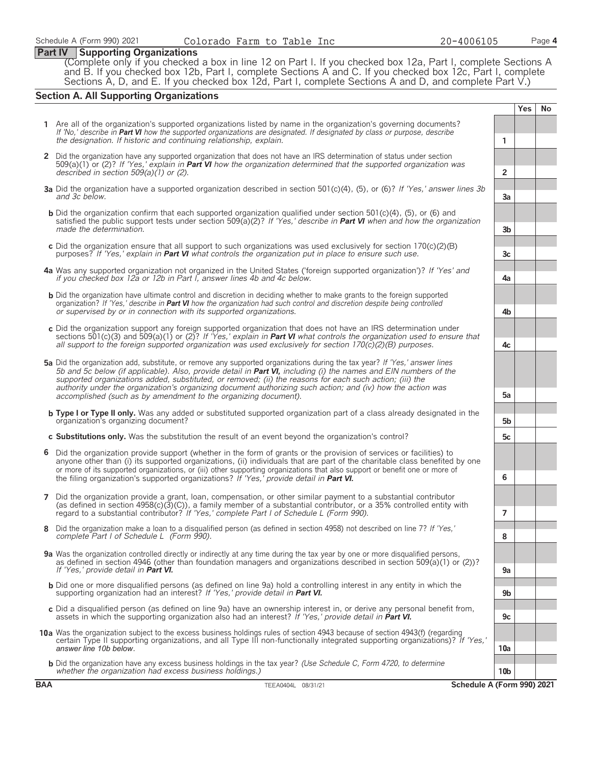## **Part IV Supporting Organizations**

(Complete only if you checked a box in line 12 on Part I. If you checked box 12a, Part I, complete Sections A and B. If you checked box 12b, Part I, complete Sections A and C. If you checked box 12c, Part I, complete Sections A, D, and E. If you checked box 12d, Part I, complete Sections A and D, and complete Part V.)

#### **Section A. All Supporting Organizations**

**Yes No 1** Are all of the organization's supported organizations listed by name in the organization's governing documents? *If 'No,' describe in Part VI how the supported organizations are designated. If designated by class or purpose, describe the designation. If historic and continuing relationship, explain.* **1 2** Did the organization have any supported organization that does not have an IRS determination of status under section 509(a)(1) or (2)? *If 'Yes,' explain in Part VI how the organization determined that the supported organization was described in section 509(a)(1) or (2)*. **2 3a** Did the organization have a supported organization described in section 501(c)(4), (5), or (6)? *If 'Yes,' answer lines 3b and 3c below.* **3a b** Did the organization confirm that each supported organization qualified under section 501(c)(4), (5), or (6) and satisfied the public support tests under section 509(a)(2)? *If 'Yes,' describe in Part VI when and how the organization made the determination*. **3b c** Did the organization ensure that all support to such organizations was used exclusively for section 170(c)(2)(B) purposes? *If 'Yes,' explain in Part VI what controls the organization put in place to ensure such use.*  $\begin{bmatrix} 1 & 3c \\ 2c & 3c \end{bmatrix}$  *3c* **4a** Was any supported organization not organized in the United States ('foreign supported organization')? *If 'Yes' and if you checked box 12a or 12b in Part I, answer lines 4b and 4c below.* **4a b** Did the organization have ultimate control and discretion in deciding whether to make grants to the foreign supported organization? *If 'Yes,' describe in Part VI how the organization had such control and discretion despite being controlled or supervised by or in connection with its supported organizations*. **4b c** Did the organization support any foreign supported organization that does not have an IRS determination under sections 501(c)(3) and 509(a)(1) or (2)? *If 'Yes,' explain in Part VI what controls the organization used to ensure that all support to the foreign supported organization was used exclusively for section 170(c)(2)(B) purposes.* **4c 5a** Did the organization add, substitute, or remove any supported organizations during the tax year? *If 'Yes,' answer lines 5b and 5c below (if applicable). Also, provide detail in Part VI, including (i) the names and EIN numbers of the supported organizations added, substituted, or removed; (ii) the reasons for each such action; (iii) the authority under the organization's organizing document authorizing such action; and (iv) how the action was accomplished (such as by amendment to the organizing document)*. **5a b Type I or Type II only.** Was any added or substituted supported organization part of a class already designated in the organization's organizing document? **5b c Substitutions only.** Was the substitution the result of an event beyond the organization's control? **5c 6** Did the organization provide support (whether in the form of grants or the provision of services or facilities) to anyone other than (i) its supported organizations, (ii) individuals that are part of the charitable class benefited by one or more of its supported organizations, or (iii) other supporting organizations that also support or benefit one or more of the filing organization's supported organizations? *If 'Yes,' provide detail in Part VI.* **6 7** Did the organization provide a grant, loan, compensation, or other similar payment to a substantial contributor (as defined in section 4958(c)(3)(C)), a family member of a substantial contributor, or a 35% controlled entity with regard to a substantial contributor? *If 'Yes,' complete Part I of Schedule L (Form 990)*. **7 8** Did the organization make a loan to a disqualified person (as defined in section 4958) not described on line 7? *If 'Yes,' complete Part I of Schedule L (Form 990).* **8 9a** Was the organization controlled directly or indirectly at any time during the tax year by one or more disqualified persons, as defined in section 4946 (other than foundation managers and organizations described in section 509(a)(1) or (2))? *If 'Yes,' provide detail in Part VI. 9a* b Did one or more disqualified persons (as defined on line 9a) hold a controlling interest in any entity in which the<br>supporting organization had an interest? If 'Yes,' provide detail in **Part VI.** c Did a disqualified person (as defined on line 9a) have an ownership interest in, or derive any personal benefit from,<br>assets in which the supporting organization also had an interest? If 'Yes,' provide detail in **Part V 10a** Was the organization subject to the excess business holdings rules of section 4943 because of section 4943(f) (regarding certain Type II supporting organizations, and all Type III non-functionally integrated supporting organizations)? *If 'Yes,' answer line 10b below.* **10a b** Did the organization have any excess business holdings in the tax year? *(Use Schedule C, Form 4720, to determine whether the organization had excess business holdings.)* **10b**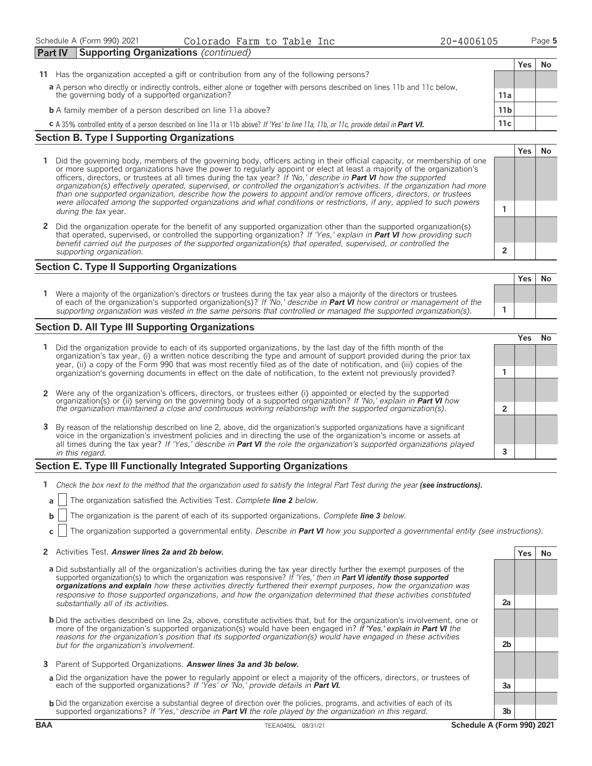Schedule A (Form 990) 2021 Page **5** Colorado Farm to Table Inc 20-4006105

**Yes No**

| .<br>$\sim$ appointing $\sim$ igain actions (committed)                                                                                               |                 |     |    |
|-------------------------------------------------------------------------------------------------------------------------------------------------------|-----------------|-----|----|
|                                                                                                                                                       |                 | Yes | No |
| 11 Has the organization accepted a gift or contribution from any of the following persons?                                                            |                 |     |    |
| a A person who directly or indirectly controls, either alone or together with persons described on lines 11b and 11c below,                           |                 |     |    |
| the governing body of a supported organization?                                                                                                       | 11a             |     |    |
| <b>b</b> A family member of a person described on line 11a above?                                                                                     | 11 <sub>b</sub> |     |    |
| <b>C</b> A 35% controlled entity of a person described on line 11a or 11b above? If 'Yes' to line 11a, 11b, or 11c, provide detail in <b>Part VI.</b> | 11c             |     |    |

#### **Section B. Type I Supporting Organizations**

- **1** Did the governing body, members of the governing body, officers acting in their official capacity, or membership of one or more supported organizations have the power to regularly appoint or elect at least a majority of the organization's officers, directors, or trustees at all times during the tax year? *If 'No,' describe in Part VI how the supported organization(s) effectively operated, supervised, or controlled the organization's activities. If the organization had more than one supported organization, describe how the powers to appoint and/or remove officers, directors, or trustees were allocated among the supported organizations and what conditions or restrictions, if any, applied to such powers* **<sup>1</sup>** *during the tax* year.
- **2** Did the organization operate for the benefit of any supported organization other than the supported organization(s) that operated, supervised, or controlled the supporting organization? *If 'Yes,' explain in Part VI how providing such benefit carried out the purposes of the supported organization(s) that operated, supervised, or controlled the supporting organization.* **2**

#### **Section C. Type II Supporting Organizations**

**Yes No 1** Were a majority of the organization's directors or trustees during the tax year also a majority of the directors or trustees of each of the organization's supported organization(s)? *If 'No,' describe in Part VI how control or management of the supporting organization was vested in the same persons that controlled or managed the supported organization(s).* **1**

#### **Section D. All Type III Supporting Organizations**

|                                                                                                                                                                                                                                                                                                                                                                   |   | res) |  |
|-------------------------------------------------------------------------------------------------------------------------------------------------------------------------------------------------------------------------------------------------------------------------------------------------------------------------------------------------------------------|---|------|--|
| Did the organization provide to each of its supported organizations, by the last day of the fifth month of the<br>organization's tax year, (i) a written notice describing the type and amount of support provided during the prior tax<br>year, (ii) a copy of the Form 990 that was most recently filed as of the date of notification, and (iii) copies of the |   |      |  |
| organization's governing documents in effect on the date of notification, to the extent not previously provided?                                                                                                                                                                                                                                                  |   |      |  |
| 2 Were any of the organization's officers, directors, or trustees either (i) appointed or elected by the supported organization(s) or (ii) serving on the governing body of a supported organization? If 'No,' explain in Part                                                                                                                                    |   |      |  |
| the organization maintained a close and continuous working relationship with the supported organization(s).                                                                                                                                                                                                                                                       | ົ |      |  |
| 3 By reason of the relationship described on line 2, above, did the organization's supported organizations have a significant<br>voice in the organization's investment policies and in directing the use of the organization's income or assets at                                                                                                               |   |      |  |
| in this regard.                                                                                                                                                                                                                                                                                                                                                   | っ |      |  |
| all times during the tax year? If 'Yes,' describe in <b>Part VI</b> the role the organization's supported organizations played                                                                                                                                                                                                                                    |   |      |  |

#### **Section E. Type III Functionally Integrated Supporting Organizations**

- **1** *Check the box next to the method that the organization used to satisfy the Integral Part Test during the year (see instructions).* 
	- **a** The organization satisfied the Activities Test. *Complete line 2 below.*
	- **b** The organization is the parent of each of its supported organizations. *Complete line 3 below.*
	- **c** The organization supported a governmental entity. *Describe in Part VI how you supported a governmental entity (see instructions).*

#### **2** Activities Test. Answer lines 2a and 2b below. **Yes No**

- **a** Did substantially all of the organization's activities during the tax year directly further the exempt purposes of the supported organization(s) to which the organization was responsive? *If 'Yes,' then in Part VI identify those supported organizations and explain how these activities directly furthered their exempt purposes, how the organization was responsive to those supported organizations, and how the organization determined that these activities constituted substantially all of its activities.* **2a**
- **b** Did the activities described on line 2a, above, constitute activities that, but for the organization's involvement, one or more of the organization's supported organization(s) would have been engaged in? *If 'Yes,' explain in Part VI the reasons for the organization's position that its supported organization(s) would have engaged in these activities but for the organization's involvement.* **2b**
- **3** Parent of Supported Organizations. *Answer lines 3a and 3b below.*
- **a** Did the organization have the power to regularly appoint or elect a majority of the officers, directors, or trustees of each of the supported organizations? *If 'Yes' or 'No,' provide details in Part VI.* **3a**
- **b** Did the organization exercise a substantial degree of direction over the policies, programs, and activities of each of its supported organizations? *If 'Yes,' describe in Part VI the role played by the organization in this regard.* **3b**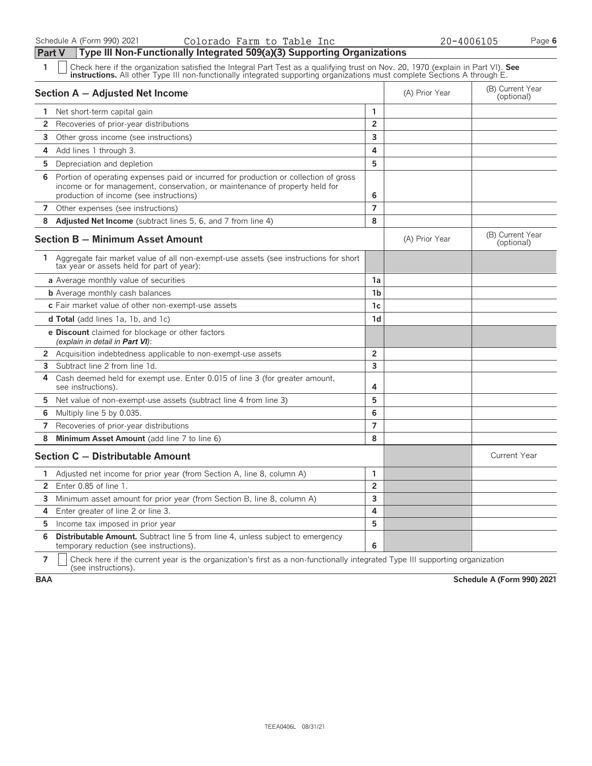**Part V Type III Non-Functionally Integrated 509(a)(3) Supporting Organizations**

| 1                     | Check here if the organization satisfied the Integral Part Test as a qualifying trust on Nov. 20, 1970 (explain in Part VI). See<br><b>instructions.</b> All other Type III non-functionally integrated supporting organizations must complete Sections A through E. |                |                                |                                |
|-----------------------|----------------------------------------------------------------------------------------------------------------------------------------------------------------------------------------------------------------------------------------------------------------------|----------------|--------------------------------|--------------------------------|
|                       | Section A - Adjusted Net Income                                                                                                                                                                                                                                      | (A) Prior Year | (B) Current Year<br>(optional) |                                |
| 1.                    | Net short-term capital gain                                                                                                                                                                                                                                          | 1              |                                |                                |
| $\mathbf{2}^{\prime}$ | Recoveries of prior-year distributions                                                                                                                                                                                                                               | $\overline{2}$ |                                |                                |
| 3                     | Other gross income (see instructions)                                                                                                                                                                                                                                | 3              |                                |                                |
| 4                     | Add lines 1 through 3.                                                                                                                                                                                                                                               | 4              |                                |                                |
| 5.                    | Depreciation and depletion                                                                                                                                                                                                                                           | 5              |                                |                                |
| 6                     | Portion of operating expenses paid or incurred for production or collection of gross<br>income or for management, conservation, or maintenance of property held for<br>production of income (see instructions)                                                       | 6              |                                |                                |
|                       | 7 Other expenses (see instructions)                                                                                                                                                                                                                                  | 7              |                                |                                |
| 8                     | Adjusted Net Income (subtract lines 5, 6, and 7 from line 4)                                                                                                                                                                                                         | 8              |                                |                                |
|                       | <b>Section B - Minimum Asset Amount</b>                                                                                                                                                                                                                              |                | (A) Prior Year                 | (B) Current Year<br>(optional) |
|                       | 1 Aggregate fair market value of all non-exempt-use assets (see instructions for short<br>tax year or assets held for part of year):                                                                                                                                 |                |                                |                                |
|                       | a Average monthly value of securities                                                                                                                                                                                                                                | 1a             |                                |                                |
|                       | <b>b</b> Average monthly cash balances                                                                                                                                                                                                                               | 1b             |                                |                                |
|                       | c Fair market value of other non-exempt-use assets                                                                                                                                                                                                                   | 1c             |                                |                                |
|                       | <b>d Total</b> (add lines 1a, 1b, and 1c)                                                                                                                                                                                                                            | 1d             |                                |                                |
|                       | <b>e Discount</b> claimed for blockage or other factors<br>(explain in detail in <b>Part VI</b> ):                                                                                                                                                                   |                |                                |                                |
|                       | <b>2</b> Acquisition indebtedness applicable to non-exempt-use assets                                                                                                                                                                                                | $\overline{2}$ |                                |                                |
| 3                     | Subtract line 2 from line 1d.                                                                                                                                                                                                                                        | 3              |                                |                                |
| 4                     | Cash deemed held for exempt use. Enter 0.015 of line 3 (for greater amount,<br>see instructions).                                                                                                                                                                    | 4              |                                |                                |
| 5.                    | Net value of non-exempt-use assets (subtract line 4 from line 3)                                                                                                                                                                                                     | 5              |                                |                                |
| 6                     | Multiply line 5 by 0.035.                                                                                                                                                                                                                                            | 6              |                                |                                |
| 7                     | Recoveries of prior-year distributions                                                                                                                                                                                                                               | 7              |                                |                                |
| 8                     | Minimum Asset Amount (add line 7 to line 6)                                                                                                                                                                                                                          | 8              |                                |                                |
|                       | Section C - Distributable Amount                                                                                                                                                                                                                                     |                |                                | <b>Current Year</b>            |
| 1                     | Adjusted net income for prior year (from Section A, line 8, column A)                                                                                                                                                                                                | $\mathbf{1}$   |                                |                                |
| $\overline{2}$        | Enter 0.85 of line 1.                                                                                                                                                                                                                                                | $\overline{2}$ |                                |                                |
| 3                     | Minimum asset amount for prior year (from Section B, line 8, column A)                                                                                                                                                                                               | 3              |                                |                                |
| 4                     | Enter greater of line 2 or line 3.                                                                                                                                                                                                                                   | 4              |                                |                                |
| 5                     | Income tax imposed in prior year                                                                                                                                                                                                                                     | 5              |                                |                                |
| 6                     | <b>Distributable Amount.</b> Subtract line 5 from line 4, unless subject to emergency<br>temporary reduction (see instructions).                                                                                                                                     | 6              |                                |                                |

**7**  $\mid$  Check here if the current year is the organization's first as a non-functionally integrated Type III supporting organization (see instructions).

**BAA Schedule A (Form 990) 2021**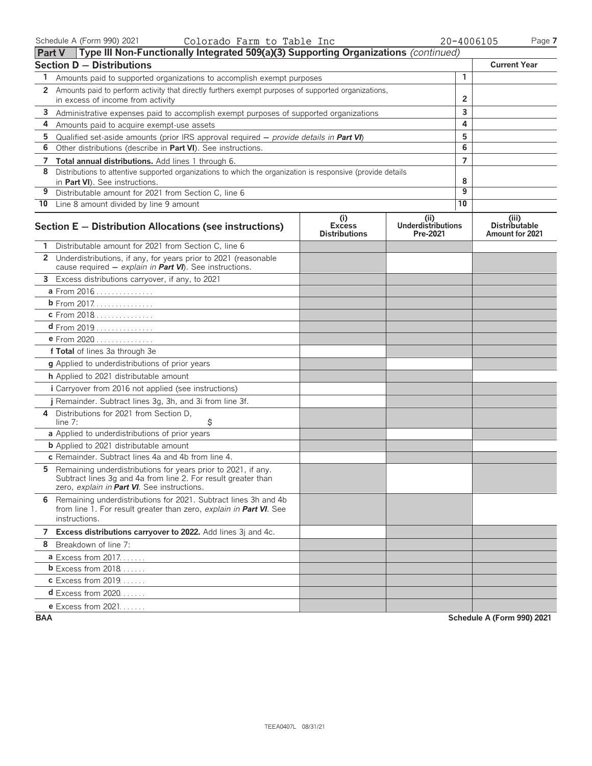|              | <b>Part V</b> Type III Non-Functionally Integrated 509(a)(3) Supporting Organizations (continued)                                                                             |                                              |                                               |    |                                                  |
|--------------|-------------------------------------------------------------------------------------------------------------------------------------------------------------------------------|----------------------------------------------|-----------------------------------------------|----|--------------------------------------------------|
|              | <b>Section D - Distributions</b>                                                                                                                                              |                                              |                                               |    | <b>Current Year</b>                              |
| 1            | Amounts paid to supported organizations to accomplish exempt purposes                                                                                                         |                                              |                                               | 1  |                                                  |
| $\mathbf{2}$ | Amounts paid to perform activity that directly furthers exempt purposes of supported organizations,                                                                           |                                              |                                               |    |                                                  |
|              | in excess of income from activity                                                                                                                                             |                                              |                                               | 2  |                                                  |
| 3            | Administrative expenses paid to accomplish exempt purposes of supported organizations                                                                                         |                                              |                                               | 3  |                                                  |
| 4            | Amounts paid to acquire exempt-use assets                                                                                                                                     |                                              |                                               | 4  |                                                  |
| 5            | Qualified set-aside amounts (prior IRS approval required $-$ provide details in Part VI)                                                                                      |                                              |                                               | 5  |                                                  |
| 6            | Other distributions (describe in Part VI). See instructions.                                                                                                                  |                                              |                                               | 6  |                                                  |
| 7            | Total annual distributions. Add lines 1 through 6.                                                                                                                            |                                              |                                               | 7  |                                                  |
| 8            | Distributions to attentive supported organizations to which the organization is responsive (provide details<br>in Part VI). See instructions.                                 |                                              |                                               | 8  |                                                  |
| 9            | Distributable amount for 2021 from Section C, line 6                                                                                                                          |                                              |                                               | 9  |                                                  |
|              | 10 Line 8 amount divided by line 9 amount                                                                                                                                     |                                              |                                               | 10 |                                                  |
|              | Section E - Distribution Allocations (see instructions)                                                                                                                       | (i)<br><b>Excess</b><br><b>Distributions</b> | (ii)<br><b>Underdistributions</b><br>Pre-2021 |    | (iii)<br><b>Distributable</b><br>Amount for 2021 |
| 1.           | Distributable amount for 2021 from Section C, line 6                                                                                                                          |                                              |                                               |    |                                                  |
|              | 2 Underdistributions, if any, for years prior to 2021 (reasonable<br>cause required - explain in Part VI). See instructions.                                                  |                                              |                                               |    |                                                  |
| 3            | Excess distributions carryover, if any, to 2021                                                                                                                               |                                              |                                               |    |                                                  |
|              | a From 2016                                                                                                                                                                   |                                              |                                               |    |                                                  |
|              | <b>b</b> From 2017.                                                                                                                                                           |                                              |                                               |    |                                                  |
|              | c From 2018                                                                                                                                                                   |                                              |                                               |    |                                                  |
|              |                                                                                                                                                                               |                                              |                                               |    |                                                  |
|              | e From 2020                                                                                                                                                                   |                                              |                                               |    |                                                  |
|              | f Total of lines 3a through 3e                                                                                                                                                |                                              |                                               |    |                                                  |
|              | <b>g</b> Applied to underdistributions of prior years                                                                                                                         |                                              |                                               |    |                                                  |
|              | h Applied to 2021 distributable amount                                                                                                                                        |                                              |                                               |    |                                                  |
|              | i Carryover from 2016 not applied (see instructions)                                                                                                                          |                                              |                                               |    |                                                  |
|              | j Remainder. Subtract lines 3g, 3h, and 3i from line 3f.                                                                                                                      |                                              |                                               |    |                                                  |
| 4            | Distributions for 2021 from Section D,<br>\$<br>line $7:$                                                                                                                     |                                              |                                               |    |                                                  |
|              | a Applied to underdistributions of prior years                                                                                                                                |                                              |                                               |    |                                                  |
|              | <b>b</b> Applied to 2021 distributable amount                                                                                                                                 |                                              |                                               |    |                                                  |
|              | c Remainder. Subtract lines 4a and 4b from line 4.                                                                                                                            |                                              |                                               |    |                                                  |
| 5.           | Remaining underdistributions for years prior to 2021, if any.<br>Subtract lines 3g and 4a from line 2. For result greater than<br>zero, explain in Part VI. See instructions. |                                              |                                               |    |                                                  |
|              | 6 Remaining underdistributions for 2021. Subtract lines 3h and 4b<br>from line 1. For result greater than zero, explain in Part VI. See<br>instructions.                      |                                              |                                               |    |                                                  |
|              | 7 Excess distributions carryover to 2022. Add lines 3j and 4c.                                                                                                                |                                              |                                               |    |                                                  |
|              | 8 Breakdown of line 7:                                                                                                                                                        |                                              |                                               |    |                                                  |
|              | <b>a</b> Excess from 2017.                                                                                                                                                    |                                              |                                               |    |                                                  |
|              | <b>b</b> Excess from $2018$ .                                                                                                                                                 |                                              |                                               |    |                                                  |
|              | <b>c</b> Excess from 2019.                                                                                                                                                    |                                              |                                               |    |                                                  |
|              | $d$ Excess from 2020                                                                                                                                                          |                                              |                                               |    |                                                  |
|              | e Excess from $2021$                                                                                                                                                          |                                              |                                               |    |                                                  |

**BAA Schedule A (Form 990) 2021**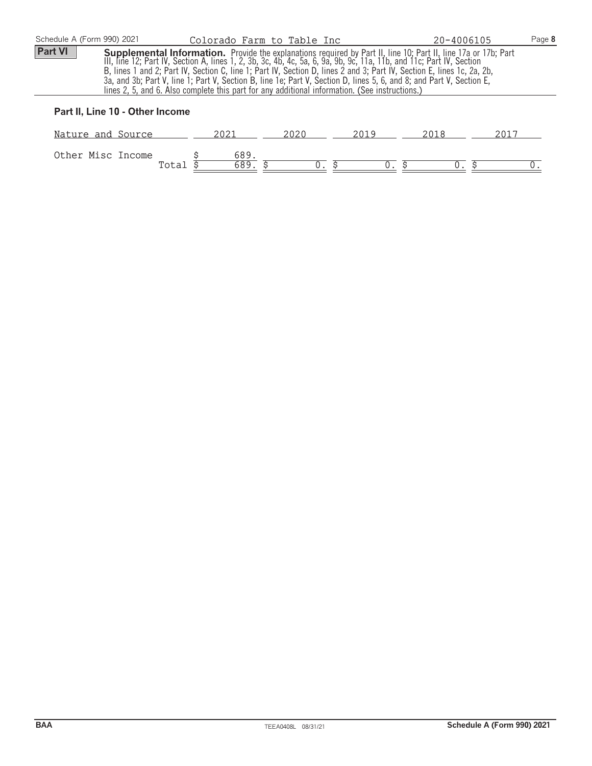| Schedule A (Form 990) 2021                                                                                                                                                                                                                                                                                                                                                                                                                                                                                                                                                                                |       | Colorado Farm to Table Inc |      |  |      | 20-4006105 |      | Page 8 |
|-----------------------------------------------------------------------------------------------------------------------------------------------------------------------------------------------------------------------------------------------------------------------------------------------------------------------------------------------------------------------------------------------------------------------------------------------------------------------------------------------------------------------------------------------------------------------------------------------------------|-------|----------------------------|------|--|------|------------|------|--------|
| <b>Part VI</b><br><b>Supplemental Information.</b> Provide the explanations required by Part II, line 10; Part II, line 17a or 17b; Part III, line 12; Part IV, Section A, lines 1, 2, 3b, 3c, 4b, 4c, 5a, 6, 9a, 9b, 9c, 11a, 11b, and 11c; Part IV,<br>B, lines 1 and 2; Part IV, Section C, line 1; Part IV, Section D, lines 2 and 3; Part IV, Section E, lines 1c, 2a, 2b,<br>3a, and 3b; Part V, line 1; Part V, Section B, line 1e; Part V, Section D, lines 5, 6, and 8; and Part V, Section E,<br>lines 2, 5, and 6. Also complete this part for any additional information. (See instructions.) |       |                            |      |  |      |            |      |        |
| Part II, Line 10 - Other Income                                                                                                                                                                                                                                                                                                                                                                                                                                                                                                                                                                           |       |                            |      |  |      |            |      |        |
| Nature and Source                                                                                                                                                                                                                                                                                                                                                                                                                                                                                                                                                                                         |       | 2021                       | 2020 |  | 2019 | 2018       | 2017 |        |
| Other Misc Income                                                                                                                                                                                                                                                                                                                                                                                                                                                                                                                                                                                         | Total | 689.<br>689.               |      |  |      |            |      |        |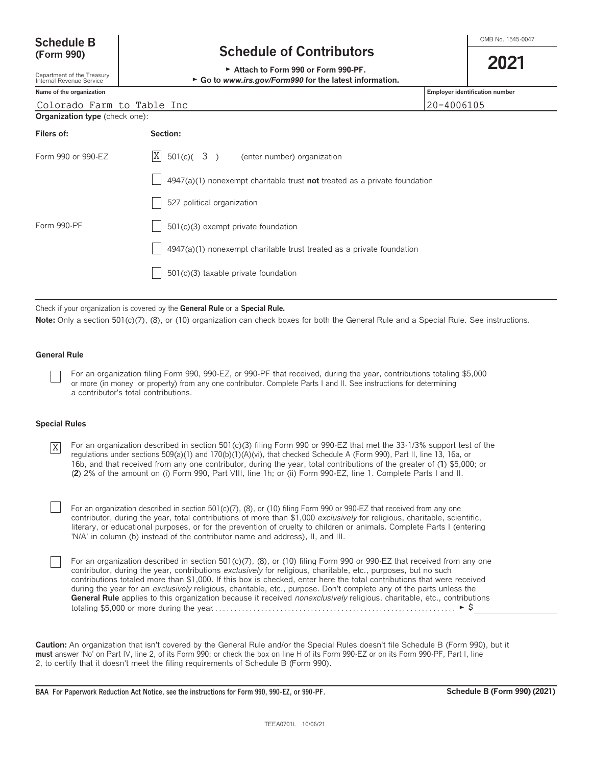**Schedule B**  $\overline{B}$  **Schedule B**  $\overline{C}$  **Schedule B**  $\overline{C}$  **Schedule B**  $\overline{D}$  **Schedule B**  $\overline{D}$  **SCHEDULE B**  $\overline{D}$  **SCHEDULE B**  $\overline{D}$  **SCHEDULE B**  $\overline{D}$  **SCHEDULE B**  $\overline{D}$  **SCHEDULE B**  $\overline{D}$  **S (Form 990) Schedule of Contributors** Attach to Form 990 or Form 990-PF.

▶ Go to *www.irs.gov/Form990* for the latest information.

| × |  |
|---|--|
|   |  |

| Department of the Treasury |  |  |
|----------------------------|--|--|
| Internal Revenue Service   |  |  |

**Name of the organization <b>EMPLOYER IDENTIFICATION Employer is a set of the organization**  $\blacksquare$ 

| Colorado Farm to Table Inc |  |  |  |
|----------------------------|--|--|--|

|  | loyer identification number |  |
|--|-----------------------------|--|
|--|-----------------------------|--|

| Colorado Farm to Table Inc            |                                                                             | 20-4006105 |
|---------------------------------------|-----------------------------------------------------------------------------|------------|
| <b>Organization type</b> (check one): |                                                                             |            |
| Filers of:                            | Section:                                                                    |            |
| Form 990 or 990-EZ                    | $ X $ 501(c)( 3)<br>(enter number) organization                             |            |
|                                       | $4947(a)(1)$ nonexempt charitable trust not treated as a private foundation |            |
|                                       | 527 political organization                                                  |            |
| Form 990-PF                           | 501(c)(3) exempt private foundation                                         |            |
|                                       | 4947(a)(1) nonexempt charitable trust treated as a private foundation       |            |
|                                       |                                                                             |            |

Check if your organization is covered by the **General Rule** or a **Special Rule.**

Note: Only a section 501(c)(7), (8), or (10) organization can check boxes for both the General Rule and a Special Rule. See instructions.

501(c)(3) taxable private foundation

#### **General Rule**

For an organization filing Form 990, 990-EZ, or 990-PF that received, during the year, contributions totaling \$5,000 or more (in money or property) from any one contributor. Complete Parts I and II. See instructions for determining a contributor's total contributions.

#### **Special Rules**

For an organization described in section 501(c)(3) filing Form 990 or 990-EZ that met the 33-1/3% support test of the regulations under sections 509(a)(1) and 170(b)(1)(A)(vi), that checked Schedule A (Form 990), Part II, line 13, 16a, or 16b, and that received from any one contributor, during the year, total contributions of the greater of (**1**) \$5,000; or (**2**) 2% of the amount on (i) Form 990, Part VIII, line 1h; or (ii) Form 990-EZ, line 1. Complete Parts I and II. X

For an organization described in section 501(c)(7), (8), or (10) filing Form 990 or 990-EZ that received from any one contributor, during the year, total contributions of more than \$1,000 *exclusively* for religious, charitable, scientific, literary, or educational purposes, or for the prevention of cruelty to children or animals. Complete Parts I (entering 'N/A' in column (b) instead of the contributor name and address), II, and III.

For an organization described in section 501(c)(7), (8), or (10) filing Form 990 or 990-EZ that received from any one contributor, during the year, contributions *exclusively* for religious, charitable, etc., purposes, but no such contributions totaled more than \$1,000. If this box is checked, enter here the total contributions that were received during the year for an *exclusively* religious, charitable, etc., purpose. Don't complete any of the parts unless the **General Rule** applies to this organization because it received *nonexclusively* religious, charitable, etc., contributions totaling \$5,000 or more during the year. . . . . . . . . . . . . . . . . . . . . . . . . . . . . . . . . . . . . . . . . . . . . . . . . . . . . . . . . . . . . . . . G \$

**Caution:** An organization that isn't covered by the General Rule and/or the Special Rules doesn't file Schedule B (Form 990), but it **must** answer 'No' on Part IV, line 2, of its Form 990; or check the box on line H of its Form 990-EZ or on its Form 990-PF, Part I, line 2, to certify that it doesn't meet the filing requirements of Schedule B (Form 990).

**BAA For Paperwork Reduction Act Notice, see the instructions for Form 990, 990-EZ, or 990-PF. Schedule B (Form 990) (2021)**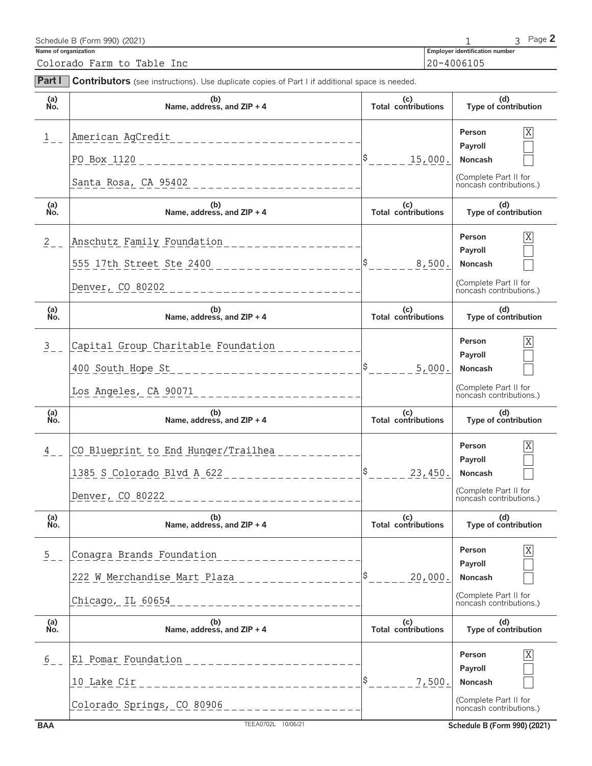| Schedule B (Form 990) (2021) |                                       | $P$ aqe $\geq$ |
|------------------------------|---------------------------------------|----------------|
| Name of organization         | <b>Employer identification number</b> |                |
| Colorado Farm to Table Inc   | 120-4006105                           |                |

| Part I                      | <b>Contributors</b> (see instructions). Use duplicate copies of Part I if additional space is needed.                                                 |                                   |                                                                                                                  |
|-----------------------------|-------------------------------------------------------------------------------------------------------------------------------------------------------|-----------------------------------|------------------------------------------------------------------------------------------------------------------|
| (a)<br>No.                  | (b)<br>Name, address, and ZIP + 4                                                                                                                     | (c)<br>Total contributions        | (d)<br>Type of contribution                                                                                      |
| $1 \quad$                   | American AgCredit<br>-----------------------<br>PO Box 1120<br>________________________________                                                       | 15,000.                           | <b>Person</b><br>Χ<br>Payroll<br>Noncash<br>(Complete Part II for<br>noncash contributions.)                     |
| (a)<br>No.                  | (b)<br>Name, address, and ZIP + 4                                                                                                                     | (c)<br>Total contributions        | (d)<br>Type of contribution                                                                                      |
| $2 \nightharpoonup$         | Anschutz Family Foundation<br>-----------------<br>555 17th Street Ste 2400 _____________________<br>Denver, CO 80202<br>____________________________ | 8,500.                            | <b>Person</b><br>Χ<br>Payroll<br>Noncash<br>(Complete Part II for<br>noncash contributions.)                     |
| (a)<br>Ño.                  | (b)<br>Name, address, and ZIP + 4                                                                                                                     | (c)<br><b>Total contributions</b> | (d)<br>Type of contribution                                                                                      |
| $\frac{3}{2}$               | Capital Group Charitable Foundation<br>400 South Hope St<br>_______________________                                                                   | 5,000.                            | <b>Person</b><br>Χ<br>Payroll<br>Noncash<br>(Complete Part II for<br>noncash contributions.)                     |
| (a)<br>No.                  | (b)<br>Name, address, and ZIP + 4                                                                                                                     | (c)<br>Total contributions        | (d)<br>Type of contribution                                                                                      |
| $\overline{4}$              | CO Blueprint to End Hunger/Trailhea<br>Denver, CO 80222<br>__________________________                                                                 | ¦\$<br>23,450.                    | Χ<br>Person<br>Payroll<br>Noncash<br>(Complete Part II for<br>noncash contributions.)                            |
| (a)<br>Ño.                  | (b)<br>Name, address, and ZIP + 4                                                                                                                     | (c)<br>Total contributions        | (d)<br>Type of contribution                                                                                      |
| $\overline{5}$ –            | Conagra Brands Foundation<br>222 W Merchandise Mart Plaza<br>Chicago, IL 60654                                                                        | 20,000.                           | Person<br>Payroll<br>Noncash<br>(Complete Part II for<br>noncash contributions.)                                 |
| (a)<br>No.                  | (b)<br>Name, address, and ZIP + 4                                                                                                                     | (c)<br>Total contributions        | (d)<br>Type of contribution                                                                                      |
| $\frac{6}{9}$<br><b>BAA</b> | El Pomar Foundation<br>10 Lake Cir<br>___________________<br>Colorado Springs, CO 80906<br>TEEA0702L 10/06/21                                         | 7,500.                            | Person<br>Payroll<br>Noncash<br>(Complete Part II for<br>noncash contributions.)<br>Schedule B (Form 990) (2021) |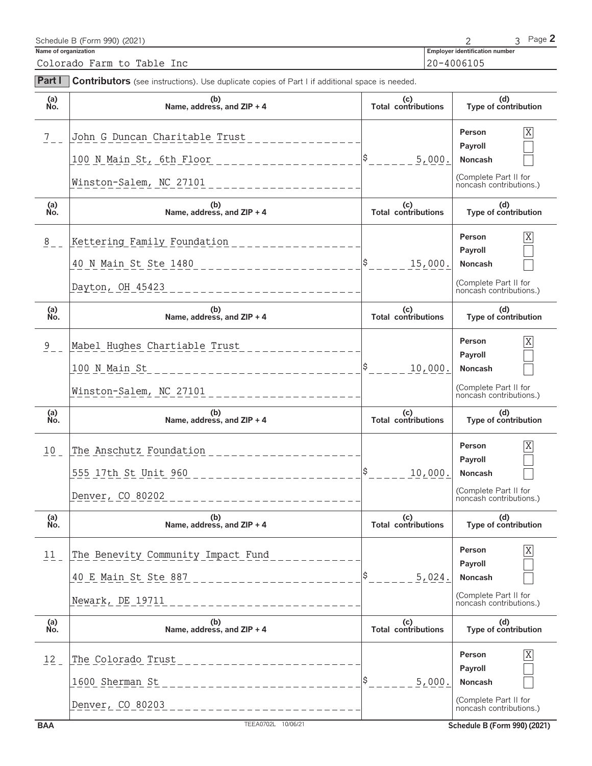| Schedule B (Form 990) (2021) |                                       | $P$ aqe $\blacktriangle$ |
|------------------------------|---------------------------------------|--------------------------|
| Name of organization         | <b>Employer identification number</b> |                          |
| Colorado Farm to Table Inc   | $20 - 4006105$                        |                          |

| Part I           | <b>Contributors</b> (see instructions). Use duplicate copies of Part I if additional space is needed.                            |                                   |                                                                                              |
|------------------|----------------------------------------------------------------------------------------------------------------------------------|-----------------------------------|----------------------------------------------------------------------------------------------|
| (a)<br>No.       | (b)<br>Name, address, and ZIP + 4                                                                                                | (c)<br>Total contributions        | (d)<br>Type of contribution                                                                  |
| 7                | John G Duncan Charitable Trust<br>100 N Main St, 6th Floor ____________________                                                  | 5,000.                            | Χ<br>Person<br>Payroll<br><b>Noncash</b><br>(Complete Part II for<br>noncash contributions.) |
| (a)<br>No.       | (b)<br>Name, address, and ZIP + 4                                                                                                | (c)<br>Total contributions        | (d)<br>Type of contribution                                                                  |
| $\frac{8}{1}$    | Kettering Family Foundation<br>40 N Main St Ste 1480 __________________________                                                  | 15,000.                           | Χ<br>Person<br>Payroll<br>Noncash<br>(Complete Part II for<br>noncash contributions.)        |
| (a)<br>Ňó.       | (b)<br>Name, address, and ZIP + 4                                                                                                | (c)<br>Total contributions        | (d)<br>Type of contribution                                                                  |
| $9 \overline{)}$ | Mabel Hughes Chartiable Trust<br>100 N Main St<br>_________________________<br>Winston-Salem, NC 27101 _________________________ | 10,000.                           | Χ<br>Person<br>Payroll<br>Noncash<br>(Complete Part II for<br>noncash contributions.)        |
| (a)<br>No.       | (b)<br>Name, address, and ZIP + 4                                                                                                | (c)<br>Total contributions        | (d)<br>Type of contribution                                                                  |
| 10               | The Anschutz Foundation<br>Denver, CO 80202<br>_______________________                                                           | I\$<br>10,000.                    | Person<br>X<br>Payroll<br>Noncash<br>(Complete Part II for<br>noncash contributions.)        |
| (a)<br>Ńo.       | (b)<br>Name, address, and ZIP + 4                                                                                                | (c)<br><b>Total contributions</b> | (d)<br>Type of contribution                                                                  |
| 11               | The Benevity Community Impact Fund<br>40 E Main St Ste 887 ___________________<br>Newark, DE 19711                               | 5,024.                            | Person<br>Payroll<br>Noncash<br>(Complete Part II for<br>noncash contributions.)             |
| (a)<br>No.       | (b)<br>Name, address, and $ZIP + 4$                                                                                              | (c)<br>Total contributions        | (d)<br>Type of contribution                                                                  |
| $12 -$           | The Colorado Trust<br>1600 Sherman St<br>___________________<br>Denver, CO 80203                                                 | 5,000.                            | Person<br>Payroll<br>Noncash<br>(Complete Part II for<br>noncash contributions.)             |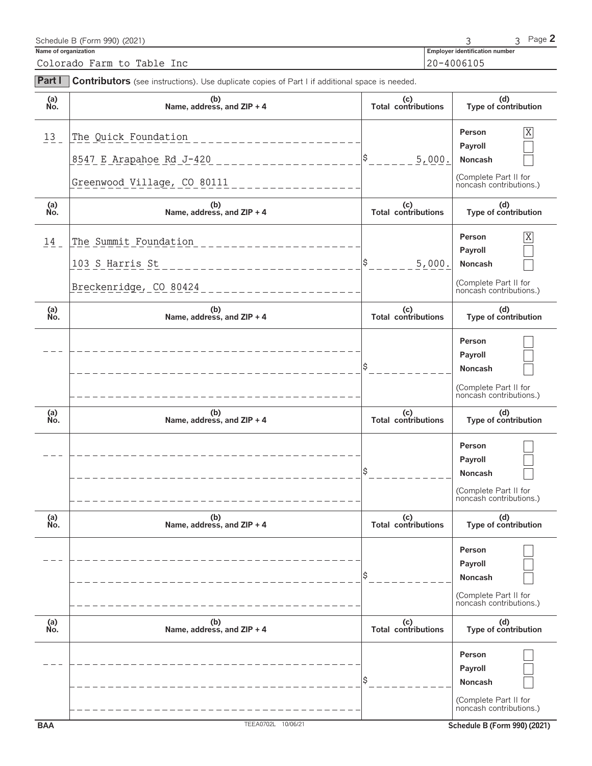| Schedule B (Form 990) (2021) |                                       | $P$ aqe $\blacktriangle$ |  |
|------------------------------|---------------------------------------|--------------------------|--|
| Name of organization         | <b>Employer identification number</b> |                          |  |
| Colorado Farm to Table Inc   | 20-4006105                            |                          |  |

| Part I     | Contributors (see instructions). Use duplicate copies of Part I if additional space is needed. |                            |                                                                                                                         |
|------------|------------------------------------------------------------------------------------------------|----------------------------|-------------------------------------------------------------------------------------------------------------------------|
| (a)<br>No. | (b)<br>Name, address, and $ZIP + 4$                                                            | (c)<br>Total contributions | (d)<br>Type of contribution                                                                                             |
| $13 -$     | The Quick Foundation<br>8547 E Arapahoe Rd J-420<br>Greenwood Village, CO 80111                | 5,000.                     | Person<br>Payroll<br>Noncash<br>(Complete Part II for<br>noncash contributions.)                                        |
| (a)<br>No. | (b)<br>Name, address, and $ZIP + 4$                                                            | (c)<br>Total contributions | (d)<br>Type of contribution                                                                                             |
| 14         | The Summit Foundation<br>103 S Harris St<br>Breckenridge, CO 80424                             | 5,000.                     | Person<br>Χ<br>Payroll<br>Noncash<br>(Complete Part II for<br>noncash contributions.)                                   |
| (a)<br>No. | (b)<br>Name, address, and ZIP + 4                                                              | (c)<br>Total contributions | (d)<br>Type of contribution                                                                                             |
|            |                                                                                                |                            | Person<br>Payroll<br>Noncash<br>(Complete Part II for<br>noncash contributions.)                                        |
| (a)<br>No. | (b)<br>Name, address, and ZIP + 4                                                              | (c)<br>Total contributions | (d)<br>Type of contribution                                                                                             |
|            |                                                                                                |                            | Person<br>Payroll<br>Noncash<br>(Complete Part II for<br>noncash contributions.)                                        |
| (a)<br>No. | (b)<br>Name, address, and ZIP + 4                                                              | (c)<br>Total contributions | (d)<br>Type of contribution                                                                                             |
|            |                                                                                                |                            | Person<br>Payroll<br>Noncash<br>(Complete Part II for<br>noncash contributions.)                                        |
| (a)<br>No. | (b)<br>Name, address, and ZIP + 4                                                              | (c)<br>Total contributions | (d)<br>Type of contribution                                                                                             |
| <b>BAA</b> | TEEA0702L 10/06/21                                                                             |                            | Person<br>Payroll<br>Noncash<br>(Complete Part II for<br>noncash contributions.)<br><b>Schedule B (Form 990) (2021)</b> |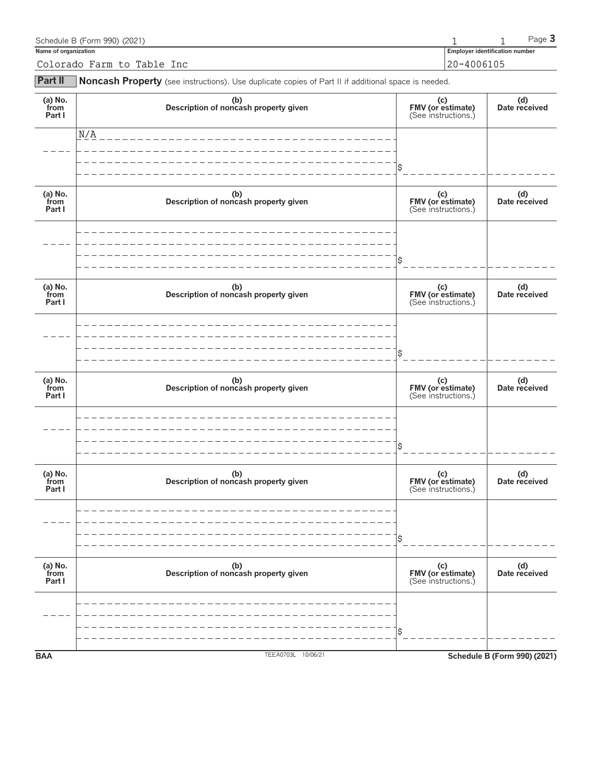| Schedule B (Form 990) (2021) |                                       |  | Page $\mathbf 3$ |
|------------------------------|---------------------------------------|--|------------------|
| Name of organization         | <b>Employer identification number</b> |  |                  |
| Colorado Farm to Table Inc   | 120-4006105                           |  |                  |

**Part II** Noncash Property (see instructions). Use duplicate copies of Part II if additional space is needed.

| <b>BAA</b>                | TEEA0703L 10/06/21                           |                                                 | <b>Schedule B (Form 990) (2021)</b> |
|---------------------------|----------------------------------------------|-------------------------------------------------|-------------------------------------|
|                           |                                              | Ś                                               |                                     |
| (a) No.<br>from<br>Part I | (b)<br>Description of noncash property given | (c)<br>FMV (or estimate)<br>(See instructions.) | (d)<br>Date received                |
|                           |                                              |                                                 |                                     |
| (a) $No.$ from<br>Part I  | (b)<br>Description of noncash property given | (c)<br>FMV (or estimate)<br>(See instructions.) | (d)<br>Date received                |
|                           |                                              |                                                 |                                     |
| (a) No.<br>from<br>Part I | (b)<br>Description of noncash property given | (c)<br>FMV (or estimate)<br>(See instructions.) | (d)<br>Date received                |
|                           |                                              |                                                 |                                     |
| (a) No.<br>from<br>Part I | (b)<br>Description of noncash property given | (c)<br>FMV (or estimate)<br>(See instructions.) | (d)<br>Date received                |
|                           |                                              |                                                 |                                     |
| (a) No.<br>from<br>Part I | (b)<br>Description of noncash property given | (c)<br>FMV (or estimate)<br>(See instructions.) | (d)<br>Date received                |
|                           |                                              |                                                 |                                     |
|                           | N/A                                          |                                                 |                                     |
| (a) No.<br>from<br>Part I | (b)<br>Description of noncash property given | (c)<br>FMV (or estimate)<br>(See instructions.) | (d)<br>Date received                |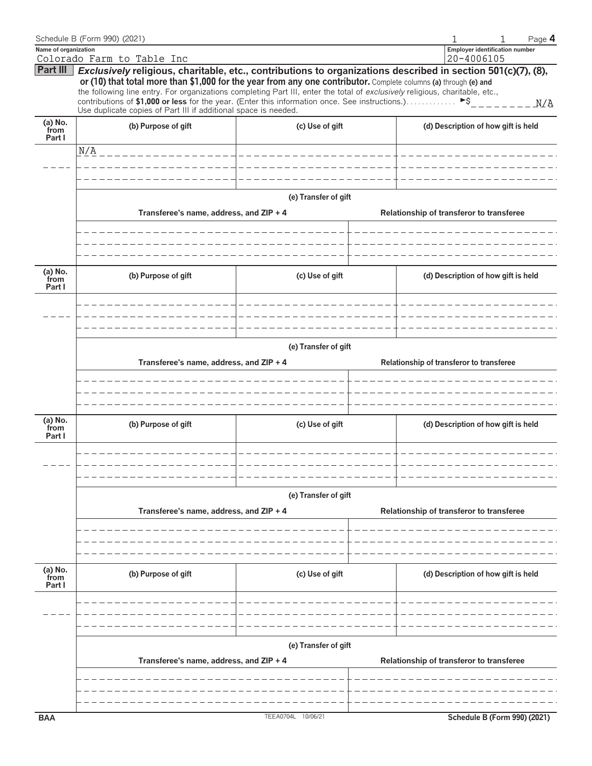|                      | Schedule B (Form 990) (2021)                                                                                                 |                               | Page 4<br>1                                                                                                  |  |  |  |  |
|----------------------|------------------------------------------------------------------------------------------------------------------------------|-------------------------------|--------------------------------------------------------------------------------------------------------------|--|--|--|--|
| Name of organization |                                                                                                                              |                               | Employer identification number                                                                               |  |  |  |  |
|                      | Colorado Farm to Table Inc                                                                                                   |                               | 20-4006105                                                                                                   |  |  |  |  |
| Part III             |                                                                                                                              |                               | Exclusively religious, charitable, etc., contributions to organizations described in section 501(c)(7), (8), |  |  |  |  |
|                      | or (10) that total more than \$1,000 for the year from any one contributor. Complete columns (a) through (e) and             |                               |                                                                                                              |  |  |  |  |
|                      | the following line entry. For organizations completing Part III, enter the total of exclusively religious, charitable, etc., |                               |                                                                                                              |  |  |  |  |
|                      | contributions of \$1,000 or less for the year. (Enter this information once. See instructions.)                              |                               | $\triangleright$ \$ ______N/A                                                                                |  |  |  |  |
|                      | Use duplicate copies of Part III if additional space is needed.                                                              |                               |                                                                                                              |  |  |  |  |
| (a) No.<br>from      | (b) Purpose of gift<br>(c) Use of gift                                                                                       |                               | (d) Description of how gift is held                                                                          |  |  |  |  |
| Part I               |                                                                                                                              |                               |                                                                                                              |  |  |  |  |
|                      |                                                                                                                              |                               |                                                                                                              |  |  |  |  |
|                      | N/A<br>__________________________                                                                                            |                               | _______                                                                                                      |  |  |  |  |
|                      |                                                                                                                              |                               | ______                                                                                                       |  |  |  |  |
|                      |                                                                                                                              |                               |                                                                                                              |  |  |  |  |
|                      |                                                                                                                              |                               |                                                                                                              |  |  |  |  |
|                      |                                                                                                                              | (e) Transfer of gift          |                                                                                                              |  |  |  |  |
|                      | Transferee's name, address, and ZIP + 4                                                                                      |                               | Relationship of transferor to transferee                                                                     |  |  |  |  |
|                      |                                                                                                                              |                               |                                                                                                              |  |  |  |  |
|                      |                                                                                                                              |                               |                                                                                                              |  |  |  |  |
|                      |                                                                                                                              |                               |                                                                                                              |  |  |  |  |
|                      |                                                                                                                              |                               |                                                                                                              |  |  |  |  |
|                      |                                                                                                                              |                               |                                                                                                              |  |  |  |  |
| (a) No.<br>from      | (b) Purpose of gift                                                                                                          | (c) Use of gift               | (d) Description of how gift is held                                                                          |  |  |  |  |
| Part I               |                                                                                                                              |                               |                                                                                                              |  |  |  |  |
|                      |                                                                                                                              |                               |                                                                                                              |  |  |  |  |
|                      |                                                                                                                              | _____________________         |                                                                                                              |  |  |  |  |
|                      |                                                                                                                              |                               |                                                                                                              |  |  |  |  |
|                      |                                                                                                                              |                               |                                                                                                              |  |  |  |  |
|                      |                                                                                                                              |                               |                                                                                                              |  |  |  |  |
|                      | (e) Transfer of gift                                                                                                         |                               |                                                                                                              |  |  |  |  |
|                      |                                                                                                                              |                               |                                                                                                              |  |  |  |  |
|                      | Transferee's name, address, and ZIP + 4                                                                                      |                               | Relationship of transferor to transferee                                                                     |  |  |  |  |
|                      |                                                                                                                              |                               |                                                                                                              |  |  |  |  |
|                      |                                                                                                                              |                               |                                                                                                              |  |  |  |  |
|                      |                                                                                                                              |                               |                                                                                                              |  |  |  |  |
|                      |                                                                                                                              |                               |                                                                                                              |  |  |  |  |
| (a) No.<br>from      | (b) Purpose of gift                                                                                                          | (c) Use of gift               | (d) Description of how gift is held                                                                          |  |  |  |  |
|                      |                                                                                                                              |                               |                                                                                                              |  |  |  |  |
| Part I               |                                                                                                                              |                               |                                                                                                              |  |  |  |  |
|                      |                                                                                                                              |                               |                                                                                                              |  |  |  |  |
|                      | ----------                                                                                                                   | ---------------------+------- |                                                                                                              |  |  |  |  |
|                      |                                                                                                                              |                               |                                                                                                              |  |  |  |  |
|                      |                                                                                                                              |                               |                                                                                                              |  |  |  |  |
|                      |                                                                                                                              | (e) Transfer of gift          |                                                                                                              |  |  |  |  |
|                      |                                                                                                                              |                               |                                                                                                              |  |  |  |  |
|                      | Transferee's name, address, and ZIP + 4                                                                                      |                               | Relationship of transferor to transferee                                                                     |  |  |  |  |
|                      |                                                                                                                              |                               |                                                                                                              |  |  |  |  |
|                      |                                                                                                                              |                               |                                                                                                              |  |  |  |  |
|                      |                                                                                                                              |                               |                                                                                                              |  |  |  |  |
|                      |                                                                                                                              |                               |                                                                                                              |  |  |  |  |
|                      |                                                                                                                              |                               |                                                                                                              |  |  |  |  |
| (a) No.<br>from      | (b) Purpose of gift                                                                                                          | (c) Use of gift               | (d) Description of how gift is held                                                                          |  |  |  |  |
| Part I               |                                                                                                                              |                               |                                                                                                              |  |  |  |  |
|                      |                                                                                                                              |                               |                                                                                                              |  |  |  |  |
|                      |                                                                                                                              |                               |                                                                                                              |  |  |  |  |
|                      |                                                                                                                              |                               |                                                                                                              |  |  |  |  |
|                      |                                                                                                                              |                               |                                                                                                              |  |  |  |  |
|                      |                                                                                                                              | (e) Transfer of gift          |                                                                                                              |  |  |  |  |
|                      |                                                                                                                              |                               |                                                                                                              |  |  |  |  |
|                      | Transferee's name, address, and ZIP + 4                                                                                      |                               | Relationship of transferor to transferee                                                                     |  |  |  |  |
|                      |                                                                                                                              |                               |                                                                                                              |  |  |  |  |
|                      |                                                                                                                              |                               |                                                                                                              |  |  |  |  |
|                      |                                                                                                                              |                               |                                                                                                              |  |  |  |  |
|                      |                                                                                                                              |                               |                                                                                                              |  |  |  |  |
| <b>BAA</b>           |                                                                                                                              | TEEA0704L 10/06/21            | Schedule B (Form 990) (2021)                                                                                 |  |  |  |  |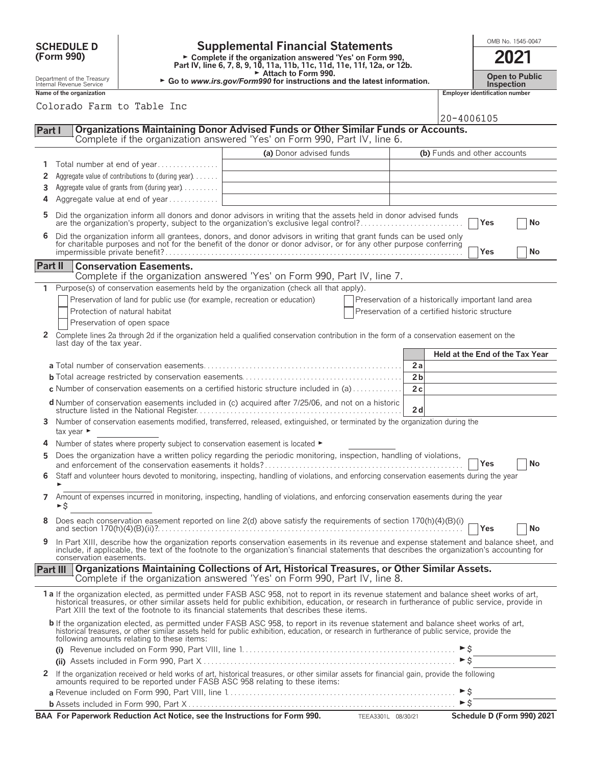|                | <b>SCHEDULE D</b>                                                                                                                                  |                                                                                  | <b>Supplemental Financial Statements</b>                                                                                                                                                                                                                                                                                                                                               |                                                    |                              | OMB No. 1545-0047                     |                                 |  |
|----------------|----------------------------------------------------------------------------------------------------------------------------------------------------|----------------------------------------------------------------------------------|----------------------------------------------------------------------------------------------------------------------------------------------------------------------------------------------------------------------------------------------------------------------------------------------------------------------------------------------------------------------------------------|----------------------------------------------------|------------------------------|---------------------------------------|---------------------------------|--|
|                | (Form 990)<br>Complete if the organization answered 'Yes' on Form 990,<br>Part IV, line 6, 7, 8, 9, 10, 11a, 11b, 11c, 11d, 11e, 11f, 12a, or 12b. |                                                                                  |                                                                                                                                                                                                                                                                                                                                                                                        |                                                    | 2021                         |                                       |                                 |  |
|                | Department of the Treasury<br>Internal Revenue Service                                                                                             |                                                                                  | Attach to Form 990.<br>► Go to www.irs.gov/Form990 for instructions and the latest information.                                                                                                                                                                                                                                                                                        |                                                    |                              | <b>Inspection</b>                     | <b>Open to Public</b>           |  |
|                | Name of the organization                                                                                                                           |                                                                                  |                                                                                                                                                                                                                                                                                                                                                                                        |                                                    |                              | <b>Employer identification number</b> |                                 |  |
|                |                                                                                                                                                    | Colorado Farm to Table Inc                                                       |                                                                                                                                                                                                                                                                                                                                                                                        |                                                    | 20-4006105                   |                                       |                                 |  |
| Part I         |                                                                                                                                                    |                                                                                  | Organizations Maintaining Donor Advised Funds or Other Similar Funds or Accounts.<br>Complete if the organization answered 'Yes' on Form 990, Part IV, line 6.                                                                                                                                                                                                                         |                                                    |                              |                                       |                                 |  |
|                |                                                                                                                                                    |                                                                                  | (a) Donor advised funds                                                                                                                                                                                                                                                                                                                                                                |                                                    | (b) Funds and other accounts |                                       |                                 |  |
| 1              |                                                                                                                                                    | Total number at end of year<br>Aggregate value of contributions to (during year) |                                                                                                                                                                                                                                                                                                                                                                                        |                                                    |                              |                                       |                                 |  |
| 2<br>3         |                                                                                                                                                    | Aggregate value of grants from (during year)                                     |                                                                                                                                                                                                                                                                                                                                                                                        |                                                    |                              |                                       |                                 |  |
| 4              |                                                                                                                                                    | Aggregate value at end of year                                                   |                                                                                                                                                                                                                                                                                                                                                                                        |                                                    |                              |                                       |                                 |  |
| 5              |                                                                                                                                                    |                                                                                  | Did the organization inform all donors and donor advisors in writing that the assets held in donor advised funds<br>are the organization's property, subject to the organization's exclusive legal control?                                                                                                                                                                            |                                                    |                              | Yes                                   | No                              |  |
| 6              |                                                                                                                                                    |                                                                                  | Did the organization inform all grantees, donors, and donor advisors in writing that grant funds can be used only for charitable purposes and not for the benefit of the donor or donor advisor, or for any other purpose conf                                                                                                                                                         |                                                    |                              | <b>Yes</b>                            | No                              |  |
| Part II        |                                                                                                                                                    | <b>Conservation Easements.</b>                                                   |                                                                                                                                                                                                                                                                                                                                                                                        |                                                    |                              |                                       |                                 |  |
|                |                                                                                                                                                    |                                                                                  | Complete if the organization answered 'Yes' on Form 990, Part IV, line 7.                                                                                                                                                                                                                                                                                                              |                                                    |                              |                                       |                                 |  |
| $\mathbf{1}$   |                                                                                                                                                    |                                                                                  | Purpose(s) of conservation easements held by the organization (check all that apply).                                                                                                                                                                                                                                                                                                  |                                                    |                              |                                       |                                 |  |
|                |                                                                                                                                                    | Preservation of land for public use (for example, recreation or education)       |                                                                                                                                                                                                                                                                                                                                                                                        | Preservation of a historically important land area |                              |                                       |                                 |  |
|                |                                                                                                                                                    | Protection of natural habitat                                                    |                                                                                                                                                                                                                                                                                                                                                                                        | Preservation of a certified historic structure     |                              |                                       |                                 |  |
|                |                                                                                                                                                    | Preservation of open space                                                       |                                                                                                                                                                                                                                                                                                                                                                                        |                                                    |                              |                                       |                                 |  |
| 2              | last day of the tax year.                                                                                                                          |                                                                                  | Complete lines 2a through 2d if the organization held a qualified conservation contribution in the form of a conservation easement on the                                                                                                                                                                                                                                              |                                                    |                              |                                       |                                 |  |
|                |                                                                                                                                                    |                                                                                  |                                                                                                                                                                                                                                                                                                                                                                                        |                                                    |                              |                                       | Held at the End of the Tax Year |  |
|                |                                                                                                                                                    |                                                                                  |                                                                                                                                                                                                                                                                                                                                                                                        | 2a                                                 |                              |                                       |                                 |  |
|                |                                                                                                                                                    |                                                                                  |                                                                                                                                                                                                                                                                                                                                                                                        | 2 <sub>b</sub>                                     |                              |                                       |                                 |  |
|                |                                                                                                                                                    |                                                                                  | <b>c</b> Number of conservation easements on a certified historic structure included in (a)                                                                                                                                                                                                                                                                                            | 2c                                                 |                              |                                       |                                 |  |
|                |                                                                                                                                                    |                                                                                  | d Number of conservation easements included in (c) acquired after 7/25/06, and not on a historic                                                                                                                                                                                                                                                                                       | 2d                                                 |                              |                                       |                                 |  |
| 3              | tax year $\blacktriangleright$                                                                                                                     |                                                                                  | Number of conservation easements modified, transferred, released, extinguished, or terminated by the organization during the                                                                                                                                                                                                                                                           |                                                    |                              |                                       |                                 |  |
|                |                                                                                                                                                    | Number of states where property subject to conservation easement is located ►    |                                                                                                                                                                                                                                                                                                                                                                                        |                                                    |                              |                                       |                                 |  |
| 5              |                                                                                                                                                    |                                                                                  | Does the organization have a written policy regarding the periodic monitoring, inspection, handling of violations,                                                                                                                                                                                                                                                                     |                                                    |                              | Yes                                   | No                              |  |
|                |                                                                                                                                                    |                                                                                  | 6 Staff and volunteer hours devoted to monitoring, inspecting, handling of violations, and enforcing conservation easements during the year                                                                                                                                                                                                                                            |                                                    |                              |                                       |                                 |  |
| $\overline{7}$ | ►\$                                                                                                                                                |                                                                                  | Amount of expenses incurred in monitoring, inspecting, handling of violations, and enforcing conservation easements during the year                                                                                                                                                                                                                                                    |                                                    |                              |                                       |                                 |  |
| 8              |                                                                                                                                                    |                                                                                  | Does each conservation easement reported on line $2(d)$ above satisfy the requirements of section 170(h)(4)(B)(i) r                                                                                                                                                                                                                                                                    |                                                    |                              | $\mathsf{Yes}$                        | No                              |  |
| 9              | conservation easements.                                                                                                                            |                                                                                  | In Part XIII, describe how the organization reports conservation easements in its revenue and expense statement and balance sheet, and<br>include, if applicable, the text of the footnote to the organization's financial statements that describes the organization's accounting for                                                                                                 |                                                    |                              |                                       |                                 |  |
|                |                                                                                                                                                    |                                                                                  | Part III Organizations Maintaining Collections of Art, Historical Treasures, or Other Similar Assets.<br>Complete if the organization answered 'Yes' on Form 990, Part IV, line 8.                                                                                                                                                                                                     |                                                    |                              |                                       |                                 |  |
|                |                                                                                                                                                    |                                                                                  | 1a If the organization elected, as permitted under FASB ASC 958, not to report in its revenue statement and balance sheet works of art,<br>historical treasures, or other similar assets held for public exhibition, education, or research in furtherance of public service, provide in<br>Part XIII the text of the footnote to its financial statements that describes these items. |                                                    |                              |                                       |                                 |  |
|                |                                                                                                                                                    | following amounts relating to these items:                                       | b If the organization elected, as permitted under FASB ASC 958, to report in its revenue statement and balance sheet works of art,<br>historical treasures, or other similar assets held for public exhibition, education, or research in furtherance of public service, provide the                                                                                                   |                                                    |                              |                                       |                                 |  |
|                |                                                                                                                                                    |                                                                                  |                                                                                                                                                                                                                                                                                                                                                                                        |                                                    |                              |                                       |                                 |  |
|                |                                                                                                                                                    |                                                                                  |                                                                                                                                                                                                                                                                                                                                                                                        |                                                    | $\triangleright$ \$          |                                       |                                 |  |
| $\mathbf{z}$   |                                                                                                                                                    |                                                                                  | If the organization received or held works of art, historical treasures, or other similar assets for financial gain, provide the following<br>amounts required to be reported under FASB ASC 958 relating to these items:                                                                                                                                                              |                                                    |                              |                                       |                                 |  |
|                |                                                                                                                                                    |                                                                                  |                                                                                                                                                                                                                                                                                                                                                                                        |                                                    | $\triangleright$ \$          |                                       |                                 |  |

| BAA For Paperwork Reduction Act Notice, see the Instructions for Form 990. | TEEA3301L 08/30/21 | Schedule D (Form 990) 2021 |
|----------------------------------------------------------------------------|--------------------|----------------------------|
|                                                                            |                    |                            |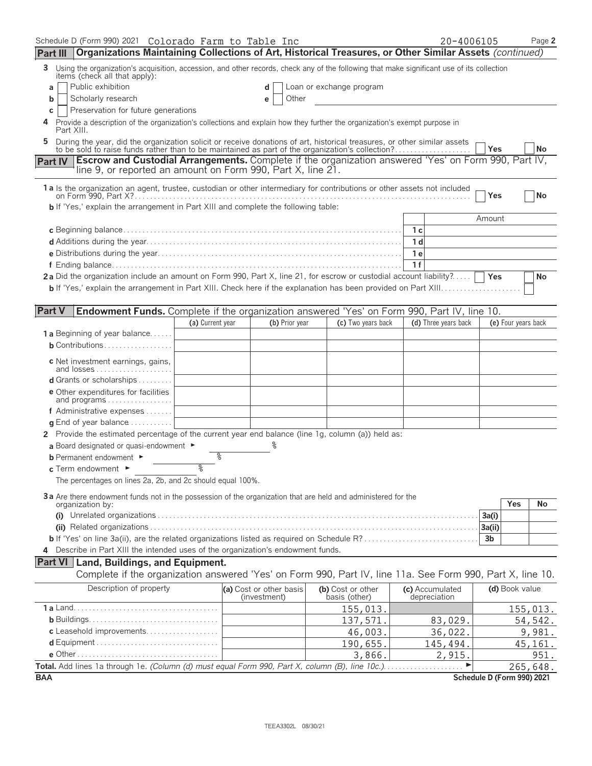|                | Schedule D (Form 990) 2021 Colorado Farm to Table Inc                                                                                                                                                                     |                  |                                         |                                    | 20-4006105                      |                            | Page 2    |
|----------------|---------------------------------------------------------------------------------------------------------------------------------------------------------------------------------------------------------------------------|------------------|-----------------------------------------|------------------------------------|---------------------------------|----------------------------|-----------|
| Part III       | Organizations Maintaining Collections of Art, Historical Treasures, or Other Similar Assets (continued)                                                                                                                   |                  |                                         |                                    |                                 |                            |           |
| 3              | Using the organization's acquisition, accession, and other records, check any of the following that make significant use of its collection<br>items (check all that apply):                                               |                  |                                         |                                    |                                 |                            |           |
| a              | Public exhibition                                                                                                                                                                                                         |                  |                                         | Loan or exchange program           |                                 |                            |           |
| b              | Scholarly research                                                                                                                                                                                                        |                  | Other<br>е                              |                                    |                                 |                            |           |
| С              | Preservation for future generations                                                                                                                                                                                       |                  |                                         |                                    |                                 |                            |           |
| 4              | Provide a description of the organization's collections and explain how they further the organization's exempt purpose in<br>Part XIII.                                                                                   |                  |                                         |                                    |                                 |                            |           |
| 5              | During the year, did the organization solicit or receive donations of art, historical treasures, or other similar assets to be sold to raise funds rather than to be maintained as part of the organization's collection? |                  |                                         |                                    |                                 |                            |           |
|                |                                                                                                                                                                                                                           |                  |                                         |                                    |                                 | Yes                        | <b>No</b> |
| <b>Part IV</b> | <b>Escrow and Custodial Arrangements.</b> Complete if the organization answered 'Yes' on Form 990, Part IV,<br>line 9, or reported an amount on Form 990, Part X, line 21.                                                |                  |                                         |                                    |                                 |                            |           |
|                | 1 a Is the organization an agent, trustee, custodian or other intermediary for contributions or other assets not included                                                                                                 |                  |                                         |                                    |                                 | Yes                        | <b>No</b> |
|                | <b>b</b> If 'Yes,' explain the arrangement in Part XIII and complete the following table:                                                                                                                                 |                  |                                         |                                    |                                 |                            |           |
|                |                                                                                                                                                                                                                           |                  |                                         |                                    |                                 | Amount                     |           |
|                |                                                                                                                                                                                                                           |                  |                                         |                                    | $\overline{1}$ c                |                            |           |
|                |                                                                                                                                                                                                                           |                  |                                         |                                    |                                 |                            |           |
|                |                                                                                                                                                                                                                           |                  |                                         |                                    | 1 e                             |                            |           |
|                | 2a Did the organization include an amount on Form 990, Part X, line 21, for escrow or custodial account liability?   Yes                                                                                                  |                  |                                         |                                    | 1 f                             |                            |           |
|                |                                                                                                                                                                                                                           |                  |                                         |                                    |                                 |                            | No        |
|                |                                                                                                                                                                                                                           |                  |                                         |                                    |                                 |                            |           |
| <b>Part V</b>  | <b>Endowment Funds.</b> Complete if the organization answered 'Yes' on Form 990, Part IV, line 10.                                                                                                                        |                  |                                         |                                    |                                 |                            |           |
|                |                                                                                                                                                                                                                           | (a) Current year | (b) Prior year                          | (c) Two years back                 | (d) Three years back            | (e) Four years back        |           |
|                | <b>1a</b> Beginning of year balance                                                                                                                                                                                       |                  |                                         |                                    |                                 |                            |           |
|                | <b>b</b> Contributions                                                                                                                                                                                                    |                  |                                         |                                    |                                 |                            |           |
|                | c Net investment earnings, gains,                                                                                                                                                                                         |                  |                                         |                                    |                                 |                            |           |
|                | <b>d</b> Grants or scholarships                                                                                                                                                                                           |                  |                                         |                                    |                                 |                            |           |
|                | <b>e</b> Other expenditures for facilities<br>and programs                                                                                                                                                                |                  |                                         |                                    |                                 |                            |           |
|                | f Administrative expenses                                                                                                                                                                                                 |                  |                                         |                                    |                                 |                            |           |
|                | <b>g</b> End of year balance $\dots\dots\dots\dots$                                                                                                                                                                       |                  |                                         |                                    |                                 |                            |           |
|                | 2 Provide the estimated percentage of the current year end balance (line 1g, column (a)) held as:                                                                                                                         |                  |                                         |                                    |                                 |                            |           |
|                | a Board designated or quasi-endowment $\blacktriangleright$<br><b>b</b> Permanent endowment $\blacktriangleright$                                                                                                         | ిం               |                                         |                                    |                                 |                            |           |
|                | $c$ Term endowment $\blacktriangleright$                                                                                                                                                                                  | နွ               |                                         |                                    |                                 |                            |           |
|                | The percentages on lines 2a, 2b, and 2c should equal 100%.                                                                                                                                                                |                  |                                         |                                    |                                 |                            |           |
|                |                                                                                                                                                                                                                           |                  |                                         |                                    |                                 |                            |           |
|                | 3a Are there endowment funds not in the possession of the organization that are held and administered for the<br>organization by:                                                                                         |                  |                                         |                                    |                                 | Yes                        | No        |
|                |                                                                                                                                                                                                                           |                  |                                         |                                    |                                 | 3a(i)                      |           |
|                |                                                                                                                                                                                                                           |                  |                                         |                                    |                                 | 3a(ii)                     |           |
|                |                                                                                                                                                                                                                           |                  |                                         |                                    |                                 | 3 <sub>b</sub>             |           |
|                | 4 Describe in Part XIII the intended uses of the organization's endowment funds.                                                                                                                                          |                  |                                         |                                    |                                 |                            |           |
|                | Part VI   Land, Buildings, and Equipment.                                                                                                                                                                                 |                  |                                         |                                    |                                 |                            |           |
|                | Complete if the organization answered 'Yes' on Form 990, Part IV, line 11a. See Form 990, Part X, line 10.                                                                                                                |                  |                                         |                                    |                                 |                            |           |
|                | Description of property                                                                                                                                                                                                   |                  | (a) Cost or other basis<br>(investment) | (b) Cost or other<br>basis (other) | (c) Accumulated<br>depreciation | (d) Book value             |           |
|                |                                                                                                                                                                                                                           |                  |                                         | 155,013.                           |                                 |                            | 155,013.  |
|                |                                                                                                                                                                                                                           |                  |                                         | 137,571.                           | 83,029.                         |                            | 54,542.   |
|                | c Leasehold improvements                                                                                                                                                                                                  |                  |                                         | 46,003.                            | 36,022.                         |                            | 9,981.    |
|                |                                                                                                                                                                                                                           |                  |                                         | 190,655.                           | 145,494.                        |                            | 45,161.   |
|                | Total. Add lines 1a through 1e. (Column (d) must equal Form 990, Part X, column (B), line 10c.)                                                                                                                           |                  |                                         | 3,866.                             | 2,915.<br>▶                     |                            | 951.      |
| <b>BAA</b>     |                                                                                                                                                                                                                           |                  |                                         |                                    |                                 | Schedule D (Form 990) 2021 | 265,648.  |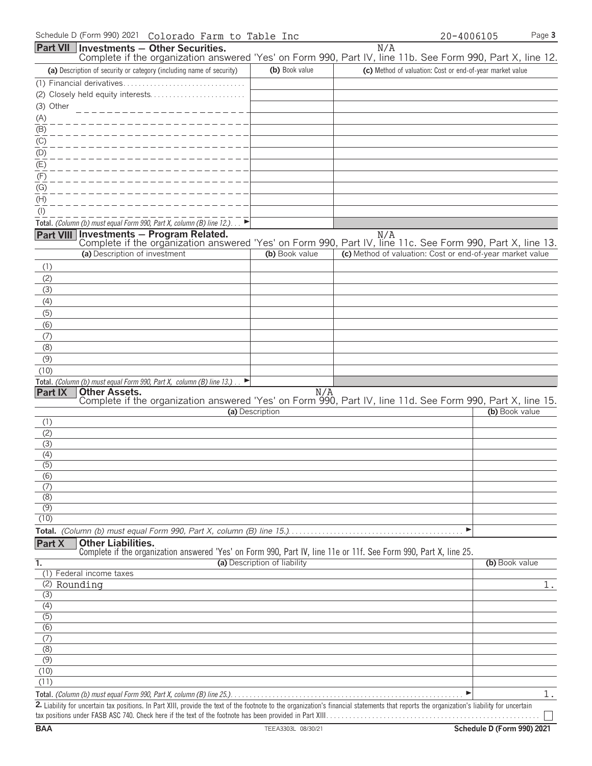|                                                | Part VII   Investments - Other Securities.<br>Complete if the organization answered 'Yes' on Form 990, Part IV, line 11b. See Form 990, Part X, line 12. |                              | N/A                                                       |                |
|------------------------------------------------|----------------------------------------------------------------------------------------------------------------------------------------------------------|------------------------------|-----------------------------------------------------------|----------------|
|                                                | (a) Description of security or category (including name of security)                                                                                     | (b) Book value               | (c) Method of valuation: Cost or end-of-year market value |                |
|                                                |                                                                                                                                                          |                              |                                                           |                |
|                                                | (2) Closely held equity interests                                                                                                                        |                              |                                                           |                |
| (3) Other                                      | _____________________                                                                                                                                    |                              |                                                           |                |
| (A)                                            |                                                                                                                                                          |                              |                                                           |                |
| $\overline{(\mathsf{B})}$                      |                                                                                                                                                          |                              |                                                           |                |
|                                                |                                                                                                                                                          |                              |                                                           |                |
| $\underbrace{\overline{(C)}}_{\overline{(F)}}$ |                                                                                                                                                          |                              |                                                           |                |
|                                                |                                                                                                                                                          |                              |                                                           |                |
|                                                |                                                                                                                                                          |                              |                                                           |                |
| (G)                                            |                                                                                                                                                          |                              |                                                           |                |
| $\overline{(\overline{H})}$                    |                                                                                                                                                          |                              |                                                           |                |
| $($ l $)$                                      |                                                                                                                                                          |                              |                                                           |                |
|                                                | Total. (Column (b) must equal Form 990, Part X, column (B) line 12.). $\blacktriangleright$                                                              |                              |                                                           |                |
| <b>Part VIII</b>                               | Investments - Program Related.<br>Complete if the organization answered 'Yes' on Form 990, Part IV, line 11c. See Form 990, Part X, line 13.             |                              |                                                           |                |
|                                                | (a) Description of investment                                                                                                                            | (b) Book value               | (c) Method of valuation: Cost or end-of-year market value |                |
|                                                |                                                                                                                                                          |                              |                                                           |                |
| (1)<br>(2)                                     |                                                                                                                                                          |                              |                                                           |                |
| (3)                                            |                                                                                                                                                          |                              |                                                           |                |
| (4)                                            |                                                                                                                                                          |                              |                                                           |                |
| (5)                                            |                                                                                                                                                          |                              |                                                           |                |
| (6)                                            |                                                                                                                                                          |                              |                                                           |                |
| (7)                                            |                                                                                                                                                          |                              |                                                           |                |
| (8)                                            |                                                                                                                                                          |                              |                                                           |                |
| (9)                                            |                                                                                                                                                          |                              |                                                           |                |
| (10)                                           |                                                                                                                                                          |                              |                                                           |                |
|                                                | Total. (Column (b) must equal Form 990, Part X, column (B) line 13.)<br>P                                                                                |                              |                                                           |                |
| Part IX                                        | <b>Other Assets.</b>                                                                                                                                     | N/A                          |                                                           |                |
|                                                | Complete if the organization answered 'Yes' on Form 990, Part IV, line 11d. See Form 990, Part X, line 15.                                               | (a) Description              |                                                           | (b) Book value |
| (1)                                            |                                                                                                                                                          |                              |                                                           |                |
| (2)                                            |                                                                                                                                                          |                              |                                                           |                |
| (3)                                            |                                                                                                                                                          |                              |                                                           |                |
| (4)                                            |                                                                                                                                                          |                              |                                                           |                |
| $\overline{(5)}$                               |                                                                                                                                                          |                              |                                                           |                |
| (6)                                            |                                                                                                                                                          |                              |                                                           |                |
| (7)<br>(8)                                     |                                                                                                                                                          |                              |                                                           |                |
| (9)                                            |                                                                                                                                                          |                              |                                                           |                |
| (10)                                           |                                                                                                                                                          |                              |                                                           |                |
|                                                |                                                                                                                                                          |                              | ▶                                                         |                |
| Part X                                         | <b>Other Liabilities.</b>                                                                                                                                |                              |                                                           |                |
|                                                | Complete if the organization answered 'Yes' on Form 990, Part IV, line 11e or 11f. See Form 990, Part X, line 25.                                        |                              |                                                           |                |
| ī.                                             |                                                                                                                                                          | (a) Description of liability |                                                           | (b) Book value |
| (2) Rounding                                   | (1) Federal income taxes                                                                                                                                 |                              |                                                           |                |
| (3)                                            |                                                                                                                                                          |                              |                                                           | 1.             |
| (4)                                            |                                                                                                                                                          |                              |                                                           |                |
| (5)                                            |                                                                                                                                                          |                              |                                                           |                |
| (6)                                            |                                                                                                                                                          |                              |                                                           |                |
| (7)                                            |                                                                                                                                                          |                              |                                                           |                |
| (8)                                            |                                                                                                                                                          |                              |                                                           |                |
| (9)                                            |                                                                                                                                                          |                              |                                                           |                |
| (10)                                           |                                                                                                                                                          |                              |                                                           |                |
| (11)                                           |                                                                                                                                                          |                              |                                                           |                |

**Total.** *(Column (b) must equal Form 990, Part X, column (B) line 25.)*. . . . . . . . . . . . . . . . . . . . . . . . . . . . . . . . . . . . . . . . . . . . . . . . . . . . . . . . . . . . . G **2.** Liability for uncertain tax positions. In Part XIII, provide the text of the footnote to the organization's financial statements that reports the organization's liability for uncertain tax positions under FASB ASC 740. Check here if the text of the footnote has been provided in Part XIII. . . . . . . . . . . . . . . . . . . . . . . . . . . . . . . . . . . . . . . . . . . . . . . . . . . . . . . .

1.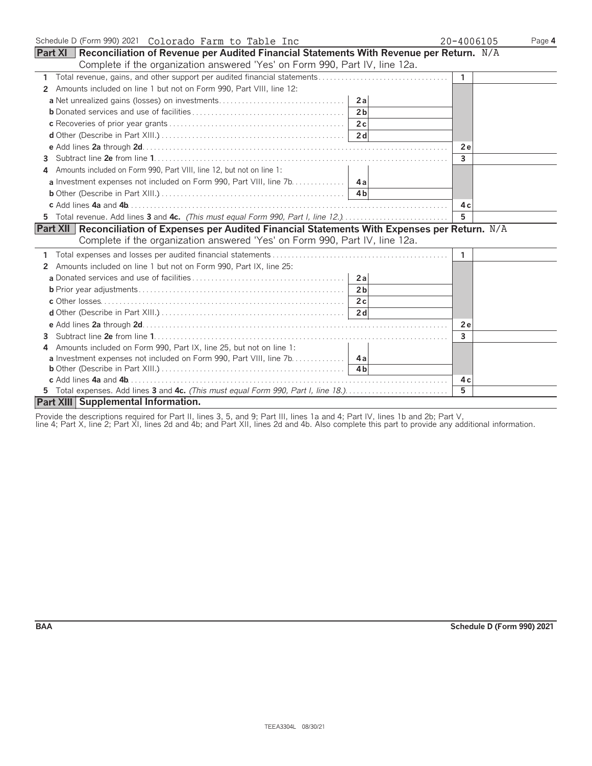| Schedule D (Form 990) 2021 Colorado Farm to Table Inc                                                    | 20-4006105<br>Page 4 |
|----------------------------------------------------------------------------------------------------------|----------------------|
| <b>Part XI</b> Reconciliation of Revenue per Audited Financial Statements With Revenue per Return. $N/A$ |                      |
| Complete if the organization answered 'Yes' on Form 990, Part IV, line 12a.                              |                      |
| 1 Total revenue, gains, and other support per audited financial statements                               | $\mathbf{1}$         |
| Amounts included on line 1 but not on Form 990, Part VIII, line 12:<br>2                                 |                      |
|                                                                                                          |                      |
| 2 <sub>b</sub>                                                                                           |                      |
|                                                                                                          |                      |
|                                                                                                          |                      |
|                                                                                                          | 2e                   |
| 3                                                                                                        | 3                    |
| Amounts included on Form 990, Part VIII, line 12, but not on line 1:<br>4                                |                      |
|                                                                                                          |                      |
|                                                                                                          |                      |
|                                                                                                          | 4 c                  |
| 5 Total revenue. Add lines 3 and 4c. (This must equal Form 990, Part I, line 12.)                        | 5                    |
| Part XII Reconciliation of Expenses per Audited Financial Statements With Expenses per Return. N/A       |                      |
| Complete if the organization answered 'Yes' on Form 990, Part IV, line 12a.                              |                      |
|                                                                                                          | -1                   |
| 2 Amounts included on line 1 but not on Form 990, Part IX, line 25:                                      |                      |
|                                                                                                          |                      |
|                                                                                                          |                      |
|                                                                                                          |                      |
|                                                                                                          |                      |
|                                                                                                          | 2e                   |
| 3                                                                                                        | 3                    |
| Amounts included on Form 990, Part IX, line 25, but not on line 1:<br>4                                  |                      |
| <b>a</b> Investment expenses not included on Form 990, Part VIII, line 7b. 4a                            |                      |
|                                                                                                          |                      |
|                                                                                                          | 4 c                  |
| 5 Total expenses. Add lines 3 and 4c. (This must equal Form 990, Part I, line 18.)                       | 5                    |
| Part XIII Supplemental Information.                                                                      |                      |

Provide the descriptions required for Part II, lines 3, 5, and 9; Part III, lines 1a and 4; Part IV, lines 1b and 2b; Part V,

line 4; Part X, line 2; Part XI, lines 2d and 4b; and Part XII, lines 2d and 4b. Also complete this part to provide any additional information.